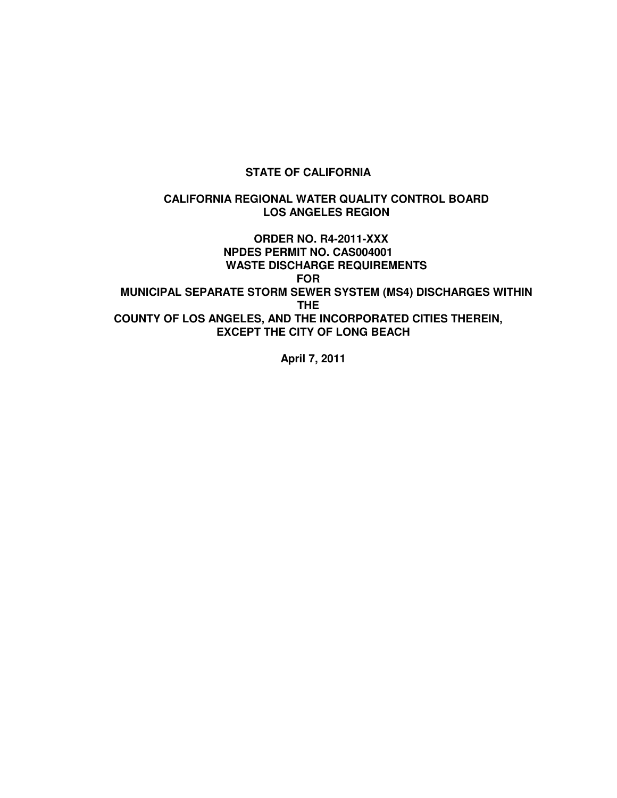### **STATE OF CALIFORNIA**

#### **CALIFORNIA REGIONAL WATER QUALITY CONTROL BOARD LOS ANGELES REGION**

 **ORDER NO. R4-2011-XXX NPDES PERMIT NO. CAS004001 WASTE DISCHARGE REQUIREMENTS FOR MUNICIPAL SEPARATE STORM SEWER SYSTEM (MS4) DISCHARGES WITHIN THE COUNTY OF LOS ANGELES, AND THE INCORPORATED CITIES THEREIN, EXCEPT THE CITY OF LONG BEACH** 

**April 7, 2011**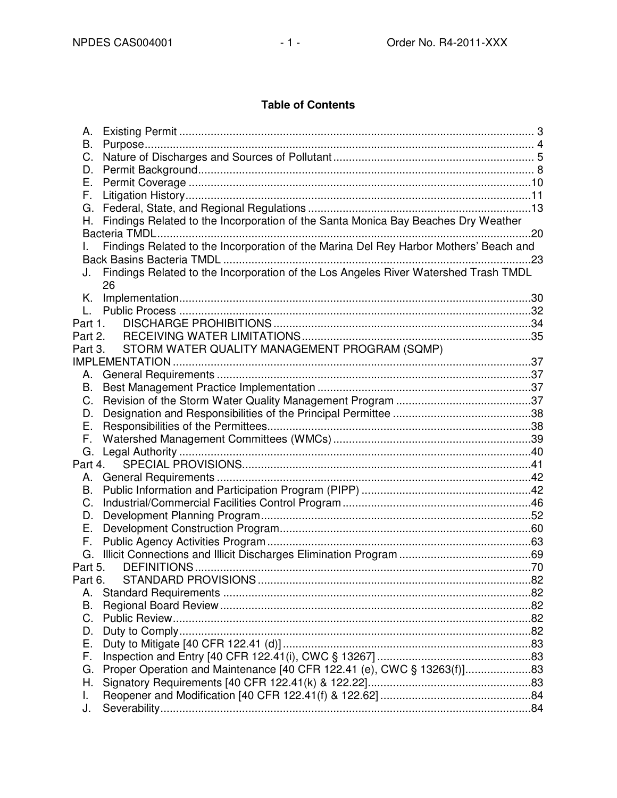# **Table of Contents**

| А.       |                                                                                       |  |
|----------|---------------------------------------------------------------------------------------|--|
| В.       |                                                                                       |  |
| C.       |                                                                                       |  |
| D.       |                                                                                       |  |
| Е.       |                                                                                       |  |
| F.       |                                                                                       |  |
| G.       |                                                                                       |  |
| Н.       | Findings Related to the Incorporation of the Santa Monica Bay Beaches Dry Weather     |  |
|          |                                                                                       |  |
|          | Findings Related to the Incorporation of the Marina Del Rey Harbor Mothers' Beach and |  |
|          |                                                                                       |  |
| J.       | Findings Related to the Incorporation of the Los Angeles River Watershed Trash TMDL   |  |
|          | 26                                                                                    |  |
| Κ.       |                                                                                       |  |
|          |                                                                                       |  |
| Part 1.  |                                                                                       |  |
| Part 2.  |                                                                                       |  |
| Part 3.  | STORM WATER QUALITY MANAGEMENT PROGRAM (SQMP)                                         |  |
|          |                                                                                       |  |
| А.       |                                                                                       |  |
| В.       |                                                                                       |  |
| C.       |                                                                                       |  |
|          |                                                                                       |  |
| D.<br>Е. |                                                                                       |  |
|          |                                                                                       |  |
| F.       |                                                                                       |  |
| G.       |                                                                                       |  |
| Part 4.  |                                                                                       |  |
| А.       |                                                                                       |  |
| В.       |                                                                                       |  |
| C.       |                                                                                       |  |
| D.       |                                                                                       |  |
| Ε.       |                                                                                       |  |
| F.       |                                                                                       |  |
| G.       |                                                                                       |  |
| Part 5.  |                                                                                       |  |
| Part 6.  |                                                                                       |  |
| А.       |                                                                                       |  |
| В.       |                                                                                       |  |
| C.       |                                                                                       |  |
| D.       |                                                                                       |  |
| Е.       |                                                                                       |  |
| F.       |                                                                                       |  |
| G.       |                                                                                       |  |
| Н.       |                                                                                       |  |
| I.       |                                                                                       |  |
| J.       |                                                                                       |  |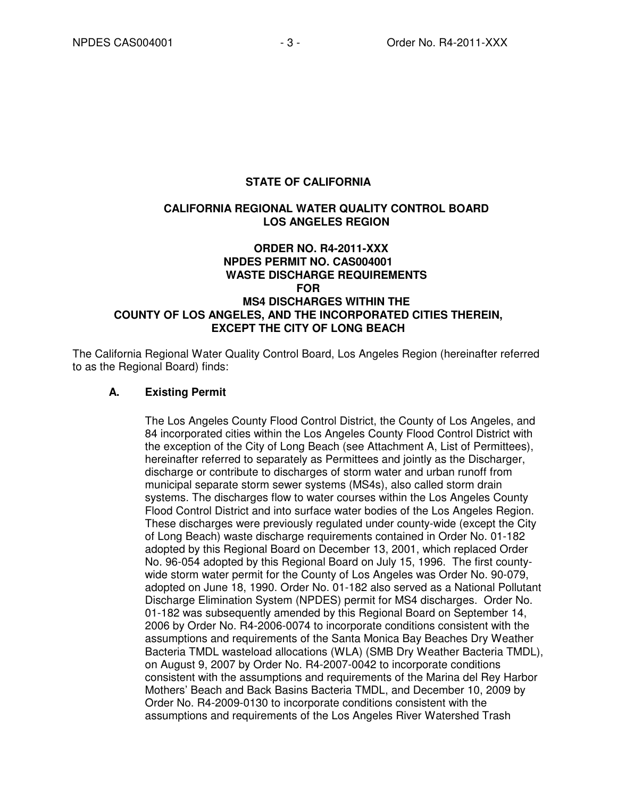#### **STATE OF CALIFORNIA**

#### **CALIFORNIA REGIONAL WATER QUALITY CONTROL BOARD LOS ANGELES REGION**

# **ORDER NO. R4-2011-XXX NPDES PERMIT NO. CAS004001 WASTE DISCHARGE REQUIREMENTS FOR MS4 DISCHARGES WITHIN THE COUNTY OF LOS ANGELES, AND THE INCORPORATED CITIES THEREIN, EXCEPT THE CITY OF LONG BEACH**

The California Regional Water Quality Control Board, Los Angeles Region (hereinafter referred to as the Regional Board) finds:

#### **A. Existing Permit**

The Los Angeles County Flood Control District, the County of Los Angeles, and 84 incorporated cities within the Los Angeles County Flood Control District with the exception of the City of Long Beach (see Attachment A, List of Permittees), hereinafter referred to separately as Permittees and jointly as the Discharger, discharge or contribute to discharges of storm water and urban runoff from municipal separate storm sewer systems (MS4s), also called storm drain systems. The discharges flow to water courses within the Los Angeles County Flood Control District and into surface water bodies of the Los Angeles Region. These discharges were previously regulated under county-wide (except the City of Long Beach) waste discharge requirements contained in Order No. 01-182 adopted by this Regional Board on December 13, 2001, which replaced Order No. 96-054 adopted by this Regional Board on July 15, 1996. The first countywide storm water permit for the County of Los Angeles was Order No. 90-079, adopted on June 18, 1990. Order No. 01-182 also served as a National Pollutant Discharge Elimination System (NPDES) permit for MS4 discharges. Order No. 01-182 was subsequently amended by this Regional Board on September 14, 2006 by Order No. R4-2006-0074 to incorporate conditions consistent with the assumptions and requirements of the Santa Monica Bay Beaches Dry Weather Bacteria TMDL wasteload allocations (WLA) (SMB Dry Weather Bacteria TMDL), on August 9, 2007 by Order No. R4-2007-0042 to incorporate conditions consistent with the assumptions and requirements of the Marina del Rey Harbor Mothers' Beach and Back Basins Bacteria TMDL, and December 10, 2009 by Order No. R4-2009-0130 to incorporate conditions consistent with the assumptions and requirements of the Los Angeles River Watershed Trash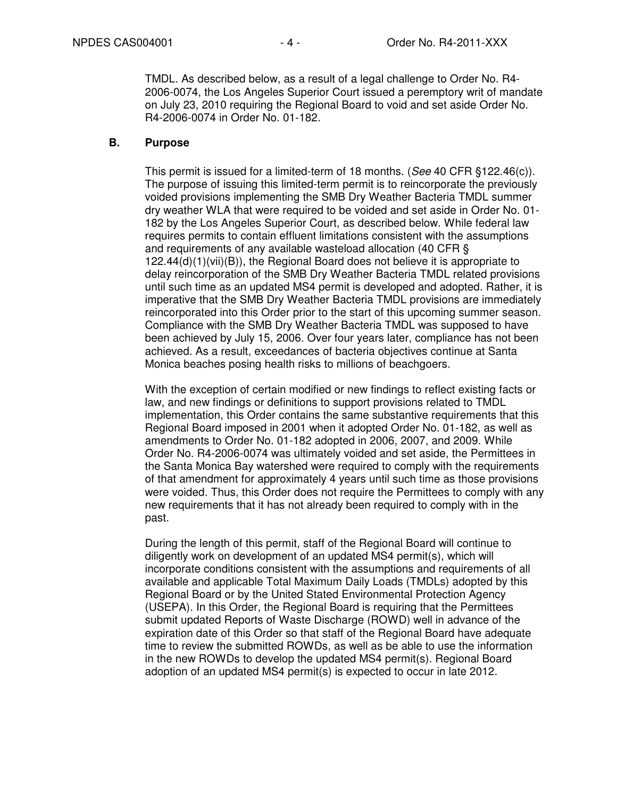TMDL. As described below, as a result of a legal challenge to Order No. R4- 2006-0074, the Los Angeles Superior Court issued a peremptory writ of mandate on July 23, 2010 requiring the Regional Board to void and set aside Order No. R4-2006-0074 in Order No. 01-182.

#### **B. Purpose**

This permit is issued for a limited-term of 18 months. (See 40 CFR §122.46(c)). The purpose of issuing this limited-term permit is to reincorporate the previously voided provisions implementing the SMB Dry Weather Bacteria TMDL summer dry weather WLA that were required to be voided and set aside in Order No. 01- 182 by the Los Angeles Superior Court, as described below. While federal law requires permits to contain effluent limitations consistent with the assumptions and requirements of any available wasteload allocation (40 CFR § 122.44(d)(1)(vii)(B)), the Regional Board does not believe it is appropriate to delay reincorporation of the SMB Dry Weather Bacteria TMDL related provisions until such time as an updated MS4 permit is developed and adopted. Rather, it is imperative that the SMB Dry Weather Bacteria TMDL provisions are immediately reincorporated into this Order prior to the start of this upcoming summer season. Compliance with the SMB Dry Weather Bacteria TMDL was supposed to have been achieved by July 15, 2006. Over four years later, compliance has not been achieved. As a result, exceedances of bacteria objectives continue at Santa Monica beaches posing health risks to millions of beachgoers.

With the exception of certain modified or new findings to reflect existing facts or law, and new findings or definitions to support provisions related to TMDL implementation, this Order contains the same substantive requirements that this Regional Board imposed in 2001 when it adopted Order No. 01-182, as well as amendments to Order No. 01-182 adopted in 2006, 2007, and 2009. While Order No. R4-2006-0074 was ultimately voided and set aside, the Permittees in the Santa Monica Bay watershed were required to comply with the requirements of that amendment for approximately 4 years until such time as those provisions were voided. Thus, this Order does not require the Permittees to comply with any new requirements that it has not already been required to comply with in the past.

During the length of this permit, staff of the Regional Board will continue to diligently work on development of an updated MS4 permit(s), which will incorporate conditions consistent with the assumptions and requirements of all available and applicable Total Maximum Daily Loads (TMDLs) adopted by this Regional Board or by the United Stated Environmental Protection Agency (USEPA). In this Order, the Regional Board is requiring that the Permittees submit updated Reports of Waste Discharge (ROWD) well in advance of the expiration date of this Order so that staff of the Regional Board have adequate time to review the submitted ROWDs, as well as be able to use the information in the new ROWDs to develop the updated MS4 permit(s). Regional Board adoption of an updated MS4 permit(s) is expected to occur in late 2012.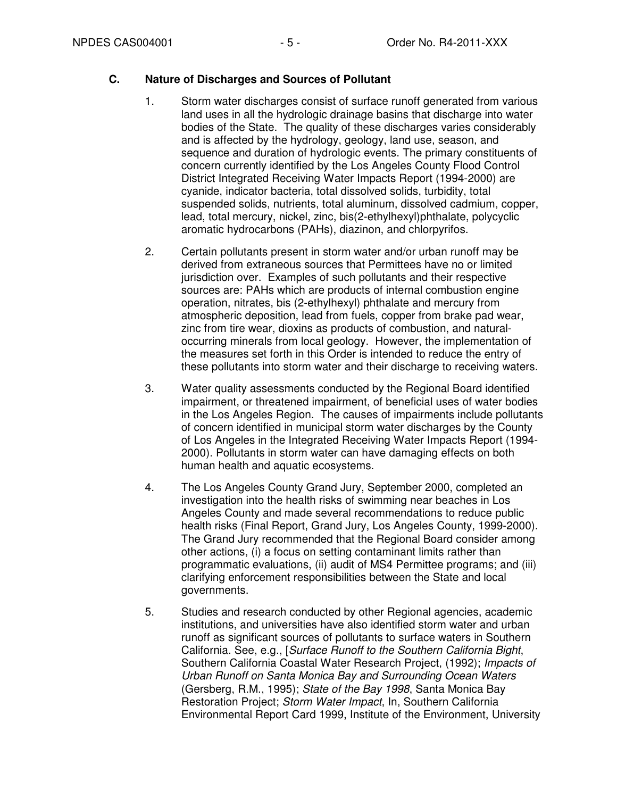### **C. Nature of Discharges and Sources of Pollutant**

- 1. Storm water discharges consist of surface runoff generated from various land uses in all the hydrologic drainage basins that discharge into water bodies of the State. The quality of these discharges varies considerably and is affected by the hydrology, geology, land use, season, and sequence and duration of hydrologic events. The primary constituents of concern currently identified by the Los Angeles County Flood Control District Integrated Receiving Water Impacts Report (1994-2000) are cyanide, indicator bacteria, total dissolved solids, turbidity, total suspended solids, nutrients, total aluminum, dissolved cadmium, copper, lead, total mercury, nickel, zinc, bis(2-ethylhexyl)phthalate, polycyclic aromatic hydrocarbons (PAHs), diazinon, and chlorpyrifos.
- 2. Certain pollutants present in storm water and/or urban runoff may be derived from extraneous sources that Permittees have no or limited jurisdiction over. Examples of such pollutants and their respective sources are: PAHs which are products of internal combustion engine operation, nitrates, bis (2-ethylhexyl) phthalate and mercury from atmospheric deposition, lead from fuels, copper from brake pad wear, zinc from tire wear, dioxins as products of combustion, and naturaloccurring minerals from local geology. However, the implementation of the measures set forth in this Order is intended to reduce the entry of these pollutants into storm water and their discharge to receiving waters.
- 3. Water quality assessments conducted by the Regional Board identified impairment, or threatened impairment, of beneficial uses of water bodies in the Los Angeles Region. The causes of impairments include pollutants of concern identified in municipal storm water discharges by the County of Los Angeles in the Integrated Receiving Water Impacts Report (1994- 2000). Pollutants in storm water can have damaging effects on both human health and aquatic ecosystems.
- 4. The Los Angeles County Grand Jury, September 2000, completed an investigation into the health risks of swimming near beaches in Los Angeles County and made several recommendations to reduce public health risks (Final Report, Grand Jury, Los Angeles County, 1999-2000). The Grand Jury recommended that the Regional Board consider among other actions, (i) a focus on setting contaminant limits rather than programmatic evaluations, (ii) audit of MS4 Permittee programs; and (iii) clarifying enforcement responsibilities between the State and local governments.
- 5. Studies and research conducted by other Regional agencies, academic institutions, and universities have also identified storm water and urban runoff as significant sources of pollutants to surface waters in Southern California. See, e.g., [Surface Runoff to the Southern California Bight, Southern California Coastal Water Research Project, (1992); Impacts of Urban Runoff on Santa Monica Bay and Surrounding Ocean Waters (Gersberg, R.M., 1995); State of the Bay 1998, Santa Monica Bay Restoration Project; Storm Water Impact, In, Southern California Environmental Report Card 1999, Institute of the Environment, University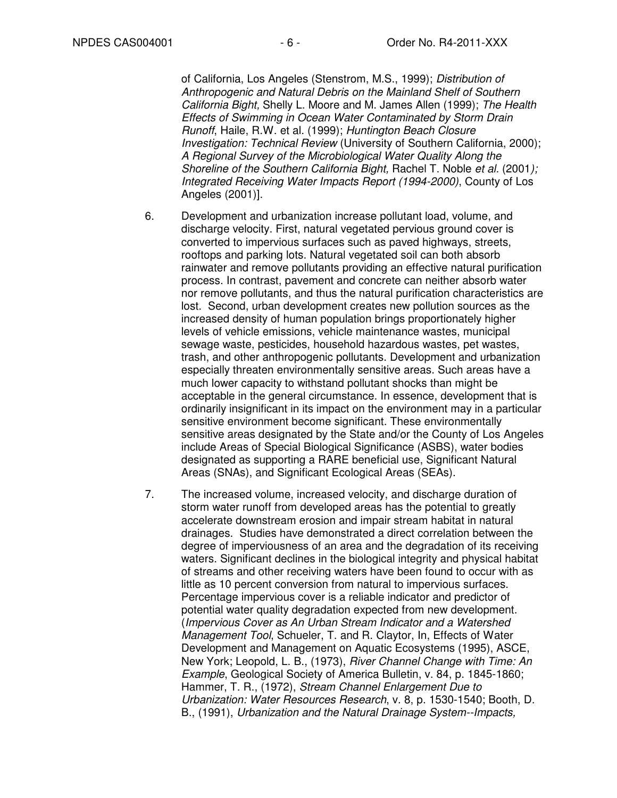of California, Los Angeles (Stenstrom, M.S., 1999); Distribution of Anthropogenic and Natural Debris on the Mainland Shelf of Southern California Bight, Shelly L. Moore and M. James Allen (1999); The Health Effects of Swimming in Ocean Water Contaminated by Storm Drain Runoff, Haile, R.W. et al. (1999); Huntington Beach Closure Investigation: Technical Review (University of Southern California, 2000); A Regional Survey of the Microbiological Water Quality Along the Shoreline of the Southern California Bight, Rachel T. Noble et al. (2001); Integrated Receiving Water Impacts Report (1994-2000), County of Los Angeles (2001)].

- 6. Development and urbanization increase pollutant load, volume, and discharge velocity. First, natural vegetated pervious ground cover is converted to impervious surfaces such as paved highways, streets, rooftops and parking lots. Natural vegetated soil can both absorb rainwater and remove pollutants providing an effective natural purification process. In contrast, pavement and concrete can neither absorb water nor remove pollutants, and thus the natural purification characteristics are lost. Second, urban development creates new pollution sources as the increased density of human population brings proportionately higher levels of vehicle emissions, vehicle maintenance wastes, municipal sewage waste, pesticides, household hazardous wastes, pet wastes, trash, and other anthropogenic pollutants. Development and urbanization especially threaten environmentally sensitive areas. Such areas have a much lower capacity to withstand pollutant shocks than might be acceptable in the general circumstance. In essence, development that is ordinarily insignificant in its impact on the environment may in a particular sensitive environment become significant. These environmentally sensitive areas designated by the State and/or the County of Los Angeles include Areas of Special Biological Significance (ASBS), water bodies designated as supporting a RARE beneficial use, Significant Natural Areas (SNAs), and Significant Ecological Areas (SEAs).
- 7. The increased volume, increased velocity, and discharge duration of storm water runoff from developed areas has the potential to greatly accelerate downstream erosion and impair stream habitat in natural drainages. Studies have demonstrated a direct correlation between the degree of imperviousness of an area and the degradation of its receiving waters. Significant declines in the biological integrity and physical habitat of streams and other receiving waters have been found to occur with as little as 10 percent conversion from natural to impervious surfaces. Percentage impervious cover is a reliable indicator and predictor of potential water quality degradation expected from new development. (Impervious Cover as An Urban Stream Indicator and a Watershed Management Tool, Schueler, T. and R. Claytor, In, Effects of Water Development and Management on Aquatic Ecosystems (1995), ASCE, New York; Leopold, L. B., (1973), River Channel Change with Time: An Example, Geological Society of America Bulletin, v. 84, p. 1845-1860; Hammer, T. R., (1972), Stream Channel Enlargement Due to Urbanization: Water Resources Research, v. 8, p. 1530-1540; Booth, D. B., (1991), Urbanization and the Natural Drainage System--Impacts,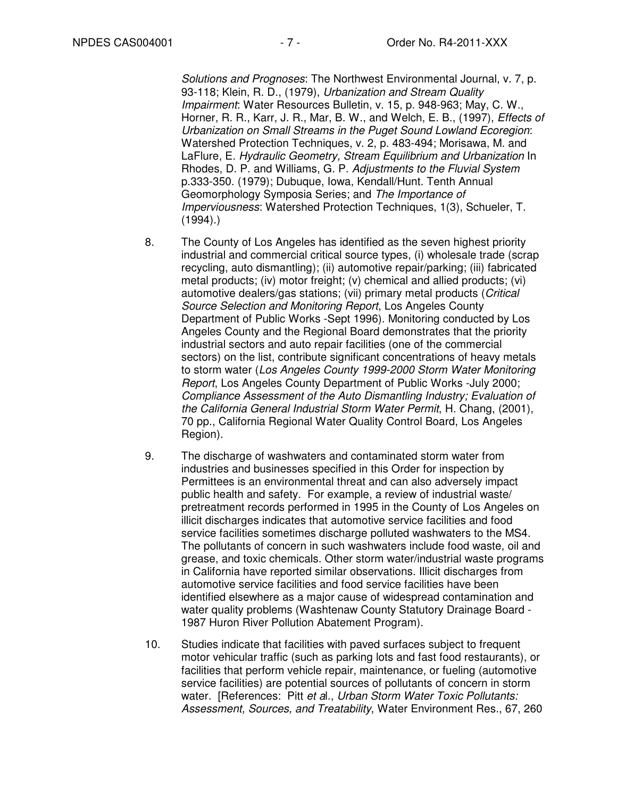Solutions and Prognoses: The Northwest Environmental Journal, v. 7, p. 93-118; Klein, R. D., (1979), Urbanization and Stream Quality Impairment: Water Resources Bulletin, v. 15, p. 948-963; May, C. W., Horner, R. R., Karr, J. R., Mar, B. W., and Welch, E. B., (1997), Effects of Urbanization on Small Streams in the Puget Sound Lowland Ecoregion: Watershed Protection Techniques, v. 2, p. 483-494; Morisawa, M. and LaFlure, E. Hydraulic Geometry, Stream Equilibrium and Urbanization In Rhodes, D. P. and Williams, G. P. Adjustments to the Fluvial System p.333-350. (1979); Dubuque, Iowa, Kendall/Hunt. Tenth Annual Geomorphology Symposia Series; and The Importance of Imperviousness: Watershed Protection Techniques, 1(3), Schueler, T.  $(1994).$ 

- 8. The County of Los Angeles has identified as the seven highest priority industrial and commercial critical source types, (i) wholesale trade (scrap recycling, auto dismantling); (ii) automotive repair/parking; (iii) fabricated metal products; (iv) motor freight; (v) chemical and allied products; (vi) automotive dealers/gas stations; (vii) primary metal products (Critical Source Selection and Monitoring Report, Los Angeles County Department of Public Works -Sept 1996). Monitoring conducted by Los Angeles County and the Regional Board demonstrates that the priority industrial sectors and auto repair facilities (one of the commercial sectors) on the list, contribute significant concentrations of heavy metals to storm water (Los Angeles County 1999-2000 Storm Water Monitoring Report, Los Angeles County Department of Public Works -July 2000; Compliance Assessment of the Auto Dismantling Industry; Evaluation of the California General Industrial Storm Water Permit, H. Chang, (2001), 70 pp., California Regional Water Quality Control Board, Los Angeles Region).
- 9. The discharge of washwaters and contaminated storm water from industries and businesses specified in this Order for inspection by Permittees is an environmental threat and can also adversely impact public health and safety. For example, a review of industrial waste/ pretreatment records performed in 1995 in the County of Los Angeles on illicit discharges indicates that automotive service facilities and food service facilities sometimes discharge polluted washwaters to the MS4. The pollutants of concern in such washwaters include food waste, oil and grease, and toxic chemicals. Other storm water/industrial waste programs in California have reported similar observations. Illicit discharges from automotive service facilities and food service facilities have been identified elsewhere as a major cause of widespread contamination and water quality problems (Washtenaw County Statutory Drainage Board - 1987 Huron River Pollution Abatement Program).
- 10. Studies indicate that facilities with paved surfaces subject to frequent motor vehicular traffic (such as parking lots and fast food restaurants), or facilities that perform vehicle repair, maintenance, or fueling (automotive service facilities) are potential sources of pollutants of concern in storm water. [References: Pitt et al., Urban Storm Water Toxic Pollutants: Assessment, Sources, and Treatability, Water Environment Res., 67, 260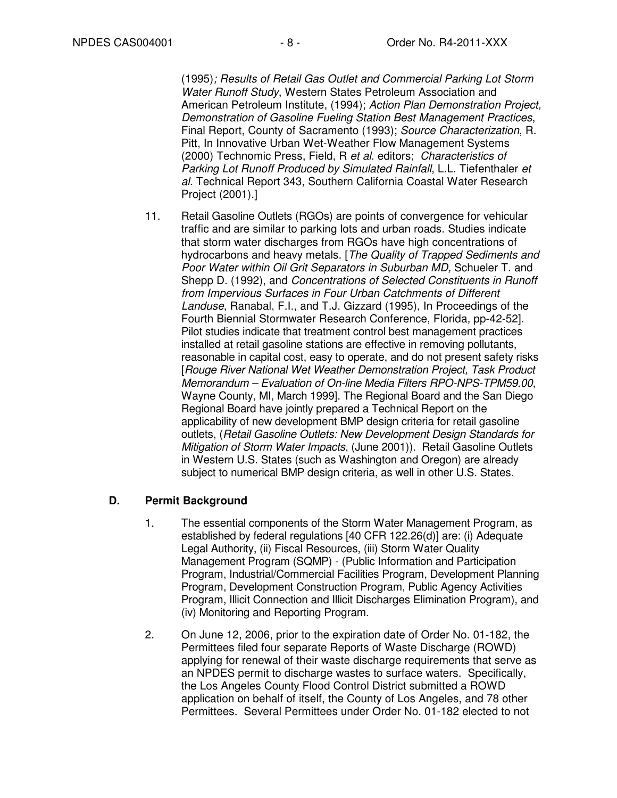(1995); Results of Retail Gas Outlet and Commercial Parking Lot Storm Water Runoff Study, Western States Petroleum Association and American Petroleum Institute, (1994); Action Plan Demonstration Project, Demonstration of Gasoline Fueling Station Best Management Practices, Final Report, County of Sacramento (1993); Source Characterization, R. Pitt, In Innovative Urban Wet-Weather Flow Management Systems (2000) Technomic Press, Field, R et al. editors; Characteristics of Parking Lot Runoff Produced by Simulated Rainfall, L.L. Tiefenthaler et al. Technical Report 343, Southern California Coastal Water Research Project (2001).]

11. Retail Gasoline Outlets (RGOs) are points of convergence for vehicular traffic and are similar to parking lots and urban roads. Studies indicate that storm water discharges from RGOs have high concentrations of hydrocarbons and heavy metals. [The Quality of Trapped Sediments and Poor Water within Oil Grit Separators in Suburban MD, Schueler T. and Shepp D. (1992), and Concentrations of Selected Constituents in Runoff from Impervious Surfaces in Four Urban Catchments of Different Landuse, Ranabal, F.I., and T.J. Gizzard (1995), In Proceedings of the Fourth Biennial Stormwater Research Conference, Florida, pp-42-52]. Pilot studies indicate that treatment control best management practices installed at retail gasoline stations are effective in removing pollutants, reasonable in capital cost, easy to operate, and do not present safety risks [Rouge River National Wet Weather Demonstration Project, Task Product Memorandum – Evaluation of On-line Media Filters RPO-NPS-TPM59.00, Wayne County, MI, March 1999]. The Regional Board and the San Diego Regional Board have jointly prepared a Technical Report on the applicability of new development BMP design criteria for retail gasoline outlets, (Retail Gasoline Outlets: New Development Design Standards for Mitigation of Storm Water Impacts, (June 2001)). Retail Gasoline Outlets in Western U.S. States (such as Washington and Oregon) are already subject to numerical BMP design criteria, as well in other U.S. States.

### **D. Permit Background**

- 1. The essential components of the Storm Water Management Program, as established by federal regulations [40 CFR 122.26(d)] are: (i) Adequate Legal Authority, (ii) Fiscal Resources, (iii) Storm Water Quality Management Program (SQMP) - (Public Information and Participation Program, Industrial/Commercial Facilities Program, Development Planning Program, Development Construction Program, Public Agency Activities Program, Illicit Connection and Illicit Discharges Elimination Program), and (iv) Monitoring and Reporting Program.
- 2. On June 12, 2006, prior to the expiration date of Order No. 01-182, the Permittees filed four separate Reports of Waste Discharge (ROWD) applying for renewal of their waste discharge requirements that serve as an NPDES permit to discharge wastes to surface waters. Specifically, the Los Angeles County Flood Control District submitted a ROWD application on behalf of itself, the County of Los Angeles, and 78 other Permittees. Several Permittees under Order No. 01-182 elected to not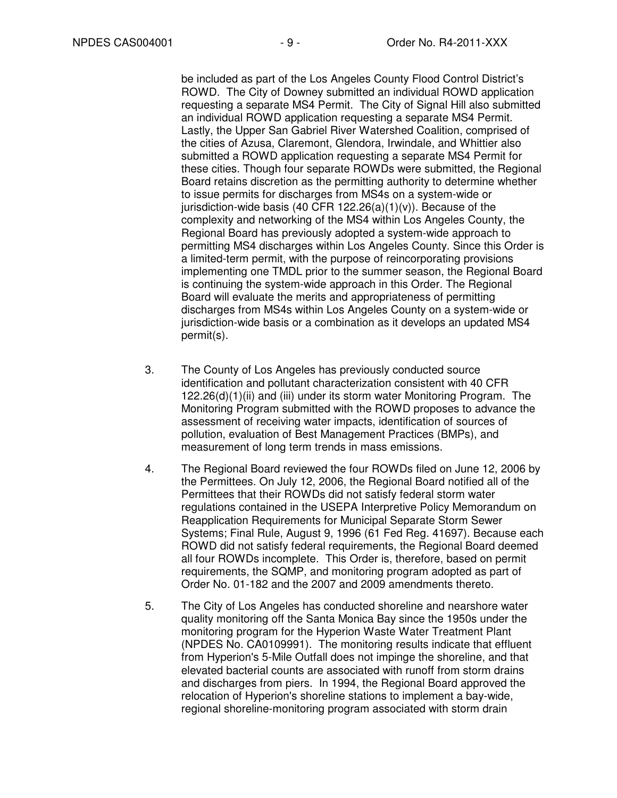be included as part of the Los Angeles County Flood Control District's ROWD. The City of Downey submitted an individual ROWD application requesting a separate MS4 Permit. The City of Signal Hill also submitted an individual ROWD application requesting a separate MS4 Permit. Lastly, the Upper San Gabriel River Watershed Coalition, comprised of the cities of Azusa, Claremont, Glendora, Irwindale, and Whittier also submitted a ROWD application requesting a separate MS4 Permit for these cities. Though four separate ROWDs were submitted, the Regional Board retains discretion as the permitting authority to determine whether to issue permits for discharges from MS4s on a system-wide or jurisdiction-wide basis (40 CFR  $122.26(a)(1)(v)$ ). Because of the complexity and networking of the MS4 within Los Angeles County, the Regional Board has previously adopted a system-wide approach to permitting MS4 discharges within Los Angeles County. Since this Order is a limited-term permit, with the purpose of reincorporating provisions implementing one TMDL prior to the summer season, the Regional Board is continuing the system-wide approach in this Order. The Regional Board will evaluate the merits and appropriateness of permitting discharges from MS4s within Los Angeles County on a system-wide or jurisdiction-wide basis or a combination as it develops an updated MS4 permit(s).

- 3. The County of Los Angeles has previously conducted source identification and pollutant characterization consistent with 40 CFR 122.26(d)(1)(ii) and (iii) under its storm water Monitoring Program. The Monitoring Program submitted with the ROWD proposes to advance the assessment of receiving water impacts, identification of sources of pollution, evaluation of Best Management Practices (BMPs), and measurement of long term trends in mass emissions.
- 4. The Regional Board reviewed the four ROWDs filed on June 12, 2006 by the Permittees. On July 12, 2006, the Regional Board notified all of the Permittees that their ROWDs did not satisfy federal storm water regulations contained in the USEPA Interpretive Policy Memorandum on Reapplication Requirements for Municipal Separate Storm Sewer Systems; Final Rule, August 9, 1996 (61 Fed Reg. 41697). Because each ROWD did not satisfy federal requirements, the Regional Board deemed all four ROWDs incomplete. This Order is, therefore, based on permit requirements, the SQMP, and monitoring program adopted as part of Order No. 01-182 and the 2007 and 2009 amendments thereto.
- 5. The City of Los Angeles has conducted shoreline and nearshore water quality monitoring off the Santa Monica Bay since the 1950s under the monitoring program for the Hyperion Waste Water Treatment Plant (NPDES No. CA0109991). The monitoring results indicate that effluent from Hyperion's 5-Mile Outfall does not impinge the shoreline, and that elevated bacterial counts are associated with runoff from storm drains and discharges from piers. In 1994, the Regional Board approved the relocation of Hyperion's shoreline stations to implement a bay-wide, regional shoreline-monitoring program associated with storm drain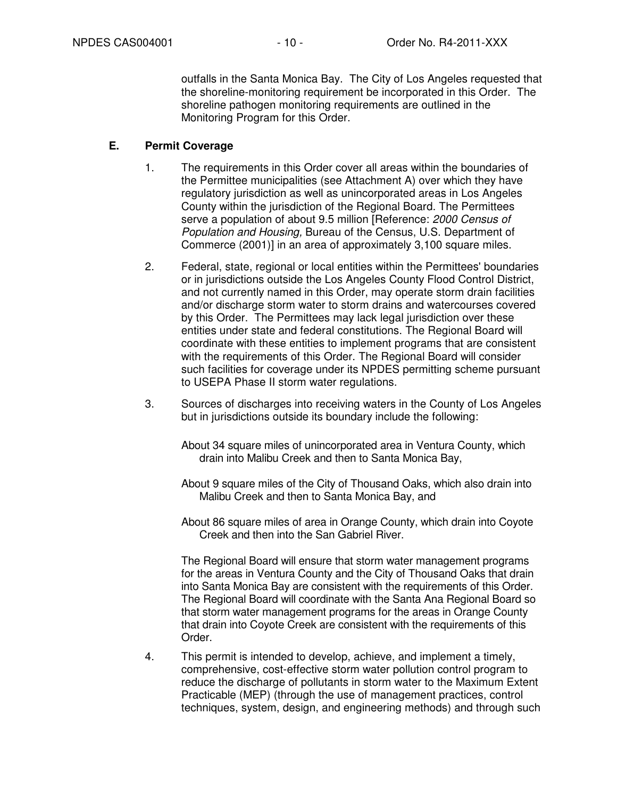outfalls in the Santa Monica Bay. The City of Los Angeles requested that the shoreline-monitoring requirement be incorporated in this Order. The shoreline pathogen monitoring requirements are outlined in the Monitoring Program for this Order.

#### **E. Permit Coverage**

- 1. The requirements in this Order cover all areas within the boundaries of the Permittee municipalities (see Attachment A) over which they have regulatory jurisdiction as well as unincorporated areas in Los Angeles County within the jurisdiction of the Regional Board. The Permittees serve a population of about 9.5 million [Reference: 2000 Census of Population and Housing, Bureau of the Census, U.S. Department of Commerce (2001)] in an area of approximately 3,100 square miles.
- 2. Federal, state, regional or local entities within the Permittees' boundaries or in jurisdictions outside the Los Angeles County Flood Control District, and not currently named in this Order, may operate storm drain facilities and/or discharge storm water to storm drains and watercourses covered by this Order. The Permittees may lack legal jurisdiction over these entities under state and federal constitutions. The Regional Board will coordinate with these entities to implement programs that are consistent with the requirements of this Order. The Regional Board will consider such facilities for coverage under its NPDES permitting scheme pursuant to USEPA Phase II storm water regulations.
- 3. Sources of discharges into receiving waters in the County of Los Angeles but in jurisdictions outside its boundary include the following:
	- About 34 square miles of unincorporated area in Ventura County, which drain into Malibu Creek and then to Santa Monica Bay,
	- About 9 square miles of the City of Thousand Oaks, which also drain into Malibu Creek and then to Santa Monica Bay, and
	- About 86 square miles of area in Orange County, which drain into Coyote Creek and then into the San Gabriel River.

 The Regional Board will ensure that storm water management programs for the areas in Ventura County and the City of Thousand Oaks that drain into Santa Monica Bay are consistent with the requirements of this Order. The Regional Board will coordinate with the Santa Ana Regional Board so that storm water management programs for the areas in Orange County that drain into Coyote Creek are consistent with the requirements of this Order.

4. This permit is intended to develop, achieve, and implement a timely, comprehensive, cost-effective storm water pollution control program to reduce the discharge of pollutants in storm water to the Maximum Extent Practicable (MEP) (through the use of management practices, control techniques, system, design, and engineering methods) and through such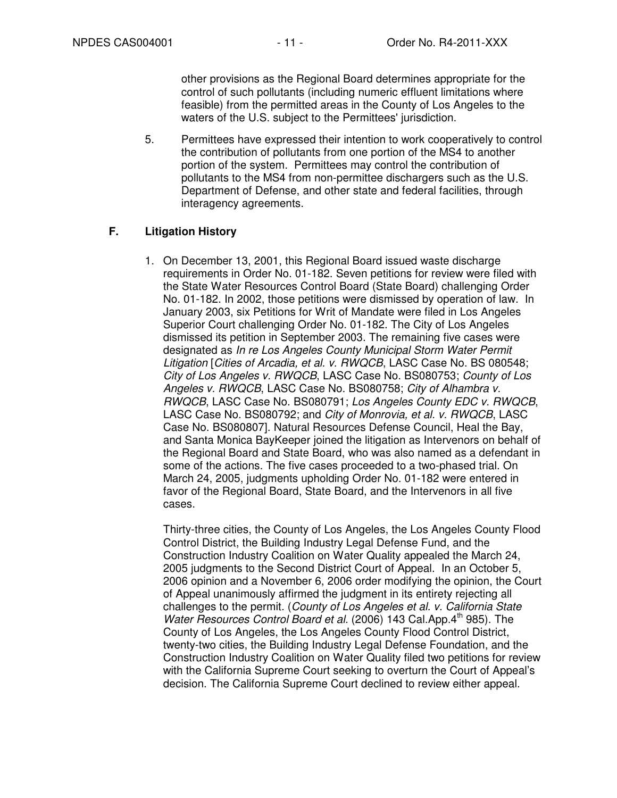other provisions as the Regional Board determines appropriate for the control of such pollutants (including numeric effluent limitations where feasible) from the permitted areas in the County of Los Angeles to the waters of the U.S. subject to the Permittees' jurisdiction.

5. Permittees have expressed their intention to work cooperatively to control the contribution of pollutants from one portion of the MS4 to another portion of the system. Permittees may control the contribution of pollutants to the MS4 from non-permittee dischargers such as the U.S. Department of Defense, and other state and federal facilities, through interagency agreements.

# **F. Litigation History**

1. On December 13, 2001, this Regional Board issued waste discharge requirements in Order No. 01-182. Seven petitions for review were filed with the State Water Resources Control Board (State Board) challenging Order No. 01-182. In 2002, those petitions were dismissed by operation of law. In January 2003, six Petitions for Writ of Mandate were filed in Los Angeles Superior Court challenging Order No. 01-182. The City of Los Angeles dismissed its petition in September 2003. The remaining five cases were designated as In re Los Angeles County Municipal Storm Water Permit Litigation [Cities of Arcadia, et al. v. RWQCB, LASC Case No. BS 080548; City of Los Angeles v. RWQCB, LASC Case No. BS080753; County of Los Angeles v. RWQCB, LASC Case No. BS080758; City of Alhambra v. RWQCB, LASC Case No. BS080791; Los Angeles County EDC v. RWQCB, LASC Case No. BS080792; and City of Monrovia, et al. v. RWQCB, LASC Case No. BS080807]. Natural Resources Defense Council, Heal the Bay, and Santa Monica BayKeeper joined the litigation as Intervenors on behalf of the Regional Board and State Board, who was also named as a defendant in some of the actions. The five cases proceeded to a two-phased trial. On March 24, 2005, judgments upholding Order No. 01-182 were entered in favor of the Regional Board, State Board, and the Intervenors in all five cases.

Thirty-three cities, the County of Los Angeles, the Los Angeles County Flood Control District, the Building Industry Legal Defense Fund, and the Construction Industry Coalition on Water Quality appealed the March 24, 2005 judgments to the Second District Court of Appeal. In an October 5, 2006 opinion and a November 6, 2006 order modifying the opinion, the Court of Appeal unanimously affirmed the judgment in its entirety rejecting all challenges to the permit. (County of Los Angeles et al. v. California State Water Resources Control Board et al. (2006) 143 Cal.App.4<sup>th</sup> 985). The County of Los Angeles, the Los Angeles County Flood Control District, twenty-two cities, the Building Industry Legal Defense Foundation, and the Construction Industry Coalition on Water Quality filed two petitions for review with the California Supreme Court seeking to overturn the Court of Appeal's decision. The California Supreme Court declined to review either appeal.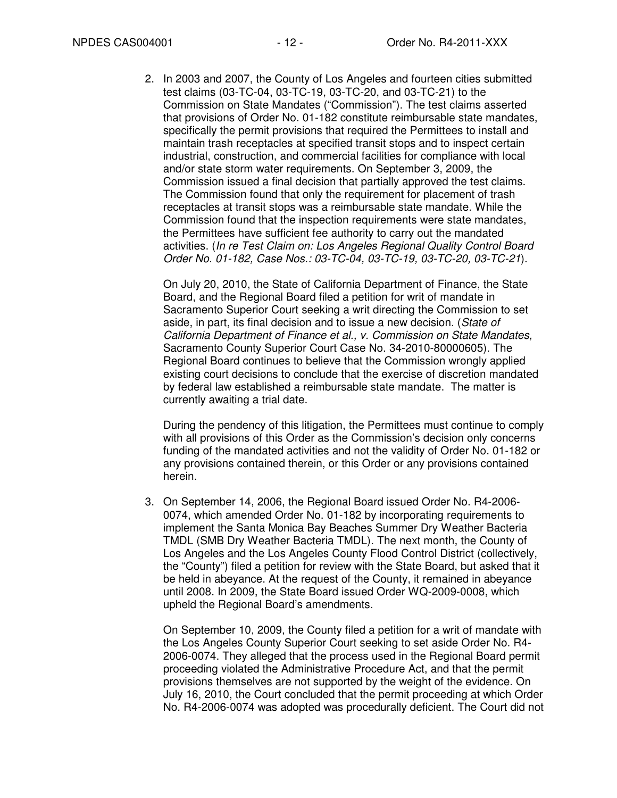2. In 2003 and 2007, the County of Los Angeles and fourteen cities submitted test claims (03-TC-04, 03-TC-19, 03-TC-20, and 03-TC-21) to the Commission on State Mandates ("Commission"). The test claims asserted that provisions of Order No. 01-182 constitute reimbursable state mandates, specifically the permit provisions that required the Permittees to install and maintain trash receptacles at specified transit stops and to inspect certain industrial, construction, and commercial facilities for compliance with local and/or state storm water requirements. On September 3, 2009, the Commission issued a final decision that partially approved the test claims. The Commission found that only the requirement for placement of trash receptacles at transit stops was a reimbursable state mandate. While the Commission found that the inspection requirements were state mandates, the Permittees have sufficient fee authority to carry out the mandated activities. (In re Test Claim on: Los Angeles Regional Quality Control Board Order No. 01-182, Case Nos.: 03-TC-04, 03-TC-19, 03-TC-20, 03-TC-21).

On July 20, 2010, the State of California Department of Finance, the State Board, and the Regional Board filed a petition for writ of mandate in Sacramento Superior Court seeking a writ directing the Commission to set aside, in part, its final decision and to issue a new decision. (State of California Department of Finance et al., v. Commission on State Mandates, Sacramento County Superior Court Case No. 34-2010-80000605). The Regional Board continues to believe that the Commission wrongly applied existing court decisions to conclude that the exercise of discretion mandated by federal law established a reimbursable state mandate. The matter is currently awaiting a trial date.

During the pendency of this litigation, the Permittees must continue to comply with all provisions of this Order as the Commission's decision only concerns funding of the mandated activities and not the validity of Order No. 01-182 or any provisions contained therein, or this Order or any provisions contained herein.

3. On September 14, 2006, the Regional Board issued Order No. R4-2006- 0074, which amended Order No. 01-182 by incorporating requirements to implement the Santa Monica Bay Beaches Summer Dry Weather Bacteria TMDL (SMB Dry Weather Bacteria TMDL). The next month, the County of Los Angeles and the Los Angeles County Flood Control District (collectively, the "County") filed a petition for review with the State Board, but asked that it be held in abeyance. At the request of the County, it remained in abeyance until 2008. In 2009, the State Board issued Order WQ-2009-0008, which upheld the Regional Board's amendments.

On September 10, 2009, the County filed a petition for a writ of mandate with the Los Angeles County Superior Court seeking to set aside Order No. R4- 2006-0074. They alleged that the process used in the Regional Board permit proceeding violated the Administrative Procedure Act, and that the permit provisions themselves are not supported by the weight of the evidence. On July 16, 2010, the Court concluded that the permit proceeding at which Order No. R4-2006-0074 was adopted was procedurally deficient. The Court did not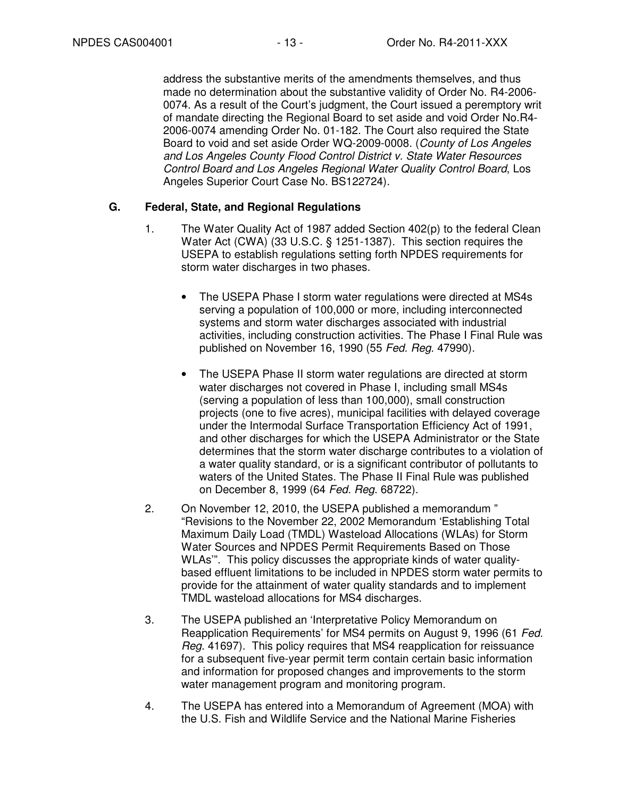address the substantive merits of the amendments themselves, and thus made no determination about the substantive validity of Order No. R4-2006- 0074. As a result of the Court's judgment, the Court issued a peremptory writ of mandate directing the Regional Board to set aside and void Order No.R4- 2006-0074 amending Order No. 01-182. The Court also required the State Board to void and set aside Order WQ-2009-0008. (County of Los Angeles and Los Angeles County Flood Control District v. State Water Resources Control Board and Los Angeles Regional Water Quality Control Board, Los Angeles Superior Court Case No. BS122724).

# **G. Federal, State, and Regional Regulations**

- 1. The Water Quality Act of 1987 added Section 402(p) to the federal Clean Water Act (CWA) (33 U.S.C. § 1251-1387). This section requires the USEPA to establish regulations setting forth NPDES requirements for storm water discharges in two phases.
	- The USEPA Phase I storm water regulations were directed at MS4s serving a population of 100,000 or more, including interconnected systems and storm water discharges associated with industrial activities, including construction activities. The Phase I Final Rule was published on November 16, 1990 (55 Fed. Reg. 47990).
	- The USEPA Phase II storm water regulations are directed at storm water discharges not covered in Phase I, including small MS4s (serving a population of less than 100,000), small construction projects (one to five acres), municipal facilities with delayed coverage under the Intermodal Surface Transportation Efficiency Act of 1991, and other discharges for which the USEPA Administrator or the State determines that the storm water discharge contributes to a violation of a water quality standard, or is a significant contributor of pollutants to waters of the United States. The Phase II Final Rule was published on December 8, 1999 (64 Fed. Reg. 68722).
- 2. On November 12, 2010, the USEPA published a memorandum " "Revisions to the November 22, 2002 Memorandum 'Establishing Total Maximum Daily Load (TMDL) Wasteload Allocations (WLAs) for Storm Water Sources and NPDES Permit Requirements Based on Those WLAs'". This policy discusses the appropriate kinds of water qualitybased effluent limitations to be included in NPDES storm water permits to provide for the attainment of water quality standards and to implement TMDL wasteload allocations for MS4 discharges.
- 3. The USEPA published an 'Interpretative Policy Memorandum on Reapplication Requirements' for MS4 permits on August 9, 1996 (61 Fed. Reg. 41697). This policy requires that MS4 reapplication for reissuance for a subsequent five-year permit term contain certain basic information and information for proposed changes and improvements to the storm water management program and monitoring program.
- 4. The USEPA has entered into a Memorandum of Agreement (MOA) with the U.S. Fish and Wildlife Service and the National Marine Fisheries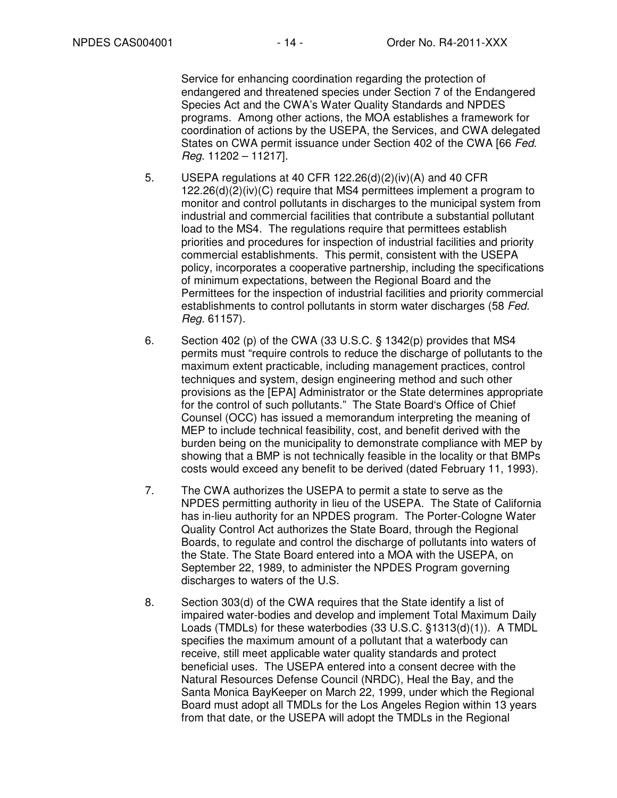Service for enhancing coordination regarding the protection of endangered and threatened species under Section 7 of the Endangered Species Act and the CWA's Water Quality Standards and NPDES programs. Among other actions, the MOA establishes a framework for coordination of actions by the USEPA, the Services, and CWA delegated States on CWA permit issuance under Section 402 of the CWA [66 Fed. Reg. 11202 – 11217].

- 5. USEPA regulations at 40 CFR 122.26(d)(2)(iv)(A) and 40 CFR 122.26(d)(2)(iv)(C) require that MS4 permittees implement a program to monitor and control pollutants in discharges to the municipal system from industrial and commercial facilities that contribute a substantial pollutant load to the MS4. The regulations require that permittees establish priorities and procedures for inspection of industrial facilities and priority commercial establishments. This permit, consistent with the USEPA policy, incorporates a cooperative partnership, including the specifications of minimum expectations, between the Regional Board and the Permittees for the inspection of industrial facilities and priority commercial establishments to control pollutants in storm water discharges (58 Fed. Reg. 61157).
- 6. Section 402 (p) of the CWA (33 U.S.C. § 1342(p) provides that MS4 permits must "require controls to reduce the discharge of pollutants to the maximum extent practicable, including management practices, control techniques and system, design engineering method and such other provisions as the [EPA] Administrator or the State determines appropriate for the control of such pollutants." The State Board's Office of Chief Counsel (OCC) has issued a memorandum interpreting the meaning of MEP to include technical feasibility, cost, and benefit derived with the burden being on the municipality to demonstrate compliance with MEP by showing that a BMP is not technically feasible in the locality or that BMPs costs would exceed any benefit to be derived (dated February 11, 1993).
- 7. The CWA authorizes the USEPA to permit a state to serve as the NPDES permitting authority in lieu of the USEPA. The State of California has in-lieu authority for an NPDES program. The Porter-Cologne Water Quality Control Act authorizes the State Board, through the Regional Boards, to regulate and control the discharge of pollutants into waters of the State. The State Board entered into a MOA with the USEPA, on September 22, 1989, to administer the NPDES Program governing discharges to waters of the U.S.
- 8. Section 303(d) of the CWA requires that the State identify a list of impaired water-bodies and develop and implement Total Maximum Daily Loads (TMDLs) for these waterbodies (33 U.S.C. §1313(d)(1)). A TMDL specifies the maximum amount of a pollutant that a waterbody can receive, still meet applicable water quality standards and protect beneficial uses. The USEPA entered into a consent decree with the Natural Resources Defense Council (NRDC), Heal the Bay, and the Santa Monica BayKeeper on March 22, 1999, under which the Regional Board must adopt all TMDLs for the Los Angeles Region within 13 years from that date, or the USEPA will adopt the TMDLs in the Regional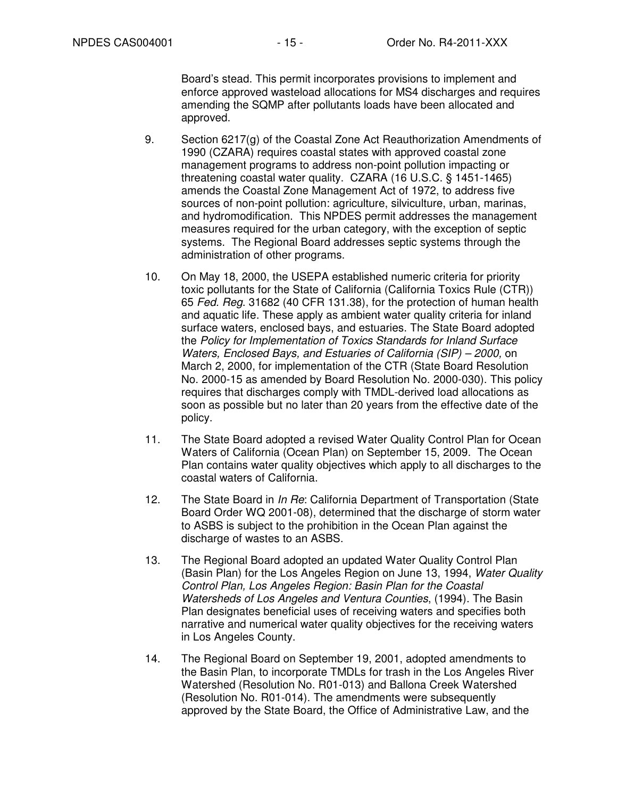Board's stead. This permit incorporates provisions to implement and enforce approved wasteload allocations for MS4 discharges and requires amending the SQMP after pollutants loads have been allocated and approved.

- 9. Section 6217(g) of the Coastal Zone Act Reauthorization Amendments of 1990 (CZARA) requires coastal states with approved coastal zone management programs to address non-point pollution impacting or threatening coastal water quality. CZARA (16 U.S.C. § 1451-1465) amends the Coastal Zone Management Act of 1972, to address five sources of non-point pollution: agriculture, silviculture, urban, marinas, and hydromodification. This NPDES permit addresses the management measures required for the urban category, with the exception of septic systems. The Regional Board addresses septic systems through the administration of other programs.
- 10. On May 18, 2000, the USEPA established numeric criteria for priority toxic pollutants for the State of California (California Toxics Rule (CTR)) 65 Fed. Reg. 31682 (40 CFR 131.38), for the protection of human health and aquatic life. These apply as ambient water quality criteria for inland surface waters, enclosed bays, and estuaries. The State Board adopted the Policy for Implementation of Toxics Standards for Inland Surface Waters, Enclosed Bays, and Estuaries of California (SIP) – 2000, on March 2, 2000, for implementation of the CTR (State Board Resolution No. 2000-15 as amended by Board Resolution No. 2000-030). This policy requires that discharges comply with TMDL-derived load allocations as soon as possible but no later than 20 years from the effective date of the policy.
- 11. The State Board adopted a revised Water Quality Control Plan for Ocean Waters of California (Ocean Plan) on September 15, 2009. The Ocean Plan contains water quality objectives which apply to all discharges to the coastal waters of California.
- 12. The State Board in *In Re*: California Department of Transportation (State Board Order WQ 2001-08), determined that the discharge of storm water to ASBS is subject to the prohibition in the Ocean Plan against the discharge of wastes to an ASBS.
- 13. The Regional Board adopted an updated Water Quality Control Plan (Basin Plan) for the Los Angeles Region on June 13, 1994, Water Quality Control Plan, Los Angeles Region: Basin Plan for the Coastal Watersheds of Los Angeles and Ventura Counties, (1994). The Basin Plan designates beneficial uses of receiving waters and specifies both narrative and numerical water quality objectives for the receiving waters in Los Angeles County.
- 14. The Regional Board on September 19, 2001, adopted amendments to the Basin Plan, to incorporate TMDLs for trash in the Los Angeles River Watershed (Resolution No. R01-013) and Ballona Creek Watershed (Resolution No. R01-014). The amendments were subsequently approved by the State Board, the Office of Administrative Law, and the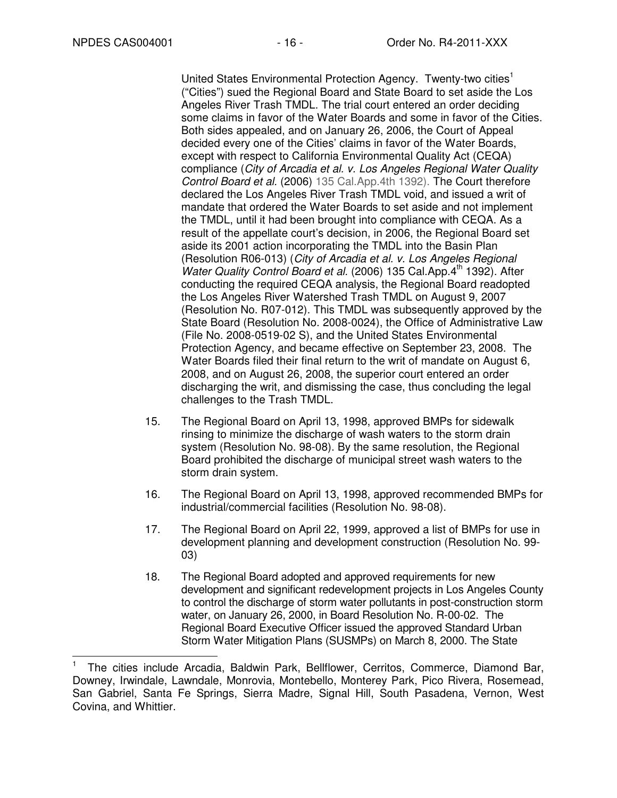j

United States Environmental Protection Agency. Twenty-two cities<sup>1</sup> ("Cities") sued the Regional Board and State Board to set aside the Los Angeles River Trash TMDL. The trial court entered an order deciding some claims in favor of the Water Boards and some in favor of the Cities. Both sides appealed, and on January 26, 2006, the Court of Appeal decided every one of the Cities' claims in favor of the Water Boards, except with respect to California Environmental Quality Act (CEQA) compliance (City of Arcadia et al. v. Los Angeles Regional Water Quality Control Board et al. (2006) 135 Cal.App.4th 1392). The Court therefore declared the Los Angeles River Trash TMDL void, and issued a writ of mandate that ordered the Water Boards to set aside and not implement the TMDL, until it had been brought into compliance with CEQA. As a result of the appellate court's decision, in 2006, the Regional Board set aside its 2001 action incorporating the TMDL into the Basin Plan (Resolution R06-013) (City of Arcadia et al. v. Los Angeles Regional Water Quality Control Board et al. (2006) 135 Cal.App.4<sup>th</sup> 1392). After conducting the required CEQA analysis, the Regional Board readopted the Los Angeles River Watershed Trash TMDL on August 9, 2007 (Resolution No. R07-012). This TMDL was subsequently approved by the State Board (Resolution No. 2008-0024), the Office of Administrative Law (File No. 2008-0519-02 S), and the United States Environmental Protection Agency, and became effective on September 23, 2008. The Water Boards filed their final return to the writ of mandate on August 6, 2008, and on August 26, 2008, the superior court entered an order discharging the writ, and dismissing the case, thus concluding the legal challenges to the Trash TMDL.

- 15. The Regional Board on April 13, 1998, approved BMPs for sidewalk rinsing to minimize the discharge of wash waters to the storm drain system (Resolution No. 98-08). By the same resolution, the Regional Board prohibited the discharge of municipal street wash waters to the storm drain system.
- 16. The Regional Board on April 13, 1998, approved recommended BMPs for industrial/commercial facilities (Resolution No. 98-08).
- 17. The Regional Board on April 22, 1999, approved a list of BMPs for use in development planning and development construction (Resolution No. 99- 03)
- 18. The Regional Board adopted and approved requirements for new development and significant redevelopment projects in Los Angeles County to control the discharge of storm water pollutants in post-construction storm water, on January 26, 2000, in Board Resolution No. R-00-02. The Regional Board Executive Officer issued the approved Standard Urban Storm Water Mitigation Plans (SUSMPs) on March 8, 2000. The State

<sup>1</sup> The cities include Arcadia, Baldwin Park, Bellflower, Cerritos, Commerce, Diamond Bar, Downey, Irwindale, Lawndale, Monrovia, Montebello, Monterey Park, Pico Rivera, Rosemead, San Gabriel, Santa Fe Springs, Sierra Madre, Signal Hill, South Pasadena, Vernon, West Covina, and Whittier.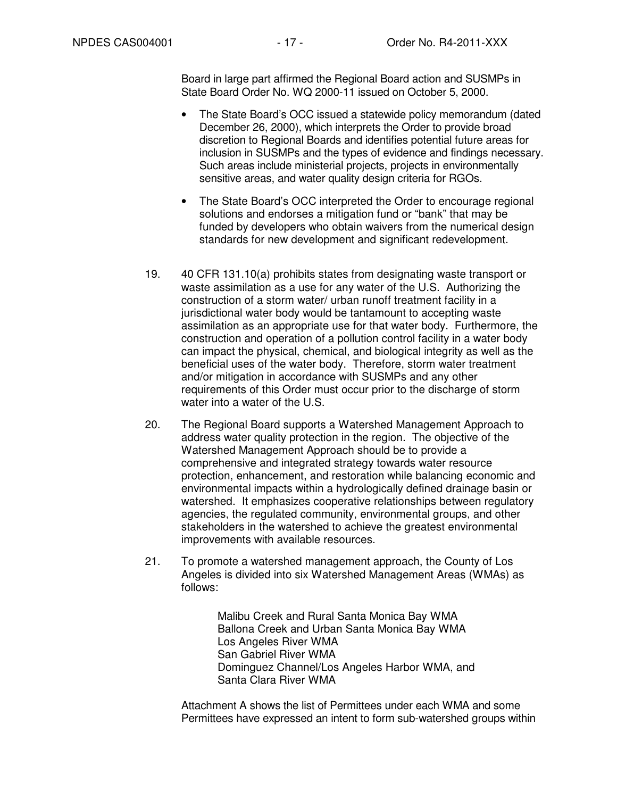Board in large part affirmed the Regional Board action and SUSMPs in State Board Order No. WQ 2000-11 issued on October 5, 2000.

- The State Board's OCC issued a statewide policy memorandum (dated December 26, 2000), which interprets the Order to provide broad discretion to Regional Boards and identifies potential future areas for inclusion in SUSMPs and the types of evidence and findings necessary. Such areas include ministerial projects, projects in environmentally sensitive areas, and water quality design criteria for RGOs.
- The State Board's OCC interpreted the Order to encourage regional solutions and endorses a mitigation fund or "bank" that may be funded by developers who obtain waivers from the numerical design standards for new development and significant redevelopment.
- 19. 40 CFR 131.10(a) prohibits states from designating waste transport or waste assimilation as a use for any water of the U.S. Authorizing the construction of a storm water/ urban runoff treatment facility in a jurisdictional water body would be tantamount to accepting waste assimilation as an appropriate use for that water body. Furthermore, the construction and operation of a pollution control facility in a water body can impact the physical, chemical, and biological integrity as well as the beneficial uses of the water body. Therefore, storm water treatment and/or mitigation in accordance with SUSMPs and any other requirements of this Order must occur prior to the discharge of storm water into a water of the U.S.
- 20. The Regional Board supports a Watershed Management Approach to address water quality protection in the region. The objective of the Watershed Management Approach should be to provide a comprehensive and integrated strategy towards water resource protection, enhancement, and restoration while balancing economic and environmental impacts within a hydrologically defined drainage basin or watershed. It emphasizes cooperative relationships between regulatory agencies, the regulated community, environmental groups, and other stakeholders in the watershed to achieve the greatest environmental improvements with available resources.
- 21. To promote a watershed management approach, the County of Los Angeles is divided into six Watershed Management Areas (WMAs) as follows:

Malibu Creek and Rural Santa Monica Bay WMA Ballona Creek and Urban Santa Monica Bay WMA Los Angeles River WMA San Gabriel River WMA Dominguez Channel/Los Angeles Harbor WMA, and Santa Clara River WMA

Attachment A shows the list of Permittees under each WMA and some Permittees have expressed an intent to form sub-watershed groups within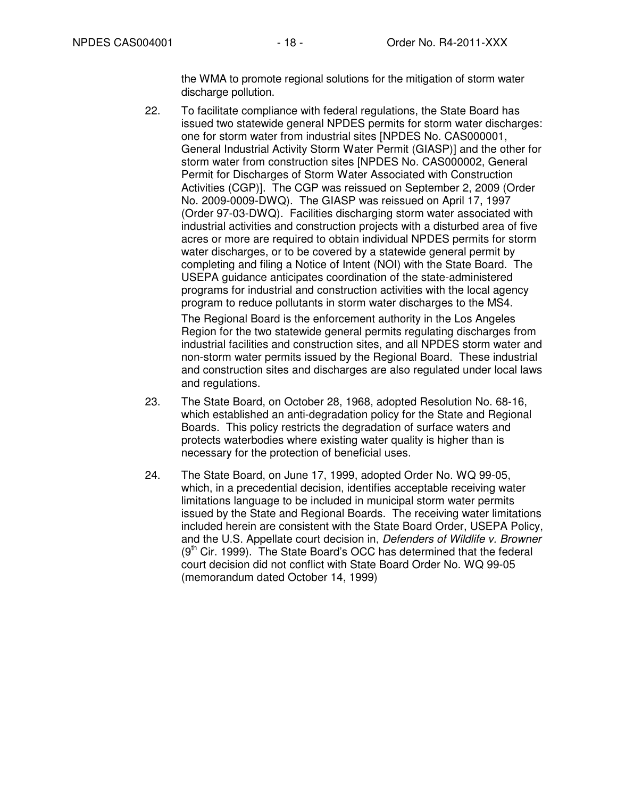the WMA to promote regional solutions for the mitigation of storm water discharge pollution.

22. To facilitate compliance with federal regulations, the State Board has issued two statewide general NPDES permits for storm water discharges: one for storm water from industrial sites [NPDES No. CAS000001, General Industrial Activity Storm Water Permit (GIASP)] and the other for storm water from construction sites [NPDES No. CAS000002, General Permit for Discharges of Storm Water Associated with Construction Activities (CGP)]. The CGP was reissued on September 2, 2009 (Order No. 2009-0009-DWQ). The GIASP was reissued on April 17, 1997 (Order 97-03-DWQ). Facilities discharging storm water associated with industrial activities and construction projects with a disturbed area of five acres or more are required to obtain individual NPDES permits for storm water discharges, or to be covered by a statewide general permit by completing and filing a Notice of Intent (NOI) with the State Board. The USEPA guidance anticipates coordination of the state-administered programs for industrial and construction activities with the local agency program to reduce pollutants in storm water discharges to the MS4.

The Regional Board is the enforcement authority in the Los Angeles Region for the two statewide general permits regulating discharges from industrial facilities and construction sites, and all NPDES storm water and non-storm water permits issued by the Regional Board. These industrial and construction sites and discharges are also regulated under local laws and regulations.

- 23. The State Board, on October 28, 1968, adopted Resolution No. 68-16, which established an anti-degradation policy for the State and Regional Boards. This policy restricts the degradation of surface waters and protects waterbodies where existing water quality is higher than is necessary for the protection of beneficial uses.
- 24. The State Board, on June 17, 1999, adopted Order No. WQ 99-05, which, in a precedential decision, identifies acceptable receiving water limitations language to be included in municipal storm water permits issued by the State and Regional Boards. The receiving water limitations included herein are consistent with the State Board Order, USEPA Policy, and the U.S. Appellate court decision in, Defenders of Wildlife v. Browner  $(9<sup>th</sup>$  Cir. 1999). The State Board's OCC has determined that the federal court decision did not conflict with State Board Order No. WQ 99-05 (memorandum dated October 14, 1999)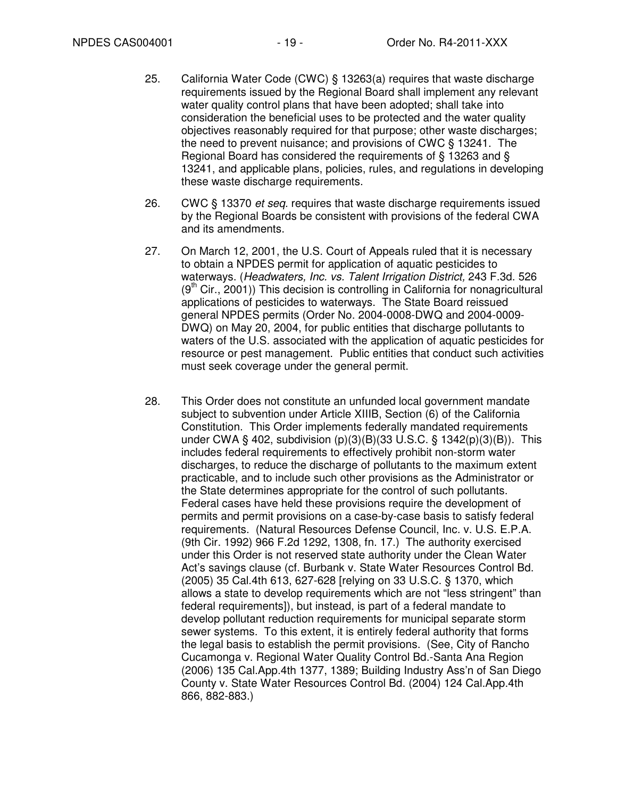- 25. California Water Code (CWC) § 13263(a) requires that waste discharge requirements issued by the Regional Board shall implement any relevant water quality control plans that have been adopted; shall take into consideration the beneficial uses to be protected and the water quality objectives reasonably required for that purpose; other waste discharges; the need to prevent nuisance; and provisions of CWC § 13241. The Regional Board has considered the requirements of § 13263 and § 13241, and applicable plans, policies, rules, and regulations in developing these waste discharge requirements.
- 26. CWC § 13370 *et seq.* requires that waste discharge requirements issued by the Regional Boards be consistent with provisions of the federal CWA and its amendments.
- 27. On March 12, 2001, the U.S. Court of Appeals ruled that it is necessary to obtain a NPDES permit for application of aquatic pesticides to waterways. (Headwaters, Inc. vs. Talent Irrigation District, 243 F.3d. 526  $(9<sup>th</sup> Cir., 2001)$ ) This decision is controlling in California for nonagricultural applications of pesticides to waterways. The State Board reissued general NPDES permits (Order No. 2004-0008-DWQ and 2004-0009- DWQ) on May 20, 2004, for public entities that discharge pollutants to waters of the U.S. associated with the application of aquatic pesticides for resource or pest management. Public entities that conduct such activities must seek coverage under the general permit.
- 28. This Order does not constitute an unfunded local government mandate subject to subvention under Article XIIIB, Section (6) of the California Constitution. This Order implements federally mandated requirements under CWA § 402, subdivision (p)(3)(B)(33 U.S.C. § 1342(p)(3)(B)). This includes federal requirements to effectively prohibit non-storm water discharges, to reduce the discharge of pollutants to the maximum extent practicable, and to include such other provisions as the Administrator or the State determines appropriate for the control of such pollutants. Federal cases have held these provisions require the development of permits and permit provisions on a case-by-case basis to satisfy federal requirements. (Natural Resources Defense Council, Inc. v. U.S. E.P.A. (9th Cir. 1992) 966 F.2d 1292, 1308, fn. 17.) The authority exercised under this Order is not reserved state authority under the Clean Water Act's savings clause (cf. Burbank v. State Water Resources Control Bd. (2005) 35 Cal.4th 613, 627-628 [relying on 33 U.S.C. § 1370, which allows a state to develop requirements which are not "less stringent" than federal requirements]), but instead, is part of a federal mandate to develop pollutant reduction requirements for municipal separate storm sewer systems. To this extent, it is entirely federal authority that forms the legal basis to establish the permit provisions. (See, City of Rancho Cucamonga v. Regional Water Quality Control Bd.-Santa Ana Region (2006) 135 Cal.App.4th 1377, 1389; Building Industry Ass'n of San Diego County v. State Water Resources Control Bd. (2004) 124 Cal.App.4th 866, 882-883.)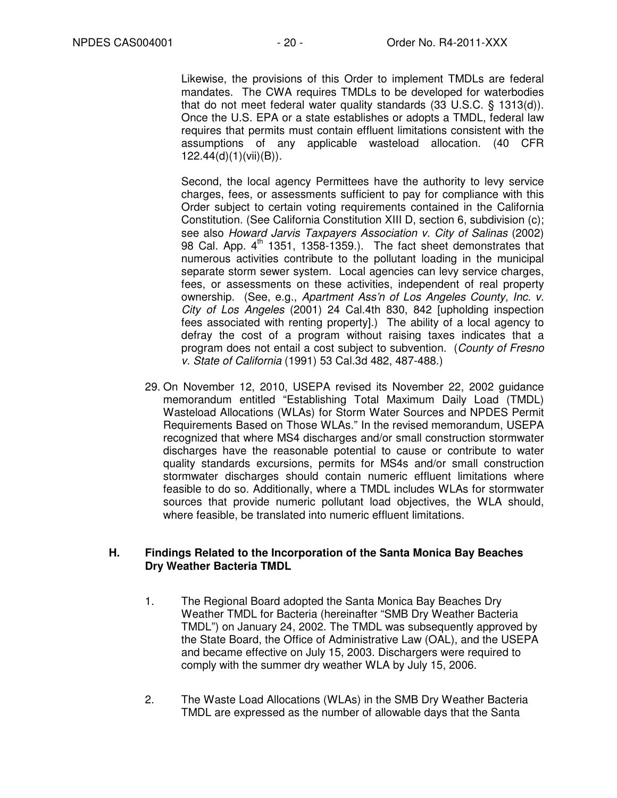Likewise, the provisions of this Order to implement TMDLs are federal mandates. The CWA requires TMDLs to be developed for waterbodies that do not meet federal water quality standards (33 U.S.C. § 1313(d)). Once the U.S. EPA or a state establishes or adopts a TMDL, federal law requires that permits must contain effluent limitations consistent with the assumptions of any applicable wasteload allocation. (40 CFR 122.44(d)(1)(vii)(B)).

Second, the local agency Permittees have the authority to levy service charges, fees, or assessments sufficient to pay for compliance with this Order subject to certain voting requirements contained in the California Constitution. (See California Constitution XIII D, section 6, subdivision (c); see also Howard Jarvis Taxpayers Association v. City of Salinas (2002) 98 Cal. App.  $4<sup>th</sup>$  1351, 1358-1359.). The fact sheet demonstrates that numerous activities contribute to the pollutant loading in the municipal separate storm sewer system. Local agencies can levy service charges, fees, or assessments on these activities, independent of real property ownership. (See, e.g., Apartment Ass'n of Los Angeles County, Inc. v. City of Los Angeles (2001) 24 Cal.4th 830, 842 [upholding inspection fees associated with renting property].) The ability of a local agency to defray the cost of a program without raising taxes indicates that a program does not entail a cost subject to subvention. (County of Fresno v. State of California (1991) 53 Cal.3d 482, 487-488.)

29. On November 12, 2010, USEPA revised its November 22, 2002 guidance memorandum entitled "Establishing Total Maximum Daily Load (TMDL) Wasteload Allocations (WLAs) for Storm Water Sources and NPDES Permit Requirements Based on Those WLAs." In the revised memorandum, USEPA recognized that where MS4 discharges and/or small construction stormwater discharges have the reasonable potential to cause or contribute to water quality standards excursions, permits for MS4s and/or small construction stormwater discharges should contain numeric effluent limitations where feasible to do so. Additionally, where a TMDL includes WLAs for stormwater sources that provide numeric pollutant load objectives, the WLA should, where feasible, be translated into numeric effluent limitations.

#### **H. Findings Related to the Incorporation of the Santa Monica Bay Beaches Dry Weather Bacteria TMDL**

- 1. The Regional Board adopted the Santa Monica Bay Beaches Dry Weather TMDL for Bacteria (hereinafter "SMB Dry Weather Bacteria TMDL") on January 24, 2002. The TMDL was subsequently approved by the State Board, the Office of Administrative Law (OAL), and the USEPA and became effective on July 15, 2003. Dischargers were required to comply with the summer dry weather WLA by July 15, 2006.
- 2. The Waste Load Allocations (WLAs) in the SMB Dry Weather Bacteria TMDL are expressed as the number of allowable days that the Santa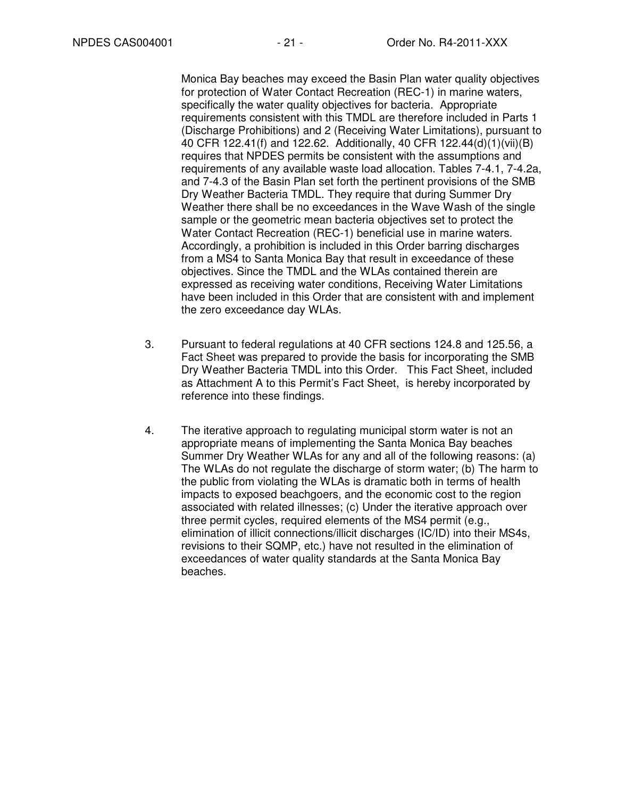Monica Bay beaches may exceed the Basin Plan water quality objectives for protection of Water Contact Recreation (REC-1) in marine waters, specifically the water quality objectives for bacteria. Appropriate requirements consistent with this TMDL are therefore included in Parts 1 (Discharge Prohibitions) and 2 (Receiving Water Limitations), pursuant to 40 CFR 122.41(f) and 122.62. Additionally, 40 CFR 122.44(d)(1)(vii)(B) requires that NPDES permits be consistent with the assumptions and requirements of any available waste load allocation. Tables 7-4.1, 7-4.2a, and 7-4.3 of the Basin Plan set forth the pertinent provisions of the SMB Dry Weather Bacteria TMDL. They require that during Summer Dry Weather there shall be no exceedances in the Wave Wash of the single sample or the geometric mean bacteria objectives set to protect the Water Contact Recreation (REC-1) beneficial use in marine waters. Accordingly, a prohibition is included in this Order barring discharges from a MS4 to Santa Monica Bay that result in exceedance of these objectives. Since the TMDL and the WLAs contained therein are expressed as receiving water conditions, Receiving Water Limitations have been included in this Order that are consistent with and implement the zero exceedance day WLAs.

- 3. Pursuant to federal regulations at 40 CFR sections 124.8 and 125.56, a Fact Sheet was prepared to provide the basis for incorporating the SMB Dry Weather Bacteria TMDL into this Order. This Fact Sheet, included as Attachment A to this Permit's Fact Sheet, is hereby incorporated by reference into these findings.
- 4. The iterative approach to regulating municipal storm water is not an appropriate means of implementing the Santa Monica Bay beaches Summer Dry Weather WLAs for any and all of the following reasons: (a) The WLAs do not regulate the discharge of storm water; (b) The harm to the public from violating the WLAs is dramatic both in terms of health impacts to exposed beachgoers, and the economic cost to the region associated with related illnesses; (c) Under the iterative approach over three permit cycles, required elements of the MS4 permit (e.g., elimination of illicit connections/illicit discharges (IC/ID) into their MS4s, revisions to their SQMP, etc.) have not resulted in the elimination of exceedances of water quality standards at the Santa Monica Bay beaches.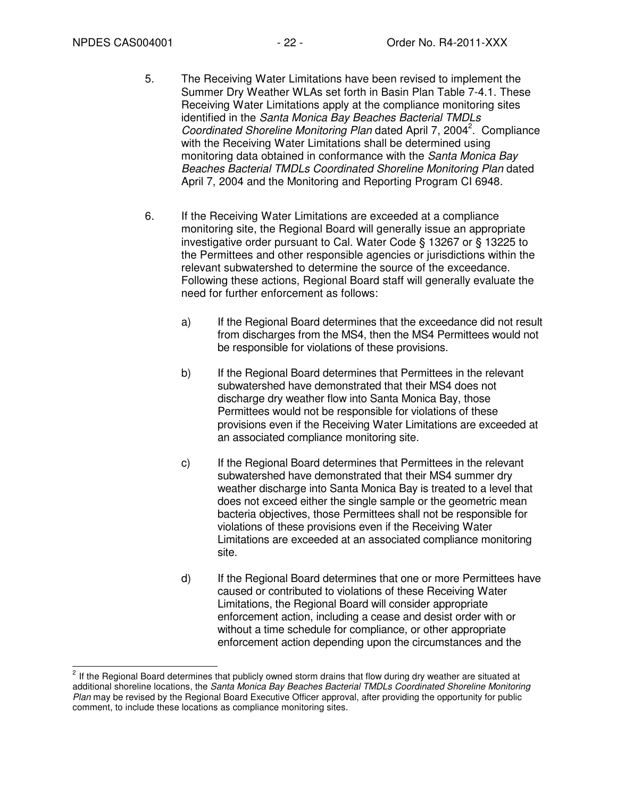- 5. The Receiving Water Limitations have been revised to implement the Summer Dry Weather WLAs set forth in Basin Plan Table 7-4.1. These Receiving Water Limitations apply at the compliance monitoring sites identified in the Santa Monica Bay Beaches Bacterial TMDLs Coordinated Shoreline Monitoring Plan dated April 7, 2004<sup>2</sup>. Compliance with the Receiving Water Limitations shall be determined using monitoring data obtained in conformance with the Santa Monica Bay Beaches Bacterial TMDLs Coordinated Shoreline Monitoring Plan dated April 7, 2004 and the Monitoring and Reporting Program CI 6948.
- 6. If the Receiving Water Limitations are exceeded at a compliance monitoring site, the Regional Board will generally issue an appropriate investigative order pursuant to Cal. Water Code § 13267 or § 13225 to the Permittees and other responsible agencies or jurisdictions within the relevant subwatershed to determine the source of the exceedance. Following these actions, Regional Board staff will generally evaluate the need for further enforcement as follows:
	- a) If the Regional Board determines that the exceedance did not result from discharges from the MS4, then the MS4 Permittees would not be responsible for violations of these provisions.
	- b) If the Regional Board determines that Permittees in the relevant subwatershed have demonstrated that their MS4 does not discharge dry weather flow into Santa Monica Bay, those Permittees would not be responsible for violations of these provisions even if the Receiving Water Limitations are exceeded at an associated compliance monitoring site.
	- c) If the Regional Board determines that Permittees in the relevant subwatershed have demonstrated that their MS4 summer dry weather discharge into Santa Monica Bay is treated to a level that does not exceed either the single sample or the geometric mean bacteria objectives, those Permittees shall not be responsible for violations of these provisions even if the Receiving Water Limitations are exceeded at an associated compliance monitoring site.
	- d) If the Regional Board determines that one or more Permittees have caused or contributed to violations of these Receiving Water Limitations, the Regional Board will consider appropriate enforcement action, including a cease and desist order with or without a time schedule for compliance, or other appropriate enforcement action depending upon the circumstances and the

**<sup>2</sup>**<br><sup>2</sup> If the Regional Board determines that publicly owned storm drains that flow during dry weather are situated at additional shoreline locations, the Santa Monica Bay Beaches Bacterial TMDLs Coordinated Shoreline Monitoring Plan may be revised by the Regional Board Executive Officer approval, after providing the opportunity for public comment, to include these locations as compliance monitoring sites.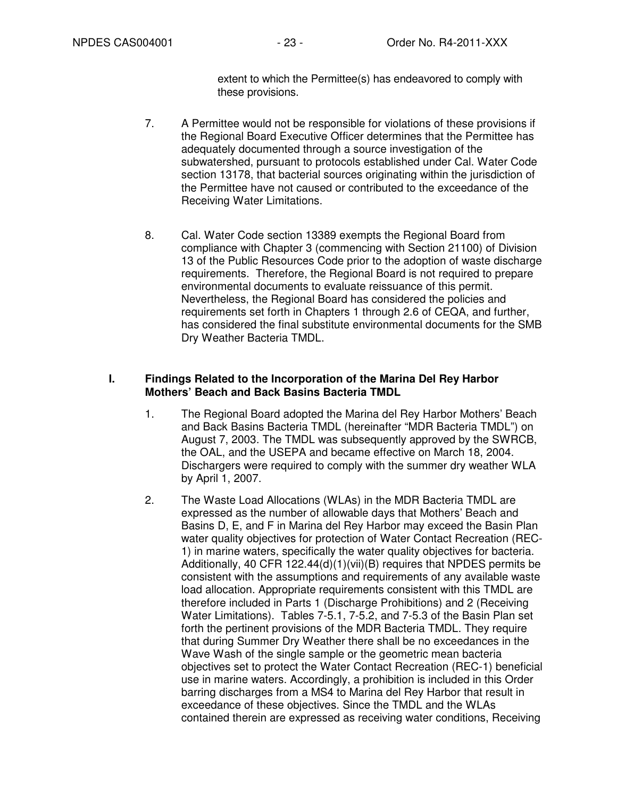extent to which the Permittee(s) has endeavored to comply with these provisions.

- 7. A Permittee would not be responsible for violations of these provisions if the Regional Board Executive Officer determines that the Permittee has adequately documented through a source investigation of the subwatershed, pursuant to protocols established under Cal. Water Code section 13178, that bacterial sources originating within the jurisdiction of the Permittee have not caused or contributed to the exceedance of the Receiving Water Limitations.
- 8. Cal. Water Code section 13389 exempts the Regional Board from compliance with Chapter 3 (commencing with Section 21100) of Division 13 of the Public Resources Code prior to the adoption of waste discharge requirements. Therefore, the Regional Board is not required to prepare environmental documents to evaluate reissuance of this permit. Nevertheless, the Regional Board has considered the policies and requirements set forth in Chapters 1 through 2.6 of CEQA, and further, has considered the final substitute environmental documents for the SMB Dry Weather Bacteria TMDL.

### **I. Findings Related to the Incorporation of the Marina Del Rey Harbor Mothers' Beach and Back Basins Bacteria TMDL**

- 1. The Regional Board adopted the Marina del Rey Harbor Mothers' Beach and Back Basins Bacteria TMDL (hereinafter "MDR Bacteria TMDL") on August 7, 2003. The TMDL was subsequently approved by the SWRCB, the OAL, and the USEPA and became effective on March 18, 2004. Dischargers were required to comply with the summer dry weather WLA by April 1, 2007.
- 2. The Waste Load Allocations (WLAs) in the MDR Bacteria TMDL are expressed as the number of allowable days that Mothers' Beach and Basins D, E, and F in Marina del Rey Harbor may exceed the Basin Plan water quality objectives for protection of Water Contact Recreation (REC-1) in marine waters, specifically the water quality objectives for bacteria. Additionally, 40 CFR 122.44(d)(1)(vii)(B) requires that NPDES permits be consistent with the assumptions and requirements of any available waste load allocation. Appropriate requirements consistent with this TMDL are therefore included in Parts 1 (Discharge Prohibitions) and 2 (Receiving Water Limitations). Tables 7-5.1, 7-5.2, and 7-5.3 of the Basin Plan set forth the pertinent provisions of the MDR Bacteria TMDL. They require that during Summer Dry Weather there shall be no exceedances in the Wave Wash of the single sample or the geometric mean bacteria objectives set to protect the Water Contact Recreation (REC-1) beneficial use in marine waters. Accordingly, a prohibition is included in this Order barring discharges from a MS4 to Marina del Rey Harbor that result in exceedance of these objectives. Since the TMDL and the WLAs contained therein are expressed as receiving water conditions, Receiving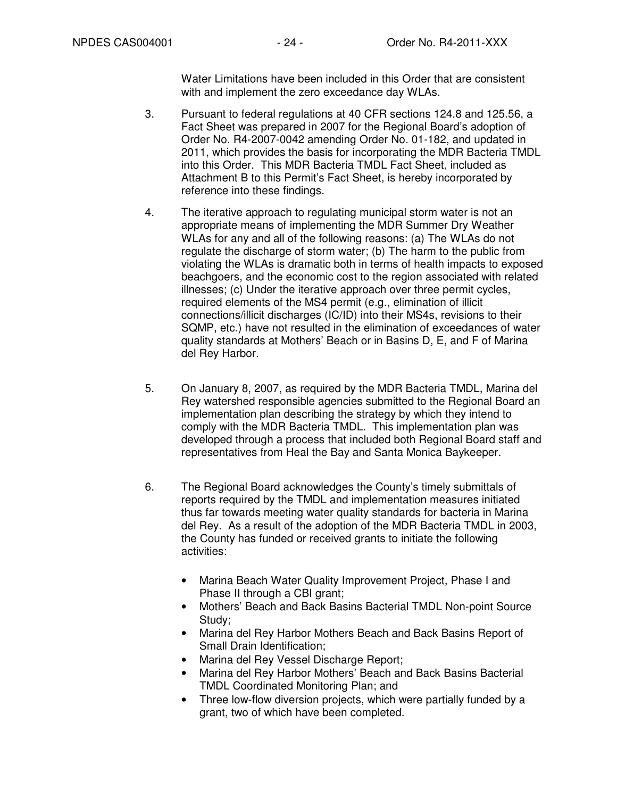Water Limitations have been included in this Order that are consistent with and implement the zero exceedance day WLAs.

- 3. Pursuant to federal regulations at 40 CFR sections 124.8 and 125.56, a Fact Sheet was prepared in 2007 for the Regional Board's adoption of Order No. R4-2007-0042 amending Order No. 01-182, and updated in 2011, which provides the basis for incorporating the MDR Bacteria TMDL into this Order. This MDR Bacteria TMDL Fact Sheet, included as Attachment B to this Permit's Fact Sheet, is hereby incorporated by reference into these findings.
- 4. The iterative approach to regulating municipal storm water is not an appropriate means of implementing the MDR Summer Dry Weather WLAs for any and all of the following reasons: (a) The WLAs do not regulate the discharge of storm water; (b) The harm to the public from violating the WLAs is dramatic both in terms of health impacts to exposed beachgoers, and the economic cost to the region associated with related illnesses; (c) Under the iterative approach over three permit cycles, required elements of the MS4 permit (e.g., elimination of illicit connections/illicit discharges (IC/ID) into their MS4s, revisions to their SQMP, etc.) have not resulted in the elimination of exceedances of water quality standards at Mothers' Beach or in Basins D, E, and F of Marina del Rey Harbor.
- 5. On January 8, 2007, as required by the MDR Bacteria TMDL, Marina del Rey watershed responsible agencies submitted to the Regional Board an implementation plan describing the strategy by which they intend to comply with the MDR Bacteria TMDL. This implementation plan was developed through a process that included both Regional Board staff and representatives from Heal the Bay and Santa Monica Baykeeper.
- 6. The Regional Board acknowledges the County's timely submittals of reports required by the TMDL and implementation measures initiated thus far towards meeting water quality standards for bacteria in Marina del Rey. As a result of the adoption of the MDR Bacteria TMDL in 2003, the County has funded or received grants to initiate the following activities:
	- Marina Beach Water Quality Improvement Project, Phase I and Phase II through a CBI grant;
	- Mothers' Beach and Back Basins Bacterial TMDL Non-point Source Study;
	- Marina del Rey Harbor Mothers Beach and Back Basins Report of Small Drain Identification;
	- Marina del Rey Vessel Discharge Report;
	- Marina del Rey Harbor Mothers' Beach and Back Basins Bacterial TMDL Coordinated Monitoring Plan; and
	- Three low-flow diversion projects, which were partially funded by a grant, two of which have been completed.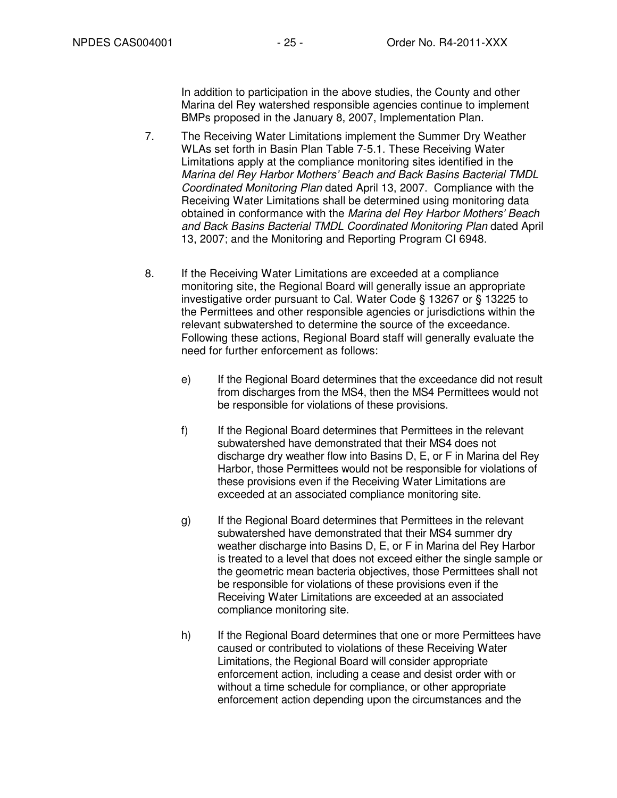In addition to participation in the above studies, the County and other Marina del Rey watershed responsible agencies continue to implement BMPs proposed in the January 8, 2007, Implementation Plan.

- 7. The Receiving Water Limitations implement the Summer Dry Weather WLAs set forth in Basin Plan Table 7-5.1. These Receiving Water Limitations apply at the compliance monitoring sites identified in the Marina del Rey Harbor Mothers' Beach and Back Basins Bacterial TMDL Coordinated Monitoring Plan dated April 13, 2007. Compliance with the Receiving Water Limitations shall be determined using monitoring data obtained in conformance with the Marina del Rey Harbor Mothers' Beach and Back Basins Bacterial TMDL Coordinated Monitoring Plan dated April 13, 2007; and the Monitoring and Reporting Program CI 6948.
- 8. If the Receiving Water Limitations are exceeded at a compliance monitoring site, the Regional Board will generally issue an appropriate investigative order pursuant to Cal. Water Code § 13267 or § 13225 to the Permittees and other responsible agencies or jurisdictions within the relevant subwatershed to determine the source of the exceedance. Following these actions, Regional Board staff will generally evaluate the need for further enforcement as follows:
	- e) If the Regional Board determines that the exceedance did not result from discharges from the MS4, then the MS4 Permittees would not be responsible for violations of these provisions.
	- f) If the Regional Board determines that Permittees in the relevant subwatershed have demonstrated that their MS4 does not discharge dry weather flow into Basins D, E, or F in Marina del Rey Harbor, those Permittees would not be responsible for violations of these provisions even if the Receiving Water Limitations are exceeded at an associated compliance monitoring site.
	- g) If the Regional Board determines that Permittees in the relevant subwatershed have demonstrated that their MS4 summer dry weather discharge into Basins D, E, or F in Marina del Rey Harbor is treated to a level that does not exceed either the single sample or the geometric mean bacteria objectives, those Permittees shall not be responsible for violations of these provisions even if the Receiving Water Limitations are exceeded at an associated compliance monitoring site.
	- h) If the Regional Board determines that one or more Permittees have caused or contributed to violations of these Receiving Water Limitations, the Regional Board will consider appropriate enforcement action, including a cease and desist order with or without a time schedule for compliance, or other appropriate enforcement action depending upon the circumstances and the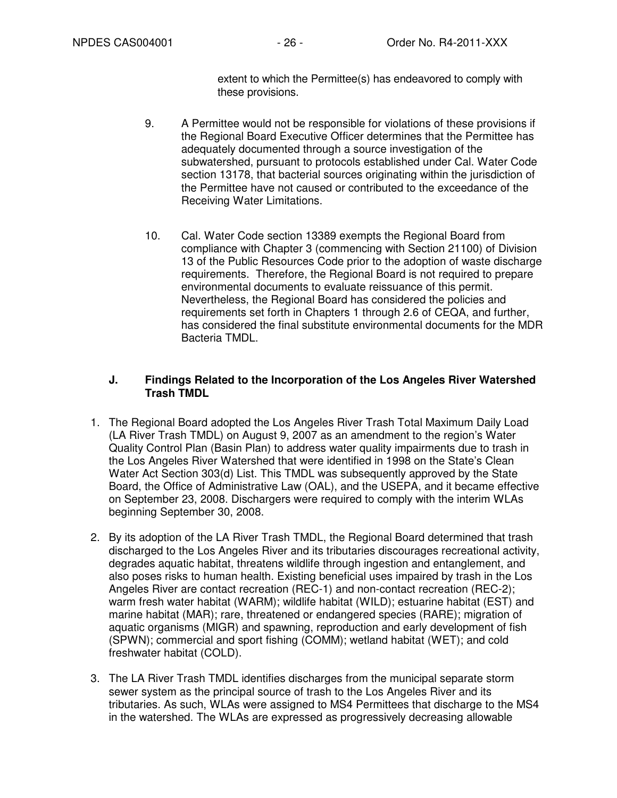extent to which the Permittee(s) has endeavored to comply with these provisions.

- 9. A Permittee would not be responsible for violations of these provisions if the Regional Board Executive Officer determines that the Permittee has adequately documented through a source investigation of the subwatershed, pursuant to protocols established under Cal. Water Code section 13178, that bacterial sources originating within the jurisdiction of the Permittee have not caused or contributed to the exceedance of the Receiving Water Limitations.
- 10. Cal. Water Code section 13389 exempts the Regional Board from compliance with Chapter 3 (commencing with Section 21100) of Division 13 of the Public Resources Code prior to the adoption of waste discharge requirements. Therefore, the Regional Board is not required to prepare environmental documents to evaluate reissuance of this permit. Nevertheless, the Regional Board has considered the policies and requirements set forth in Chapters 1 through 2.6 of CEQA, and further, has considered the final substitute environmental documents for the MDR Bacteria TMDL.

### **J. Findings Related to the Incorporation of the Los Angeles River Watershed Trash TMDL**

- 1. The Regional Board adopted the Los Angeles River Trash Total Maximum Daily Load (LA River Trash TMDL) on August 9, 2007 as an amendment to the region's Water Quality Control Plan (Basin Plan) to address water quality impairments due to trash in the Los Angeles River Watershed that were identified in 1998 on the State's Clean Water Act Section 303(d) List. This TMDL was subsequently approved by the State Board, the Office of Administrative Law (OAL), and the USEPA, and it became effective on September 23, 2008. Dischargers were required to comply with the interim WLAs beginning September 30, 2008.
- 2. By its adoption of the LA River Trash TMDL, the Regional Board determined that trash discharged to the Los Angeles River and its tributaries discourages recreational activity, degrades aquatic habitat, threatens wildlife through ingestion and entanglement, and also poses risks to human health. Existing beneficial uses impaired by trash in the Los Angeles River are contact recreation (REC-1) and non-contact recreation (REC-2); warm fresh water habitat (WARM); wildlife habitat (WILD); estuarine habitat (EST) and marine habitat (MAR); rare, threatened or endangered species (RARE); migration of aquatic organisms (MIGR) and spawning, reproduction and early development of fish (SPWN); commercial and sport fishing (COMM); wetland habitat (WET); and cold freshwater habitat (COLD).
- 3. The LA River Trash TMDL identifies discharges from the municipal separate storm sewer system as the principal source of trash to the Los Angeles River and its tributaries. As such, WLAs were assigned to MS4 Permittees that discharge to the MS4 in the watershed. The WLAs are expressed as progressively decreasing allowable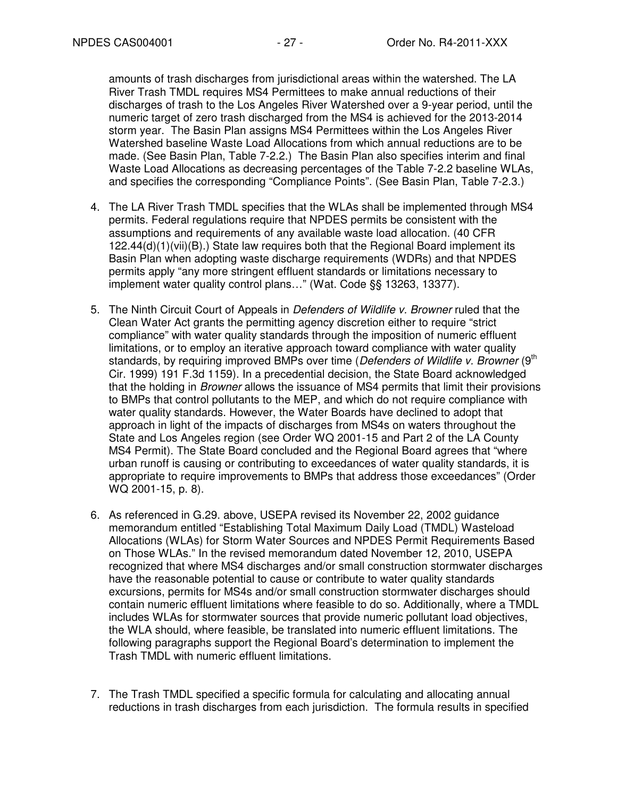amounts of trash discharges from jurisdictional areas within the watershed. The LA River Trash TMDL requires MS4 Permittees to make annual reductions of their discharges of trash to the Los Angeles River Watershed over a 9-year period, until the numeric target of zero trash discharged from the MS4 is achieved for the 2013-2014 storm year. The Basin Plan assigns MS4 Permittees within the Los Angeles River Watershed baseline Waste Load Allocations from which annual reductions are to be made. (See Basin Plan, Table 7-2.2.) The Basin Plan also specifies interim and final Waste Load Allocations as decreasing percentages of the Table 7-2.2 baseline WLAs, and specifies the corresponding "Compliance Points". (See Basin Plan, Table 7-2.3.)

- 4. The LA River Trash TMDL specifies that the WLAs shall be implemented through MS4 permits. Federal regulations require that NPDES permits be consistent with the assumptions and requirements of any available waste load allocation. (40 CFR  $122.44(d)(1)(vi)(B)$ .) State law requires both that the Regional Board implement its Basin Plan when adopting waste discharge requirements (WDRs) and that NPDES permits apply "any more stringent effluent standards or limitations necessary to implement water quality control plans…" (Wat. Code §§ 13263, 13377).
- 5. The Ninth Circuit Court of Appeals in Defenders of Wildlife v. Browner ruled that the Clean Water Act grants the permitting agency discretion either to require "strict compliance" with water quality standards through the imposition of numeric effluent limitations, or to employ an iterative approach toward compliance with water quality standards, by requiring improved BMPs over time (Defenders of Wildlife v. Browner (9<sup>th</sup> Cir. 1999) 191 F.3d 1159). In a precedential decision, the State Board acknowledged that the holding in *Browner* allows the issuance of MS4 permits that limit their provisions to BMPs that control pollutants to the MEP, and which do not require compliance with water quality standards. However, the Water Boards have declined to adopt that approach in light of the impacts of discharges from MS4s on waters throughout the State and Los Angeles region (see Order WQ 2001-15 and Part 2 of the LA County MS4 Permit). The State Board concluded and the Regional Board agrees that "where urban runoff is causing or contributing to exceedances of water quality standards, it is appropriate to require improvements to BMPs that address those exceedances" (Order WQ 2001-15, p. 8).
- 6. As referenced in G.29. above, USEPA revised its November 22, 2002 guidance memorandum entitled "Establishing Total Maximum Daily Load (TMDL) Wasteload Allocations (WLAs) for Storm Water Sources and NPDES Permit Requirements Based on Those WLAs." In the revised memorandum dated November 12, 2010, USEPA recognized that where MS4 discharges and/or small construction stormwater discharges have the reasonable potential to cause or contribute to water quality standards excursions, permits for MS4s and/or small construction stormwater discharges should contain numeric effluent limitations where feasible to do so. Additionally, where a TMDL includes WLAs for stormwater sources that provide numeric pollutant load objectives, the WLA should, where feasible, be translated into numeric effluent limitations. The following paragraphs support the Regional Board's determination to implement the Trash TMDL with numeric effluent limitations.
- 7. The Trash TMDL specified a specific formula for calculating and allocating annual reductions in trash discharges from each jurisdiction. The formula results in specified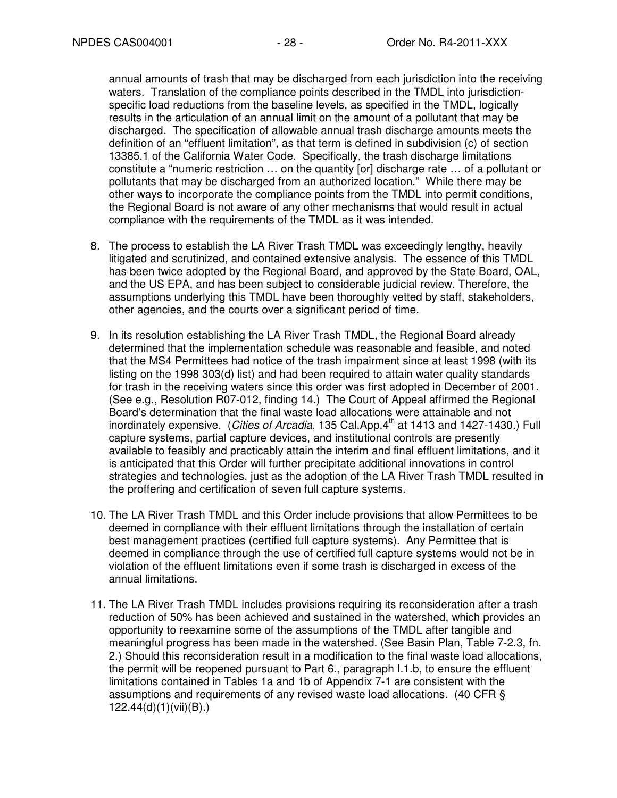annual amounts of trash that may be discharged from each jurisdiction into the receiving waters. Translation of the compliance points described in the TMDL into jurisdictionspecific load reductions from the baseline levels, as specified in the TMDL, logically results in the articulation of an annual limit on the amount of a pollutant that may be discharged. The specification of allowable annual trash discharge amounts meets the definition of an "effluent limitation", as that term is defined in subdivision (c) of section 13385.1 of the California Water Code. Specifically, the trash discharge limitations constitute a "numeric restriction … on the quantity [or] discharge rate … of a pollutant or pollutants that may be discharged from an authorized location." While there may be other ways to incorporate the compliance points from the TMDL into permit conditions, the Regional Board is not aware of any other mechanisms that would result in actual compliance with the requirements of the TMDL as it was intended.

- 8. The process to establish the LA River Trash TMDL was exceedingly lengthy, heavily litigated and scrutinized, and contained extensive analysis. The essence of this TMDL has been twice adopted by the Regional Board, and approved by the State Board, OAL, and the US EPA, and has been subject to considerable judicial review. Therefore, the assumptions underlying this TMDL have been thoroughly vetted by staff, stakeholders, other agencies, and the courts over a significant period of time.
- 9. In its resolution establishing the LA River Trash TMDL, the Regional Board already determined that the implementation schedule was reasonable and feasible, and noted that the MS4 Permittees had notice of the trash impairment since at least 1998 (with its listing on the 1998 303(d) list) and had been required to attain water quality standards for trash in the receiving waters since this order was first adopted in December of 2001. (See e.g., Resolution R07-012, finding 14.) The Court of Appeal affirmed the Regional Board's determination that the final waste load allocations were attainable and not inordinately expensive. (Cities of Arcadia, 135 Cal.App. $4^{\text{th}}$  at 1413 and 1427-1430.) Full capture systems, partial capture devices, and institutional controls are presently available to feasibly and practicably attain the interim and final effluent limitations, and it is anticipated that this Order will further precipitate additional innovations in control strategies and technologies, just as the adoption of the LA River Trash TMDL resulted in the proffering and certification of seven full capture systems.
- 10. The LA River Trash TMDL and this Order include provisions that allow Permittees to be deemed in compliance with their effluent limitations through the installation of certain best management practices (certified full capture systems). Any Permittee that is deemed in compliance through the use of certified full capture systems would not be in violation of the effluent limitations even if some trash is discharged in excess of the annual limitations.
- 11. The LA River Trash TMDL includes provisions requiring its reconsideration after a trash reduction of 50% has been achieved and sustained in the watershed, which provides an opportunity to reexamine some of the assumptions of the TMDL after tangible and meaningful progress has been made in the watershed. (See Basin Plan, Table 7-2.3, fn. 2.) Should this reconsideration result in a modification to the final waste load allocations, the permit will be reopened pursuant to Part 6., paragraph I.1.b, to ensure the effluent limitations contained in Tables 1a and 1b of Appendix 7-1 are consistent with the assumptions and requirements of any revised waste load allocations. (40 CFR § 122.44(d)(1)(vii)(B).)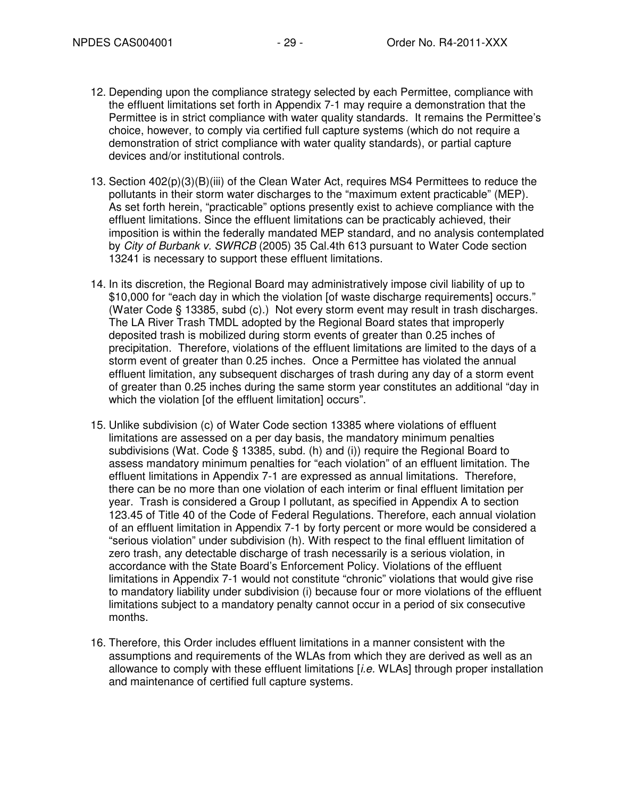- 12. Depending upon the compliance strategy selected by each Permittee, compliance with the effluent limitations set forth in Appendix 7-1 may require a demonstration that the Permittee is in strict compliance with water quality standards. It remains the Permittee's choice, however, to comply via certified full capture systems (which do not require a demonstration of strict compliance with water quality standards), or partial capture devices and/or institutional controls.
- 13. Section 402(p)(3)(B)(iii) of the Clean Water Act, requires MS4 Permittees to reduce the pollutants in their storm water discharges to the "maximum extent practicable" (MEP). As set forth herein, "practicable" options presently exist to achieve compliance with the effluent limitations. Since the effluent limitations can be practicably achieved, their imposition is within the federally mandated MEP standard, and no analysis contemplated by City of Burbank v. SWRCB (2005) 35 Cal.4th 613 pursuant to Water Code section 13241 is necessary to support these effluent limitations.
- 14. In its discretion, the Regional Board may administratively impose civil liability of up to \$10,000 for "each day in which the violation [of waste discharge requirements] occurs." (Water Code § 13385, subd (c).) Not every storm event may result in trash discharges. The LA River Trash TMDL adopted by the Regional Board states that improperly deposited trash is mobilized during storm events of greater than 0.25 inches of precipitation. Therefore, violations of the effluent limitations are limited to the days of a storm event of greater than 0.25 inches. Once a Permittee has violated the annual effluent limitation, any subsequent discharges of trash during any day of a storm event of greater than 0.25 inches during the same storm year constitutes an additional "day in which the violation [of the effluent limitation] occurs".
- 15. Unlike subdivision (c) of Water Code section 13385 where violations of effluent limitations are assessed on a per day basis, the mandatory minimum penalties subdivisions (Wat. Code § 13385, subd. (h) and (i)) require the Regional Board to assess mandatory minimum penalties for "each violation" of an effluent limitation. The effluent limitations in Appendix 7-1 are expressed as annual limitations. Therefore, there can be no more than one violation of each interim or final effluent limitation per year. Trash is considered a Group I pollutant, as specified in Appendix A to section 123.45 of Title 40 of the Code of Federal Regulations. Therefore, each annual violation of an effluent limitation in Appendix 7-1 by forty percent or more would be considered a "serious violation" under subdivision (h). With respect to the final effluent limitation of zero trash, any detectable discharge of trash necessarily is a serious violation, in accordance with the State Board's Enforcement Policy. Violations of the effluent limitations in Appendix 7-1 would not constitute "chronic" violations that would give rise to mandatory liability under subdivision (i) because four or more violations of the effluent limitations subject to a mandatory penalty cannot occur in a period of six consecutive months.
- 16. Therefore, this Order includes effluent limitations in a manner consistent with the assumptions and requirements of the WLAs from which they are derived as well as an allowance to comply with these effluent limitations  $[i.e.$  WLAs] through proper installation and maintenance of certified full capture systems.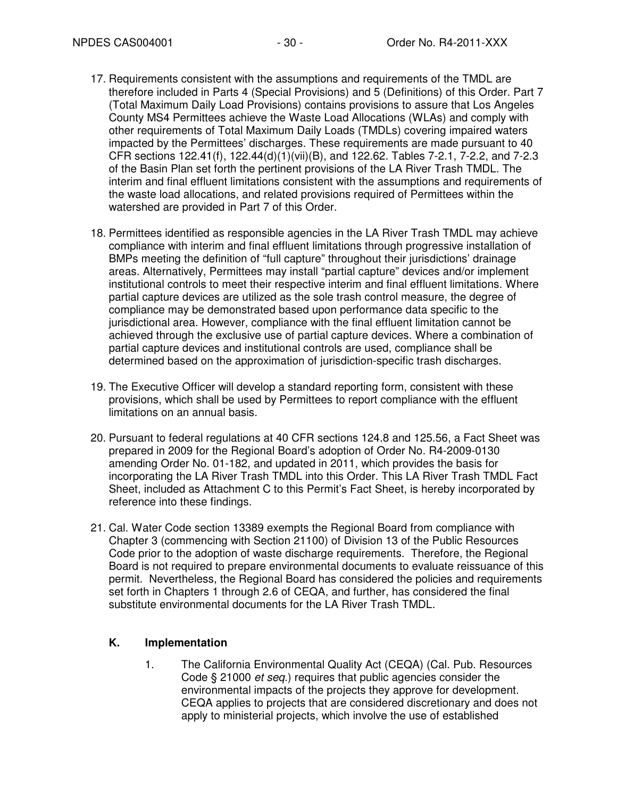- 17. Requirements consistent with the assumptions and requirements of the TMDL are therefore included in Parts 4 (Special Provisions) and 5 (Definitions) of this Order. Part 7 (Total Maximum Daily Load Provisions) contains provisions to assure that Los Angeles County MS4 Permittees achieve the Waste Load Allocations (WLAs) and comply with other requirements of Total Maximum Daily Loads (TMDLs) covering impaired waters impacted by the Permittees' discharges. These requirements are made pursuant to 40 CFR sections 122.41(f), 122.44(d)(1)(vii)(B), and 122.62. Tables 7-2.1, 7-2.2, and 7-2.3 of the Basin Plan set forth the pertinent provisions of the LA River Trash TMDL. The interim and final effluent limitations consistent with the assumptions and requirements of the waste load allocations, and related provisions required of Permittees within the watershed are provided in Part 7 of this Order.
- 18. Permittees identified as responsible agencies in the LA River Trash TMDL may achieve compliance with interim and final effluent limitations through progressive installation of BMPs meeting the definition of "full capture" throughout their jurisdictions' drainage areas. Alternatively, Permittees may install "partial capture" devices and/or implement institutional controls to meet their respective interim and final effluent limitations. Where partial capture devices are utilized as the sole trash control measure, the degree of compliance may be demonstrated based upon performance data specific to the jurisdictional area. However, compliance with the final effluent limitation cannot be achieved through the exclusive use of partial capture devices. Where a combination of partial capture devices and institutional controls are used, compliance shall be determined based on the approximation of jurisdiction-specific trash discharges.
- 19. The Executive Officer will develop a standard reporting form, consistent with these provisions, which shall be used by Permittees to report compliance with the effluent limitations on an annual basis.
- 20. Pursuant to federal regulations at 40 CFR sections 124.8 and 125.56, a Fact Sheet was prepared in 2009 for the Regional Board's adoption of Order No. R4-2009-0130 amending Order No. 01-182, and updated in 2011, which provides the basis for incorporating the LA River Trash TMDL into this Order. This LA River Trash TMDL Fact Sheet, included as Attachment C to this Permit's Fact Sheet, is hereby incorporated by reference into these findings.
- 21. Cal. Water Code section 13389 exempts the Regional Board from compliance with Chapter 3 (commencing with Section 21100) of Division 13 of the Public Resources Code prior to the adoption of waste discharge requirements. Therefore, the Regional Board is not required to prepare environmental documents to evaluate reissuance of this permit. Nevertheless, the Regional Board has considered the policies and requirements set forth in Chapters 1 through 2.6 of CEQA, and further, has considered the final substitute environmental documents for the LA River Trash TMDL.

# **K. Implementation**

1. The California Environmental Quality Act (CEQA) (Cal. Pub. Resources Code § 21000 et seq.) requires that public agencies consider the environmental impacts of the projects they approve for development. CEQA applies to projects that are considered discretionary and does not apply to ministerial projects, which involve the use of established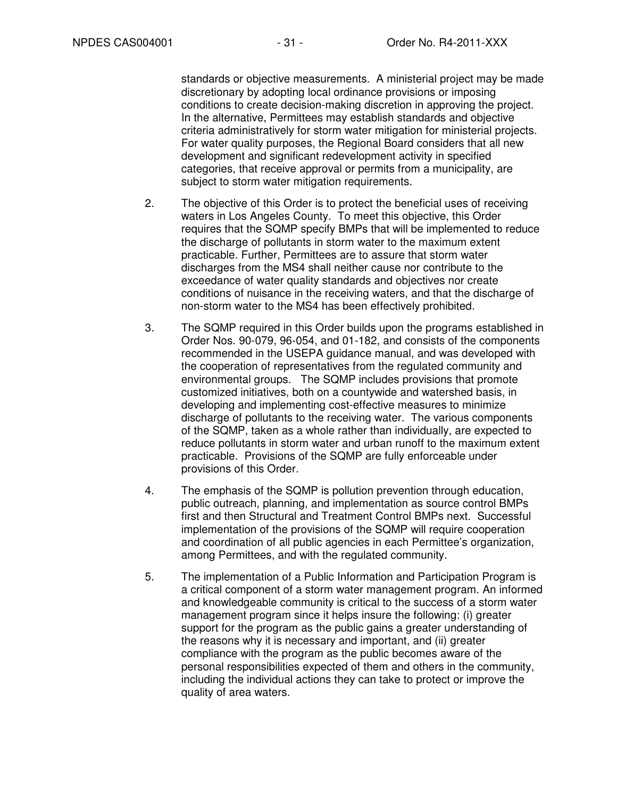standards or objective measurements. A ministerial project may be made discretionary by adopting local ordinance provisions or imposing conditions to create decision-making discretion in approving the project. In the alternative, Permittees may establish standards and objective criteria administratively for storm water mitigation for ministerial projects. For water quality purposes, the Regional Board considers that all new development and significant redevelopment activity in specified categories, that receive approval or permits from a municipality, are subject to storm water mitigation requirements.

- 2. The objective of this Order is to protect the beneficial uses of receiving waters in Los Angeles County. To meet this objective, this Order requires that the SQMP specify BMPs that will be implemented to reduce the discharge of pollutants in storm water to the maximum extent practicable. Further, Permittees are to assure that storm water discharges from the MS4 shall neither cause nor contribute to the exceedance of water quality standards and objectives nor create conditions of nuisance in the receiving waters, and that the discharge of non-storm water to the MS4 has been effectively prohibited.
- 3. The SQMP required in this Order builds upon the programs established in Order Nos. 90-079, 96-054, and 01-182, and consists of the components recommended in the USEPA guidance manual, and was developed with the cooperation of representatives from the regulated community and environmental groups. The SQMP includes provisions that promote customized initiatives, both on a countywide and watershed basis, in developing and implementing cost-effective measures to minimize discharge of pollutants to the receiving water. The various components of the SQMP, taken as a whole rather than individually, are expected to reduce pollutants in storm water and urban runoff to the maximum extent practicable. Provisions of the SQMP are fully enforceable under provisions of this Order.
- 4. The emphasis of the SQMP is pollution prevention through education, public outreach, planning, and implementation as source control BMPs first and then Structural and Treatment Control BMPs next. Successful implementation of the provisions of the SQMP will require cooperation and coordination of all public agencies in each Permittee's organization, among Permittees, and with the regulated community.
- 5. The implementation of a Public Information and Participation Program is a critical component of a storm water management program. An informed and knowledgeable community is critical to the success of a storm water management program since it helps insure the following: (i) greater support for the program as the public gains a greater understanding of the reasons why it is necessary and important, and (ii) greater compliance with the program as the public becomes aware of the personal responsibilities expected of them and others in the community, including the individual actions they can take to protect or improve the quality of area waters.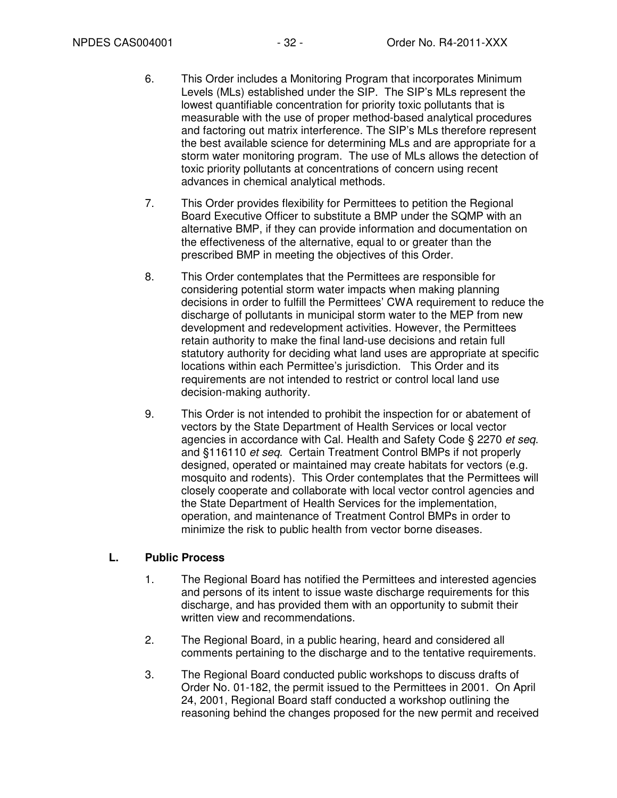- 6. This Order includes a Monitoring Program that incorporates Minimum Levels (MLs) established under the SIP. The SIP's MLs represent the lowest quantifiable concentration for priority toxic pollutants that is measurable with the use of proper method-based analytical procedures and factoring out matrix interference. The SIP's MLs therefore represent the best available science for determining MLs and are appropriate for a storm water monitoring program. The use of MLs allows the detection of toxic priority pollutants at concentrations of concern using recent advances in chemical analytical methods.
- 7. This Order provides flexibility for Permittees to petition the Regional Board Executive Officer to substitute a BMP under the SQMP with an alternative BMP, if they can provide information and documentation on the effectiveness of the alternative, equal to or greater than the prescribed BMP in meeting the objectives of this Order.
- 8. This Order contemplates that the Permittees are responsible for considering potential storm water impacts when making planning decisions in order to fulfill the Permittees' CWA requirement to reduce the discharge of pollutants in municipal storm water to the MEP from new development and redevelopment activities. However, the Permittees retain authority to make the final land-use decisions and retain full statutory authority for deciding what land uses are appropriate at specific locations within each Permittee's jurisdiction. This Order and its requirements are not intended to restrict or control local land use decision-making authority.
- 9. This Order is not intended to prohibit the inspection for or abatement of vectors by the State Department of Health Services or local vector agencies in accordance with Cal. Health and Safety Code § 2270 et seq. and §116110 et seq. Certain Treatment Control BMPs if not properly designed, operated or maintained may create habitats for vectors (e.g. mosquito and rodents). This Order contemplates that the Permittees will closely cooperate and collaborate with local vector control agencies and the State Department of Health Services for the implementation, operation, and maintenance of Treatment Control BMPs in order to minimize the risk to public health from vector borne diseases.

### **L. Public Process**

- 1. The Regional Board has notified the Permittees and interested agencies and persons of its intent to issue waste discharge requirements for this discharge, and has provided them with an opportunity to submit their written view and recommendations.
- 2. The Regional Board, in a public hearing, heard and considered all comments pertaining to the discharge and to the tentative requirements.
- 3. The Regional Board conducted public workshops to discuss drafts of Order No. 01-182, the permit issued to the Permittees in 2001. On April 24, 2001, Regional Board staff conducted a workshop outlining the reasoning behind the changes proposed for the new permit and received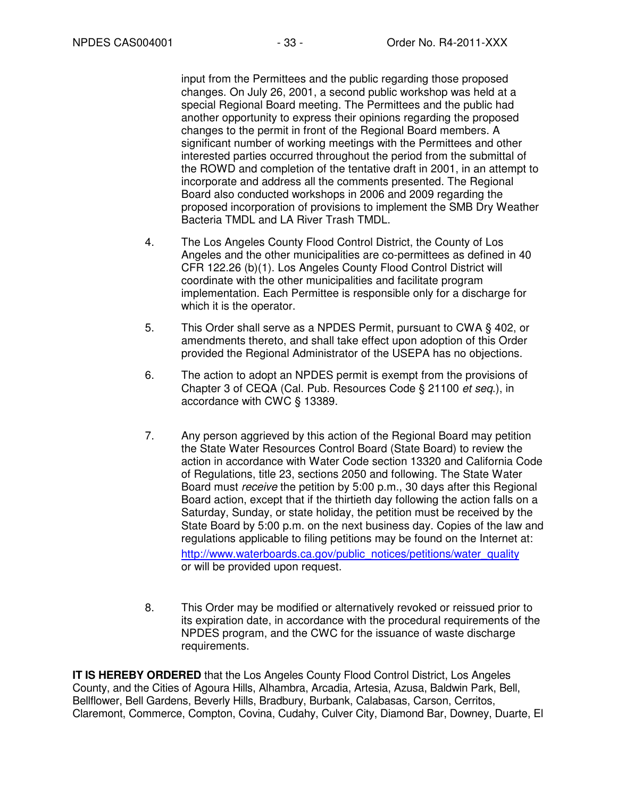input from the Permittees and the public regarding those proposed changes. On July 26, 2001, a second public workshop was held at a special Regional Board meeting. The Permittees and the public had another opportunity to express their opinions regarding the proposed changes to the permit in front of the Regional Board members. A significant number of working meetings with the Permittees and other interested parties occurred throughout the period from the submittal of the ROWD and completion of the tentative draft in 2001, in an attempt to incorporate and address all the comments presented. The Regional Board also conducted workshops in 2006 and 2009 regarding the proposed incorporation of provisions to implement the SMB Dry Weather Bacteria TMDL and LA River Trash TMDL.

- 4. The Los Angeles County Flood Control District, the County of Los Angeles and the other municipalities are co-permittees as defined in 40 CFR 122.26 (b)(1). Los Angeles County Flood Control District will coordinate with the other municipalities and facilitate program implementation. Each Permittee is responsible only for a discharge for which it is the operator.
- 5. This Order shall serve as a NPDES Permit, pursuant to CWA § 402, or amendments thereto, and shall take effect upon adoption of this Order provided the Regional Administrator of the USEPA has no objections.
- 6. The action to adopt an NPDES permit is exempt from the provisions of Chapter 3 of CEQA (Cal. Pub. Resources Code § 21100 et seq.), in accordance with CWC § 13389.
- 7. Any person aggrieved by this action of the Regional Board may petition the State Water Resources Control Board (State Board) to review the action in accordance with Water Code section 13320 and California Code of Regulations, title 23, sections 2050 and following. The State Water Board must receive the petition by 5:00 p.m., 30 days after this Regional Board action, except that if the thirtieth day following the action falls on a Saturday, Sunday, or state holiday, the petition must be received by the State Board by 5:00 p.m. on the next business day. Copies of the law and regulations applicable to filing petitions may be found on the Internet at: http://www.waterboards.ca.gov/public\_notices/petitions/water\_quality or will be provided upon request.
- 8. This Order may be modified or alternatively revoked or reissued prior to its expiration date, in accordance with the procedural requirements of the NPDES program, and the CWC for the issuance of waste discharge requirements.

**IT IS HEREBY ORDERED** that the Los Angeles County Flood Control District, Los Angeles County, and the Cities of Agoura Hills, Alhambra, Arcadia, Artesia, Azusa, Baldwin Park, Bell, Bellflower, Bell Gardens, Beverly Hills, Bradbury, Burbank, Calabasas, Carson, Cerritos, Claremont, Commerce, Compton, Covina, Cudahy, Culver City, Diamond Bar, Downey, Duarte, El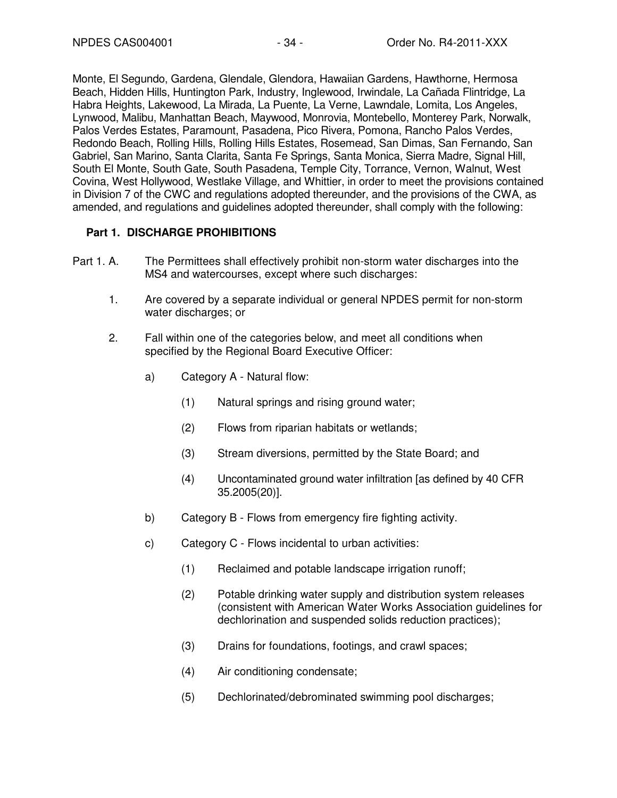Monte, El Segundo, Gardena, Glendale, Glendora, Hawaiian Gardens, Hawthorne, Hermosa Beach, Hidden Hills, Huntington Park, Industry, Inglewood, Irwindale, La Cañada Flintridge, La Habra Heights, Lakewood, La Mirada, La Puente, La Verne, Lawndale, Lomita, Los Angeles, Lynwood, Malibu, Manhattan Beach, Maywood, Monrovia, Montebello, Monterey Park, Norwalk, Palos Verdes Estates, Paramount, Pasadena, Pico Rivera, Pomona, Rancho Palos Verdes, Redondo Beach, Rolling Hills, Rolling Hills Estates, Rosemead, San Dimas, San Fernando, San Gabriel, San Marino, Santa Clarita, Santa Fe Springs, Santa Monica, Sierra Madre, Signal Hill, South El Monte, South Gate, South Pasadena, Temple City, Torrance, Vernon, Walnut, West Covina, West Hollywood, Westlake Village, and Whittier, in order to meet the provisions contained in Division 7 of the CWC and regulations adopted thereunder, and the provisions of the CWA, as amended, and regulations and guidelines adopted thereunder, shall comply with the following:

# **Part 1. DISCHARGE PROHIBITIONS**

- Part 1. A. The Permittees shall effectively prohibit non-storm water discharges into the MS4 and watercourses, except where such discharges:
	- 1. Are covered by a separate individual or general NPDES permit for non-storm water discharges; or
	- 2. Fall within one of the categories below, and meet all conditions when specified by the Regional Board Executive Officer:
		- a) Category A Natural flow:
			- (1) Natural springs and rising ground water;
			- (2) Flows from riparian habitats or wetlands;
			- (3) Stream diversions, permitted by the State Board; and
			- (4) Uncontaminated ground water infiltration [as defined by 40 CFR 35.2005(20)].
		- b) Category B Flows from emergency fire fighting activity.
		- c) Category C Flows incidental to urban activities:
			- (1) Reclaimed and potable landscape irrigation runoff;
			- (2) Potable drinking water supply and distribution system releases (consistent with American Water Works Association guidelines for dechlorination and suspended solids reduction practices);
			- (3) Drains for foundations, footings, and crawl spaces;
			- (4) Air conditioning condensate;
			- (5) Dechlorinated/debrominated swimming pool discharges;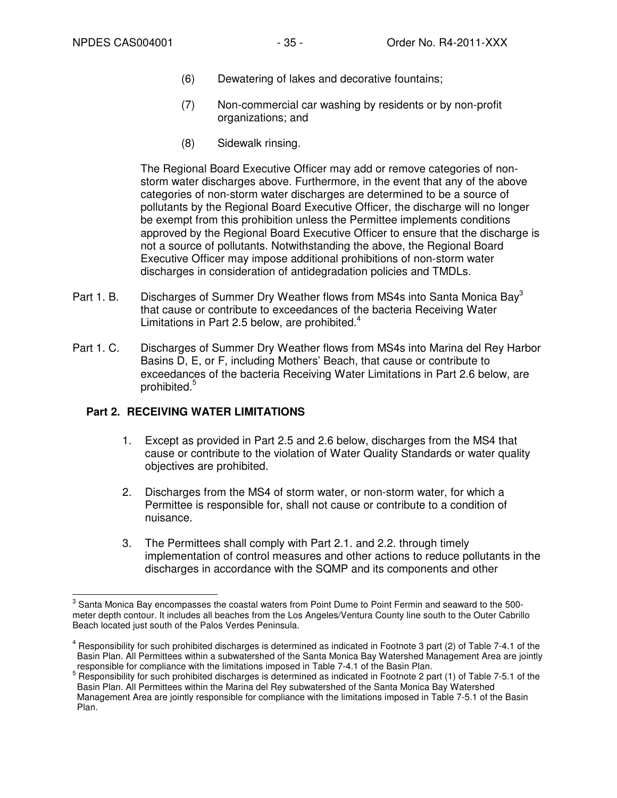- (6) Dewatering of lakes and decorative fountains;
- (7) Non-commercial car washing by residents or by non-profit organizations; and
- (8) Sidewalk rinsing.

The Regional Board Executive Officer may add or remove categories of nonstorm water discharges above. Furthermore, in the event that any of the above categories of non-storm water discharges are determined to be a source of pollutants by the Regional Board Executive Officer, the discharge will no longer be exempt from this prohibition unless the Permittee implements conditions approved by the Regional Board Executive Officer to ensure that the discharge is not a source of pollutants. Notwithstanding the above, the Regional Board Executive Officer may impose additional prohibitions of non-storm water discharges in consideration of antidegradation policies and TMDLs.

- Part 1. B. Discharges of Summer Dry Weather flows from MS4s into Santa Monica Bay<sup>3</sup> that cause or contribute to exceedances of the bacteria Receiving Water Limitations in Part 2.5 below, are prohibited. $4$
- Part 1. C. Discharges of Summer Dry Weather flows from MS4s into Marina del Rey Harbor Basins D, E, or F, including Mothers' Beach, that cause or contribute to exceedances of the bacteria Receiving Water Limitations in Part 2.6 below, are prohibited.<sup>5</sup>

# **Part 2. RECEIVING WATER LIMITATIONS**

- 1. Except as provided in Part 2.5 and 2.6 below, discharges from the MS4 that cause or contribute to the violation of Water Quality Standards or water quality objectives are prohibited.
- 2. Discharges from the MS4 of storm water, or non-storm water, for which a Permittee is responsible for, shall not cause or contribute to a condition of nuisance.
- 3. The Permittees shall comply with Part 2.1. and 2.2. through timely implementation of control measures and other actions to reduce pollutants in the discharges in accordance with the SQMP and its components and other

 3 Santa Monica Bay encompasses the coastal waters from Point Dume to Point Fermin and seaward to the 500 meter depth contour. It includes all beaches from the Los Angeles/Ventura County line south to the Outer Cabrillo Beach located just south of the Palos Verdes Peninsula.

<sup>&</sup>lt;sup>4</sup> Responsibility for such prohibited discharges is determined as indicated in Footnote 3 part (2) of Table 7-4.1 of the Basin Plan. All Permittees within a subwatershed of the Santa Monica Bay Watershed Management Area are jointly responsible for compliance with the limitations imposed in Table 7-4.1 of the Basin Plan.

 $5$  Responsibility for such prohibited discharges is determined as indicated in Footnote 2 part (1) of Table 7-5.1 of the Basin Plan. All Permittees within the Marina del Rey subwatershed of the Santa Monica Bay Watershed Management Area are jointly responsible for compliance with the limitations imposed in Table 7-5.1 of the Basin Plan.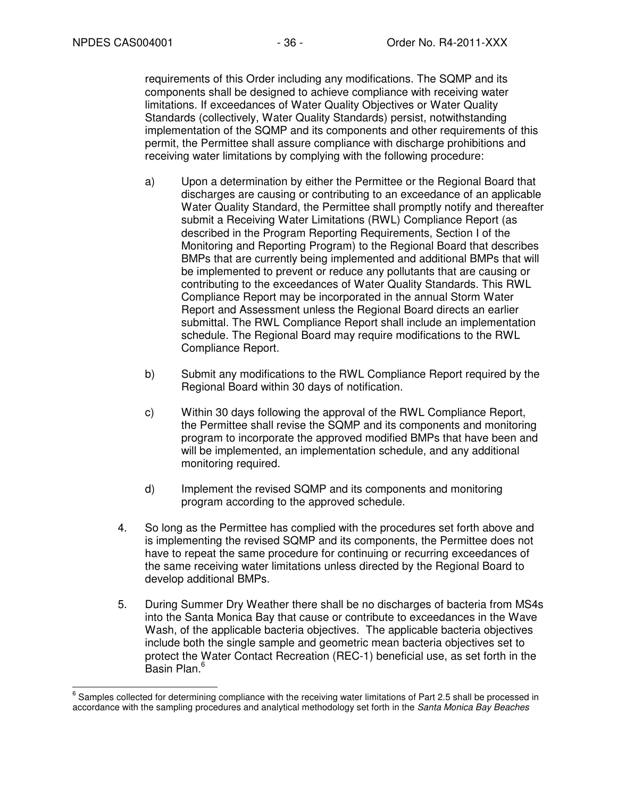requirements of this Order including any modifications. The SQMP and its components shall be designed to achieve compliance with receiving water limitations. If exceedances of Water Quality Objectives or Water Quality Standards (collectively, Water Quality Standards) persist, notwithstanding implementation of the SQMP and its components and other requirements of this permit, the Permittee shall assure compliance with discharge prohibitions and receiving water limitations by complying with the following procedure:

- a) Upon a determination by either the Permittee or the Regional Board that discharges are causing or contributing to an exceedance of an applicable Water Quality Standard, the Permittee shall promptly notify and thereafter submit a Receiving Water Limitations (RWL) Compliance Report (as described in the Program Reporting Requirements, Section I of the Monitoring and Reporting Program) to the Regional Board that describes BMPs that are currently being implemented and additional BMPs that will be implemented to prevent or reduce any pollutants that are causing or contributing to the exceedances of Water Quality Standards. This RWL Compliance Report may be incorporated in the annual Storm Water Report and Assessment unless the Regional Board directs an earlier submittal. The RWL Compliance Report shall include an implementation schedule. The Regional Board may require modifications to the RWL Compliance Report.
- b) Submit any modifications to the RWL Compliance Report required by the Regional Board within 30 days of notification.
- c) Within 30 days following the approval of the RWL Compliance Report, the Permittee shall revise the SQMP and its components and monitoring program to incorporate the approved modified BMPs that have been and will be implemented, an implementation schedule, and any additional monitoring required.
- d) Implement the revised SQMP and its components and monitoring program according to the approved schedule.
- 4. So long as the Permittee has complied with the procedures set forth above and is implementing the revised SQMP and its components, the Permittee does not have to repeat the same procedure for continuing or recurring exceedances of the same receiving water limitations unless directed by the Regional Board to develop additional BMPs.
- 5. During Summer Dry Weather there shall be no discharges of bacteria from MS4s into the Santa Monica Bay that cause or contribute to exceedances in the Wave Wash, of the applicable bacteria objectives. The applicable bacteria objectives include both the single sample and geometric mean bacteria objectives set to protect the Water Contact Recreation (REC-1) beneficial use, as set forth in the .<br>Basin Plan.<sup>6</sup>

 6 Samples collected for determining compliance with the receiving water limitations of Part 2.5 shall be processed in accordance with the sampling procedures and analytical methodology set forth in the Santa Monica Bay Beaches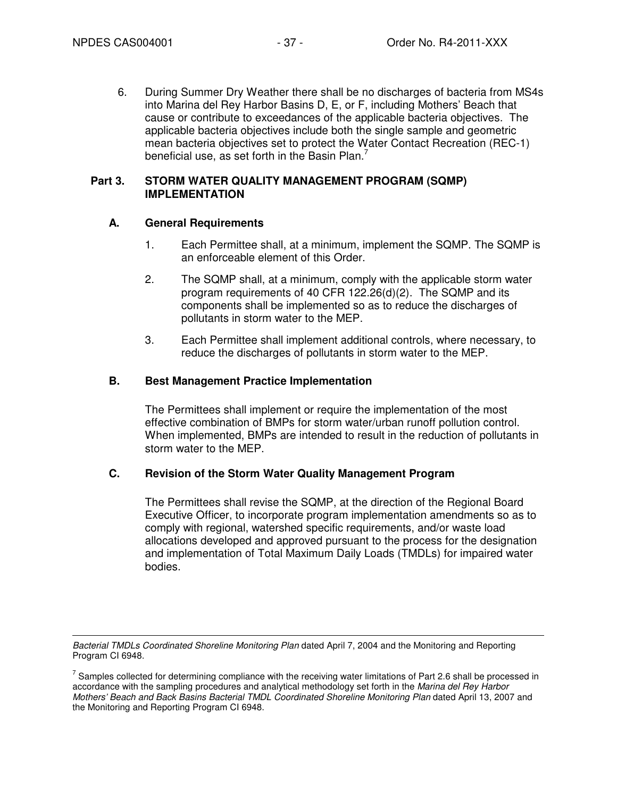6. During Summer Dry Weather there shall be no discharges of bacteria from MS4s into Marina del Rey Harbor Basins D, E, or F, including Mothers' Beach that cause or contribute to exceedances of the applicable bacteria objectives. The applicable bacteria objectives include both the single sample and geometric mean bacteria objectives set to protect the Water Contact Recreation (REC-1) beneficial use, as set forth in the Basin Plan.<sup>7</sup>

#### **Part 3. STORM WATER QUALITY MANAGEMENT PROGRAM (SQMP) IMPLEMENTATION**

### **A. General Requirements**

- 1. Each Permittee shall, at a minimum, implement the SQMP. The SQMP is an enforceable element of this Order.
- 2. The SQMP shall, at a minimum, comply with the applicable storm water program requirements of 40 CFR 122.26(d)(2). The SQMP and its components shall be implemented so as to reduce the discharges of pollutants in storm water to the MEP.
- 3. Each Permittee shall implement additional controls, where necessary, to reduce the discharges of pollutants in storm water to the MEP.

### **B. Best Management Practice Implementation**

The Permittees shall implement or require the implementation of the most effective combination of BMPs for storm water/urban runoff pollution control. When implemented, BMPs are intended to result in the reduction of pollutants in storm water to the MEP.

### **C. Revision of the Storm Water Quality Management Program**

The Permittees shall revise the SQMP, at the direction of the Regional Board Executive Officer, to incorporate program implementation amendments so as to comply with regional, watershed specific requirements, and/or waste load allocations developed and approved pursuant to the process for the designation and implementation of Total Maximum Daily Loads (TMDLs) for impaired water bodies.

 $\overline{a}$ Bacterial TMDLs Coordinated Shoreline Monitoring Plan dated April 7, 2004 and the Monitoring and Reporting Program CI 6948.

 $^7$  Samples collected for determining compliance with the receiving water limitations of Part 2.6 shall be processed in accordance with the sampling procedures and analytical methodology set forth in the Marina del Rey Harbor Mothers' Beach and Back Basins Bacterial TMDL Coordinated Shoreline Monitoring Plan dated April 13, 2007 and the Monitoring and Reporting Program CI 6948.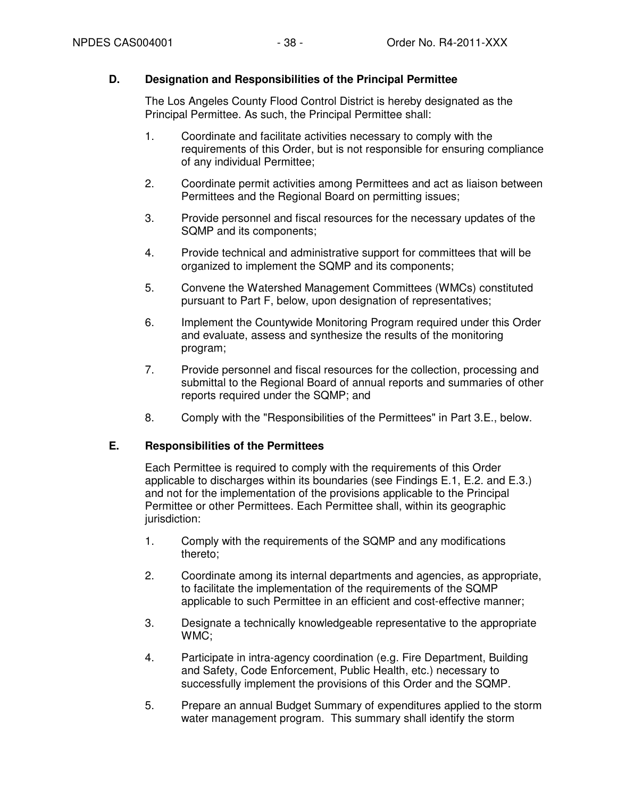### **D. Designation and Responsibilities of the Principal Permittee**

The Los Angeles County Flood Control District is hereby designated as the Principal Permittee. As such, the Principal Permittee shall:

- 1. Coordinate and facilitate activities necessary to comply with the requirements of this Order, but is not responsible for ensuring compliance of any individual Permittee;
- 2. Coordinate permit activities among Permittees and act as liaison between Permittees and the Regional Board on permitting issues;
- 3. Provide personnel and fiscal resources for the necessary updates of the SQMP and its components;
- 4. Provide technical and administrative support for committees that will be organized to implement the SQMP and its components;
- 5. Convene the Watershed Management Committees (WMCs) constituted pursuant to Part F, below, upon designation of representatives;
- 6. Implement the Countywide Monitoring Program required under this Order and evaluate, assess and synthesize the results of the monitoring program;
- 7. Provide personnel and fiscal resources for the collection, processing and submittal to the Regional Board of annual reports and summaries of other reports required under the SQMP; and
- 8. Comply with the "Responsibilities of the Permittees" in Part 3.E., below.

### **E. Responsibilities of the Permittees**

Each Permittee is required to comply with the requirements of this Order applicable to discharges within its boundaries (see Findings E.1, E.2. and E.3.) and not for the implementation of the provisions applicable to the Principal Permittee or other Permittees. Each Permittee shall, within its geographic jurisdiction:

- 1. Comply with the requirements of the SQMP and any modifications thereto;
- 2. Coordinate among its internal departments and agencies, as appropriate, to facilitate the implementation of the requirements of the SQMP applicable to such Permittee in an efficient and cost-effective manner;
- 3. Designate a technically knowledgeable representative to the appropriate WMC;
- 4. Participate in intra-agency coordination (e.g. Fire Department, Building and Safety, Code Enforcement, Public Health, etc.) necessary to successfully implement the provisions of this Order and the SQMP.
- 5. Prepare an annual Budget Summary of expenditures applied to the storm water management program. This summary shall identify the storm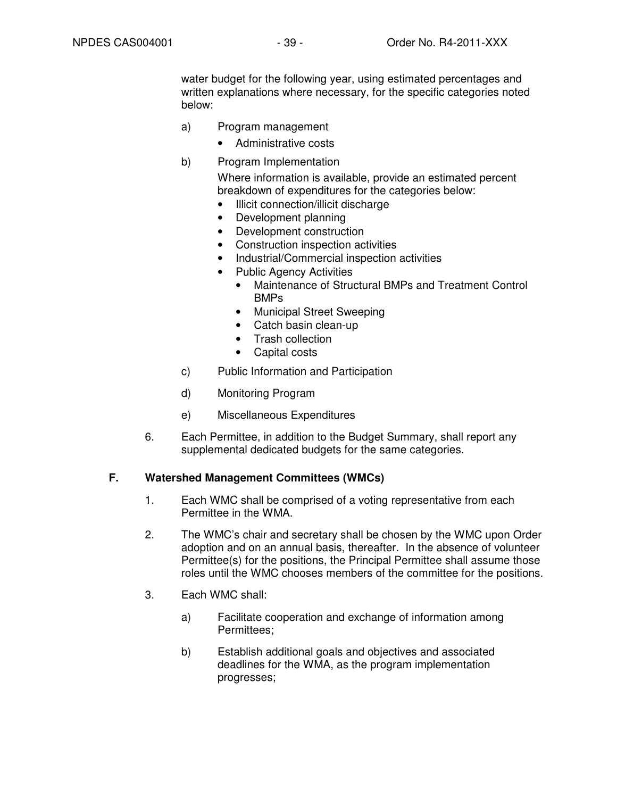water budget for the following year, using estimated percentages and written explanations where necessary, for the specific categories noted below:

- a) Program management
	- Administrative costs
- b) Program Implementation

Where information is available, provide an estimated percent breakdown of expenditures for the categories below:

- Illicit connection/illicit discharge
- Development planning
- Development construction
- Construction inspection activities
- Industrial/Commercial inspection activities
- Public Agency Activities
	- Maintenance of Structural BMPs and Treatment Control BMPs
	- Municipal Street Sweeping
	- Catch basin clean-up
	- Trash collection
	- Capital costs
- c) Public Information and Participation
- d) Monitoring Program
- e) Miscellaneous Expenditures
- 6. Each Permittee, in addition to the Budget Summary, shall report any supplemental dedicated budgets for the same categories.

#### **F. Watershed Management Committees (WMCs)**

- 1. Each WMC shall be comprised of a voting representative from each Permittee in the WMA.
- 2. The WMC's chair and secretary shall be chosen by the WMC upon Order adoption and on an annual basis, thereafter. In the absence of volunteer Permittee(s) for the positions, the Principal Permittee shall assume those roles until the WMC chooses members of the committee for the positions.
- 3. Each WMC shall:
	- a) Facilitate cooperation and exchange of information among Permittees;
	- b) Establish additional goals and objectives and associated deadlines for the WMA, as the program implementation progresses;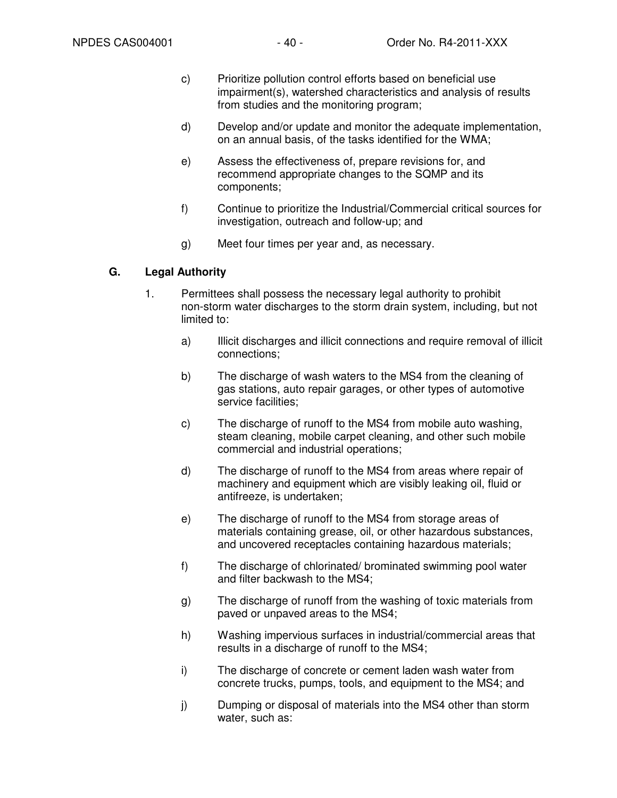- c) Prioritize pollution control efforts based on beneficial use impairment(s), watershed characteristics and analysis of results from studies and the monitoring program;
- d) Develop and/or update and monitor the adequate implementation, on an annual basis, of the tasks identified for the WMA;
- e) Assess the effectiveness of, prepare revisions for, and recommend appropriate changes to the SQMP and its components;
- f) Continue to prioritize the Industrial/Commercial critical sources for investigation, outreach and follow-up; and
- g) Meet four times per year and, as necessary.

### **G. Legal Authority**

- 1. Permittees shall possess the necessary legal authority to prohibit non-storm water discharges to the storm drain system, including, but not limited to:
	- a) Illicit discharges and illicit connections and require removal of illicit connections;
	- b) The discharge of wash waters to the MS4 from the cleaning of gas stations, auto repair garages, or other types of automotive service facilities;
	- c) The discharge of runoff to the MS4 from mobile auto washing, steam cleaning, mobile carpet cleaning, and other such mobile commercial and industrial operations;
	- d) The discharge of runoff to the MS4 from areas where repair of machinery and equipment which are visibly leaking oil, fluid or antifreeze, is undertaken;
	- e) The discharge of runoff to the MS4 from storage areas of materials containing grease, oil, or other hazardous substances, and uncovered receptacles containing hazardous materials;
	- f) The discharge of chlorinated/ brominated swimming pool water and filter backwash to the MS4;
	- g) The discharge of runoff from the washing of toxic materials from paved or unpaved areas to the MS4;
	- h) Washing impervious surfaces in industrial/commercial areas that results in a discharge of runoff to the MS4;
	- i) The discharge of concrete or cement laden wash water from concrete trucks, pumps, tools, and equipment to the MS4; and
	- j) Dumping or disposal of materials into the MS4 other than storm water, such as: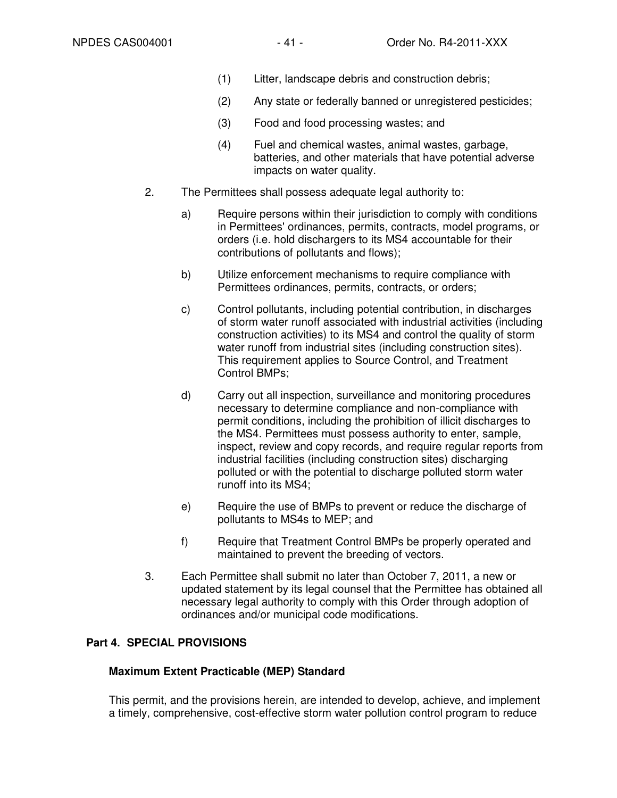- (1) Litter, landscape debris and construction debris;
- (2) Any state or federally banned or unregistered pesticides;
- (3) Food and food processing wastes; and
- (4) Fuel and chemical wastes, animal wastes, garbage, batteries, and other materials that have potential adverse impacts on water quality.
- 2. The Permittees shall possess adequate legal authority to:
	- a) Require persons within their jurisdiction to comply with conditions in Permittees' ordinances, permits, contracts, model programs, or orders (i.e. hold dischargers to its MS4 accountable for their contributions of pollutants and flows);
	- b) Utilize enforcement mechanisms to require compliance with Permittees ordinances, permits, contracts, or orders;
	- c) Control pollutants, including potential contribution, in discharges of storm water runoff associated with industrial activities (including construction activities) to its MS4 and control the quality of storm water runoff from industrial sites (including construction sites). This requirement applies to Source Control, and Treatment Control BMPs;
	- d) Carry out all inspection, surveillance and monitoring procedures necessary to determine compliance and non-compliance with permit conditions, including the prohibition of illicit discharges to the MS4. Permittees must possess authority to enter, sample, inspect, review and copy records, and require regular reports from industrial facilities (including construction sites) discharging polluted or with the potential to discharge polluted storm water runoff into its MS4;
	- e) Require the use of BMPs to prevent or reduce the discharge of pollutants to MS4s to MEP; and
	- f) Require that Treatment Control BMPs be properly operated and maintained to prevent the breeding of vectors.
- 3. Each Permittee shall submit no later than October 7, 2011, a new or updated statement by its legal counsel that the Permittee has obtained all necessary legal authority to comply with this Order through adoption of ordinances and/or municipal code modifications.

# **Part 4. SPECIAL PROVISIONS**

### **Maximum Extent Practicable (MEP) Standard**

This permit, and the provisions herein, are intended to develop, achieve, and implement a timely, comprehensive, cost-effective storm water pollution control program to reduce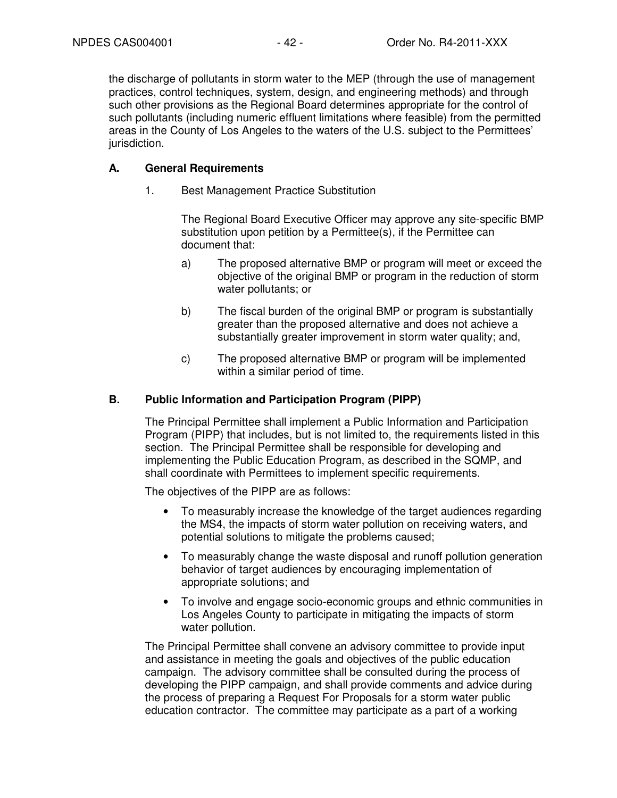the discharge of pollutants in storm water to the MEP (through the use of management practices, control techniques, system, design, and engineering methods) and through such other provisions as the Regional Board determines appropriate for the control of such pollutants (including numeric effluent limitations where feasible) from the permitted areas in the County of Los Angeles to the waters of the U.S. subject to the Permittees' jurisdiction.

### **A. General Requirements**

1. Best Management Practice Substitution

The Regional Board Executive Officer may approve any site-specific BMP substitution upon petition by a Permittee(s), if the Permittee can document that:

- a) The proposed alternative BMP or program will meet or exceed the objective of the original BMP or program in the reduction of storm water pollutants; or
- b) The fiscal burden of the original BMP or program is substantially greater than the proposed alternative and does not achieve a substantially greater improvement in storm water quality; and,
- c) The proposed alternative BMP or program will be implemented within a similar period of time.

## **B. Public Information and Participation Program (PIPP)**

The Principal Permittee shall implement a Public Information and Participation Program (PIPP) that includes, but is not limited to, the requirements listed in this section. The Principal Permittee shall be responsible for developing and implementing the Public Education Program, as described in the SQMP, and shall coordinate with Permittees to implement specific requirements.

The objectives of the PIPP are as follows:

- To measurably increase the knowledge of the target audiences regarding the MS4, the impacts of storm water pollution on receiving waters, and potential solutions to mitigate the problems caused;
- To measurably change the waste disposal and runoff pollution generation behavior of target audiences by encouraging implementation of appropriate solutions; and
- To involve and engage socio-economic groups and ethnic communities in Los Angeles County to participate in mitigating the impacts of storm water pollution.

The Principal Permittee shall convene an advisory committee to provide input and assistance in meeting the goals and objectives of the public education campaign. The advisory committee shall be consulted during the process of developing the PIPP campaign, and shall provide comments and advice during the process of preparing a Request For Proposals for a storm water public education contractor. The committee may participate as a part of a working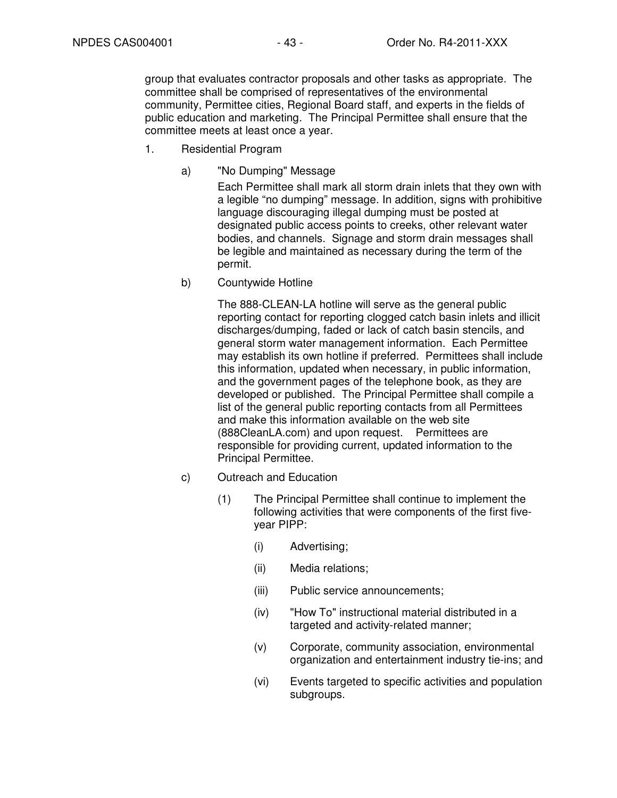group that evaluates contractor proposals and other tasks as appropriate. The committee shall be comprised of representatives of the environmental community, Permittee cities, Regional Board staff, and experts in the fields of public education and marketing. The Principal Permittee shall ensure that the committee meets at least once a year.

- 1. Residential Program
	- a) "No Dumping" Message

Each Permittee shall mark all storm drain inlets that they own with a legible "no dumping" message. In addition, signs with prohibitive language discouraging illegal dumping must be posted at designated public access points to creeks, other relevant water bodies, and channels. Signage and storm drain messages shall be legible and maintained as necessary during the term of the permit.

b) Countywide Hotline

The 888-CLEAN-LA hotline will serve as the general public reporting contact for reporting clogged catch basin inlets and illicit discharges/dumping, faded or lack of catch basin stencils, and general storm water management information. Each Permittee may establish its own hotline if preferred. Permittees shall include this information, updated when necessary, in public information, and the government pages of the telephone book, as they are developed or published. The Principal Permittee shall compile a list of the general public reporting contacts from all Permittees and make this information available on the web site (888CleanLA.com) and upon request. Permittees are responsible for providing current, updated information to the Principal Permittee.

- c) Outreach and Education
	- (1) The Principal Permittee shall continue to implement the following activities that were components of the first fiveyear PIPP:
		- (i) Advertising;
		- (ii) Media relations;
		- (iii) Public service announcements;
		- (iv) "How To" instructional material distributed in a targeted and activity-related manner;
		- (v) Corporate, community association, environmental organization and entertainment industry tie-ins; and
		- (vi) Events targeted to specific activities and population subgroups.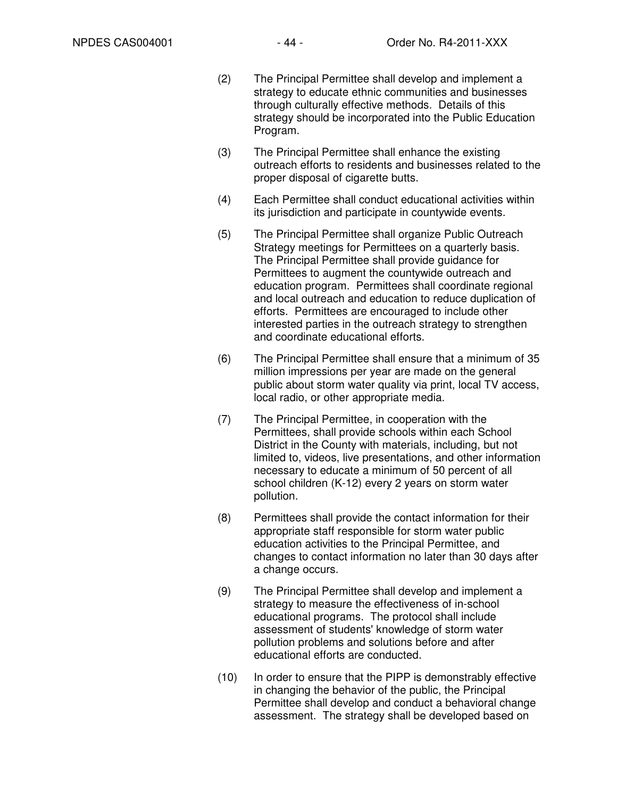- (2) The Principal Permittee shall develop and implement a strategy to educate ethnic communities and businesses through culturally effective methods. Details of this strategy should be incorporated into the Public Education Program.
- (3) The Principal Permittee shall enhance the existing outreach efforts to residents and businesses related to the proper disposal of cigarette butts.
- (4) Each Permittee shall conduct educational activities within its jurisdiction and participate in countywide events.
- (5) The Principal Permittee shall organize Public Outreach Strategy meetings for Permittees on a quarterly basis. The Principal Permittee shall provide guidance for Permittees to augment the countywide outreach and education program. Permittees shall coordinate regional and local outreach and education to reduce duplication of efforts. Permittees are encouraged to include other interested parties in the outreach strategy to strengthen and coordinate educational efforts.
- (6) The Principal Permittee shall ensure that a minimum of 35 million impressions per year are made on the general public about storm water quality via print, local TV access, local radio, or other appropriate media.
- (7) The Principal Permittee, in cooperation with the Permittees, shall provide schools within each School District in the County with materials, including, but not limited to, videos, live presentations, and other information necessary to educate a minimum of 50 percent of all school children (K-12) every 2 years on storm water pollution.
- (8) Permittees shall provide the contact information for their appropriate staff responsible for storm water public education activities to the Principal Permittee, and changes to contact information no later than 30 days after a change occurs.
- (9) The Principal Permittee shall develop and implement a strategy to measure the effectiveness of in-school educational programs. The protocol shall include assessment of students' knowledge of storm water pollution problems and solutions before and after educational efforts are conducted.
- (10) In order to ensure that the PIPP is demonstrably effective in changing the behavior of the public, the Principal Permittee shall develop and conduct a behavioral change assessment. The strategy shall be developed based on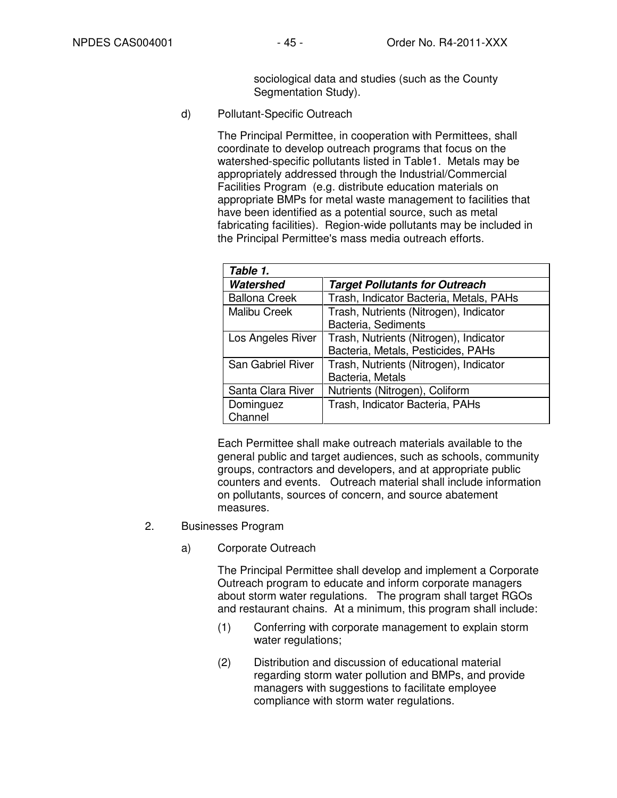sociological data and studies (such as the County Segmentation Study).

d) Pollutant-Specific Outreach

The Principal Permittee, in cooperation with Permittees, shall coordinate to develop outreach programs that focus on the watershed-specific pollutants listed in Table1. Metals may be appropriately addressed through the Industrial/Commercial Facilities Program (e.g. distribute education materials on appropriate BMPs for metal waste management to facilities that have been identified as a potential source, such as metal fabricating facilities). Region-wide pollutants may be included in the Principal Permittee's mass media outreach efforts.

| Table 1.             |                                         |
|----------------------|-----------------------------------------|
| Watershed            | <b>Target Pollutants for Outreach</b>   |
| <b>Ballona Creek</b> | Trash, Indicator Bacteria, Metals, PAHs |
| <b>Malibu Creek</b>  | Trash, Nutrients (Nitrogen), Indicator  |
|                      | Bacteria, Sediments                     |
| Los Angeles River    | Trash, Nutrients (Nitrogen), Indicator  |
|                      | Bacteria, Metals, Pesticides, PAHs      |
| San Gabriel River    | Trash, Nutrients (Nitrogen), Indicator  |
|                      | Bacteria, Metals                        |
| Santa Clara River    | Nutrients (Nitrogen), Coliform          |
| Dominguez            | Trash, Indicator Bacteria, PAHs         |
| Channel              |                                         |

Each Permittee shall make outreach materials available to the general public and target audiences, such as schools, community groups, contractors and developers, and at appropriate public counters and events. Outreach material shall include information on pollutants, sources of concern, and source abatement measures.

- 2. Businesses Program
	- a) Corporate Outreach

The Principal Permittee shall develop and implement a Corporate Outreach program to educate and inform corporate managers about storm water regulations. The program shall target RGOs and restaurant chains. At a minimum, this program shall include:

- (1) Conferring with corporate management to explain storm water regulations;
- (2) Distribution and discussion of educational material regarding storm water pollution and BMPs, and provide managers with suggestions to facilitate employee compliance with storm water regulations.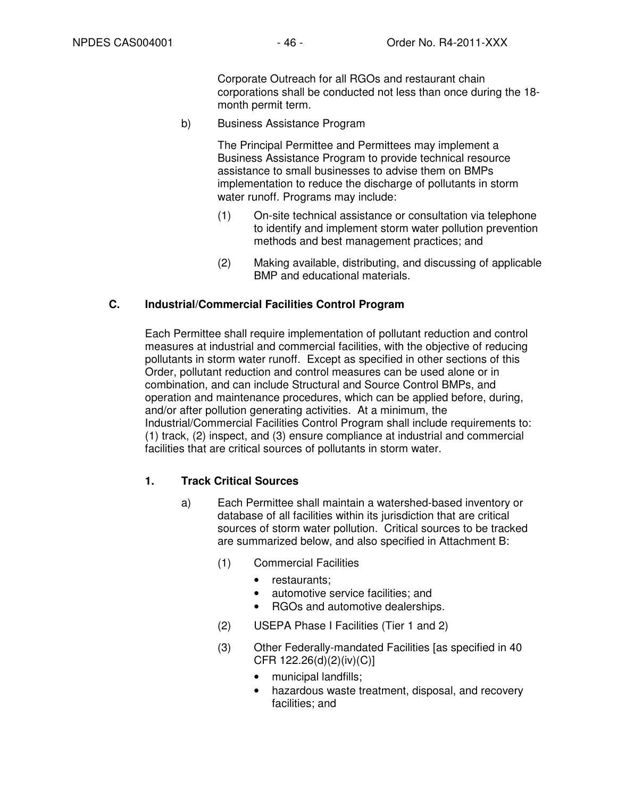Corporate Outreach for all RGOs and restaurant chain corporations shall be conducted not less than once during the 18 month permit term.

b) Business Assistance Program

The Principal Permittee and Permittees may implement a Business Assistance Program to provide technical resource assistance to small businesses to advise them on BMPs implementation to reduce the discharge of pollutants in storm water runoff. Programs may include:

- (1) On-site technical assistance or consultation via telephone to identify and implement storm water pollution prevention methods and best management practices; and
- (2) Making available, distributing, and discussing of applicable BMP and educational materials.

### **C. Industrial/Commercial Facilities Control Program**

Each Permittee shall require implementation of pollutant reduction and control measures at industrial and commercial facilities, with the objective of reducing pollutants in storm water runoff. Except as specified in other sections of this Order, pollutant reduction and control measures can be used alone or in combination, and can include Structural and Source Control BMPs, and operation and maintenance procedures, which can be applied before, during, and/or after pollution generating activities. At a minimum, the Industrial/Commercial Facilities Control Program shall include requirements to: (1) track, (2) inspect, and (3) ensure compliance at industrial and commercial facilities that are critical sources of pollutants in storm water.

# **1. Track Critical Sources**

- a) Each Permittee shall maintain a watershed-based inventory or database of all facilities within its jurisdiction that are critical sources of storm water pollution. Critical sources to be tracked are summarized below, and also specified in Attachment B:
	- (1) Commercial Facilities
		- restaurants;
		- automotive service facilities; and
		- RGOs and automotive dealerships.
	- (2) USEPA Phase I Facilities (Tier 1 and 2)
	- (3) Other Federally-mandated Facilities [as specified in 40 CFR 122.26(d)(2)(iv)(C)]
		- municipal landfills;
		- hazardous waste treatment, disposal, and recovery facilities; and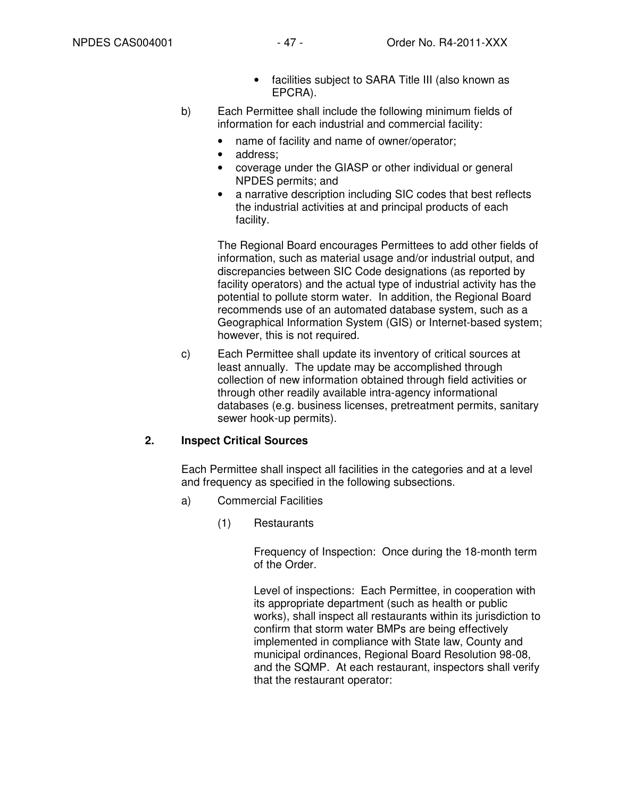- facilities subject to SARA Title III (also known as EPCRA).
- b) Each Permittee shall include the following minimum fields of information for each industrial and commercial facility:
	- name of facility and name of owner/operator;
	- address:
	- coverage under the GIASP or other individual or general NPDES permits; and
	- a narrative description including SIC codes that best reflects the industrial activities at and principal products of each facility.

The Regional Board encourages Permittees to add other fields of information, such as material usage and/or industrial output, and discrepancies between SIC Code designations (as reported by facility operators) and the actual type of industrial activity has the potential to pollute storm water. In addition, the Regional Board recommends use of an automated database system, such as a Geographical Information System (GIS) or Internet-based system; however, this is not required.

c) Each Permittee shall update its inventory of critical sources at least annually. The update may be accomplished through collection of new information obtained through field activities or through other readily available intra-agency informational databases (e.g. business licenses, pretreatment permits, sanitary sewer hook-up permits).

# **2. Inspect Critical Sources**

Each Permittee shall inspect all facilities in the categories and at a level and frequency as specified in the following subsections.

- a) Commercial Facilities
	- (1) Restaurants

Frequency of Inspection: Once during the 18-month term of the Order.

Level of inspections: Each Permittee, in cooperation with its appropriate department (such as health or public works), shall inspect all restaurants within its jurisdiction to confirm that storm water BMPs are being effectively implemented in compliance with State law, County and municipal ordinances, Regional Board Resolution 98-08, and the SQMP. At each restaurant, inspectors shall verify that the restaurant operator: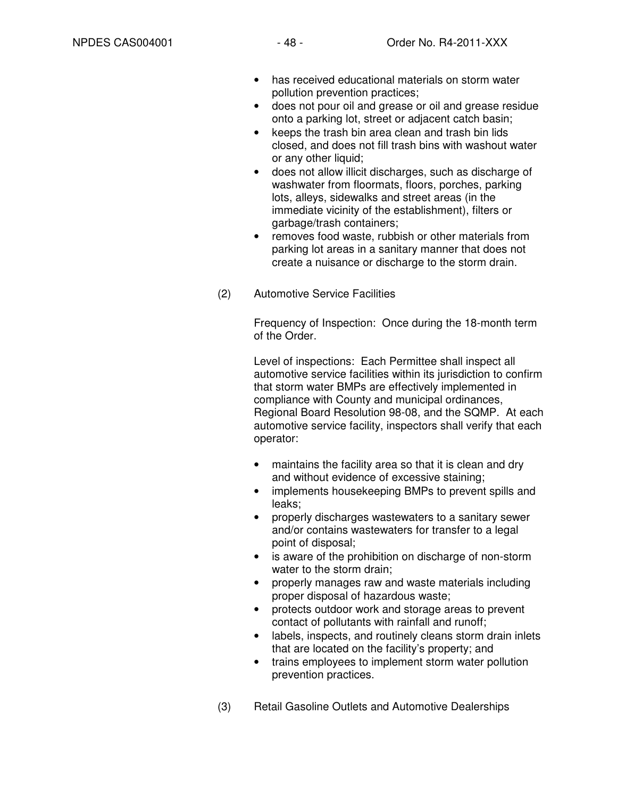- has received educational materials on storm water pollution prevention practices;
- does not pour oil and grease or oil and grease residue onto a parking lot, street or adjacent catch basin;
- keeps the trash bin area clean and trash bin lids closed, and does not fill trash bins with washout water or any other liquid;
- does not allow illicit discharges, such as discharge of washwater from floormats, floors, porches, parking lots, alleys, sidewalks and street areas (in the immediate vicinity of the establishment), filters or garbage/trash containers;
- removes food waste, rubbish or other materials from parking lot areas in a sanitary manner that does not create a nuisance or discharge to the storm drain.
- (2) Automotive Service Facilities

Frequency of Inspection: Once during the 18-month term of the Order.

Level of inspections: Each Permittee shall inspect all automotive service facilities within its jurisdiction to confirm that storm water BMPs are effectively implemented in compliance with County and municipal ordinances, Regional Board Resolution 98-08, and the SQMP. At each automotive service facility, inspectors shall verify that each operator:

- maintains the facility area so that it is clean and dry and without evidence of excessive staining;
- implements housekeeping BMPs to prevent spills and leaks;
- properly discharges wastewaters to a sanitary sewer and/or contains wastewaters for transfer to a legal point of disposal;
- is aware of the prohibition on discharge of non-storm water to the storm drain;
- properly manages raw and waste materials including proper disposal of hazardous waste;
- protects outdoor work and storage areas to prevent contact of pollutants with rainfall and runoff;
- labels, inspects, and routinely cleans storm drain inlets that are located on the facility's property; and
- trains employees to implement storm water pollution prevention practices.
- (3) Retail Gasoline Outlets and Automotive Dealerships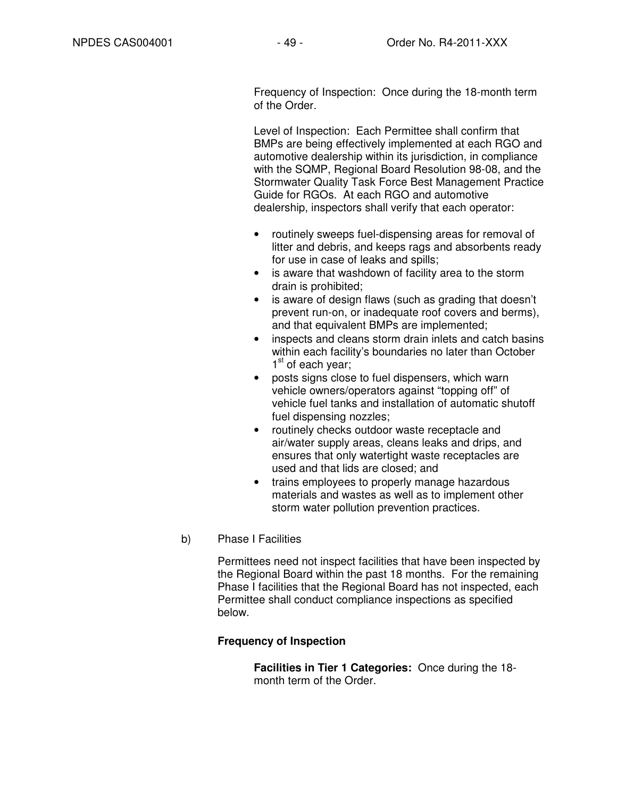Frequency of Inspection: Once during the 18-month term of the Order.

Level of Inspection: Each Permittee shall confirm that BMPs are being effectively implemented at each RGO and automotive dealership within its jurisdiction, in compliance with the SQMP, Regional Board Resolution 98-08, and the Stormwater Quality Task Force Best Management Practice Guide for RGOs. At each RGO and automotive dealership, inspectors shall verify that each operator:

- routinely sweeps fuel-dispensing areas for removal of litter and debris, and keeps rags and absorbents ready for use in case of leaks and spills;
- is aware that washdown of facility area to the storm drain is prohibited;
- is aware of design flaws (such as grading that doesn't prevent run-on, or inadequate roof covers and berms), and that equivalent BMPs are implemented;
- inspects and cleans storm drain inlets and catch basins within each facility's boundaries no later than October 1<sup>st</sup> of each year;
- posts signs close to fuel dispensers, which warn vehicle owners/operators against "topping off" of vehicle fuel tanks and installation of automatic shutoff fuel dispensing nozzles;
- routinely checks outdoor waste receptacle and air/water supply areas, cleans leaks and drips, and ensures that only watertight waste receptacles are used and that lids are closed; and
- trains employees to properly manage hazardous materials and wastes as well as to implement other storm water pollution prevention practices.
- b) Phase I Facilities

Permittees need not inspect facilities that have been inspected by the Regional Board within the past 18 months. For the remaining Phase I facilities that the Regional Board has not inspected, each Permittee shall conduct compliance inspections as specified below.

### **Frequency of Inspection**

**Facilities in Tier 1 Categories:** Once during the 18 month term of the Order.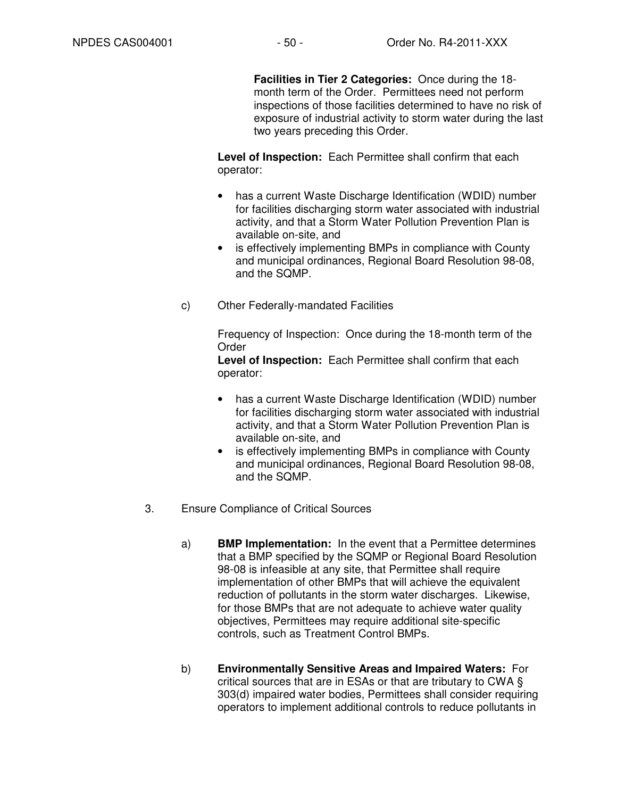**Facilities in Tier 2 Categories:** Once during the 18 month term of the Order. Permittees need not perform inspections of those facilities determined to have no risk of exposure of industrial activity to storm water during the last two years preceding this Order.

**Level of Inspection:** Each Permittee shall confirm that each operator:

- has a current Waste Discharge Identification (WDID) number for facilities discharging storm water associated with industrial activity, and that a Storm Water Pollution Prevention Plan is available on-site, and
- is effectively implementing BMPs in compliance with County and municipal ordinances, Regional Board Resolution 98-08, and the SQMP.
- c) Other Federally-mandated Facilities

Frequency of Inspection: Once during the 18-month term of the Order

**Level of Inspection:** Each Permittee shall confirm that each operator:

- has a current Waste Discharge Identification (WDID) number for facilities discharging storm water associated with industrial activity, and that a Storm Water Pollution Prevention Plan is available on-site, and
- is effectively implementing BMPs in compliance with County and municipal ordinances, Regional Board Resolution 98-08, and the SQMP.
- 3. Ensure Compliance of Critical Sources
	- a) **BMP Implementation:** In the event that a Permittee determines that a BMP specified by the SQMP or Regional Board Resolution 98-08 is infeasible at any site, that Permittee shall require implementation of other BMPs that will achieve the equivalent reduction of pollutants in the storm water discharges. Likewise, for those BMPs that are not adequate to achieve water quality objectives, Permittees may require additional site-specific controls, such as Treatment Control BMPs.
	- b) **Environmentally Sensitive Areas and Impaired Waters:** For critical sources that are in ESAs or that are tributary to CWA § 303(d) impaired water bodies, Permittees shall consider requiring operators to implement additional controls to reduce pollutants in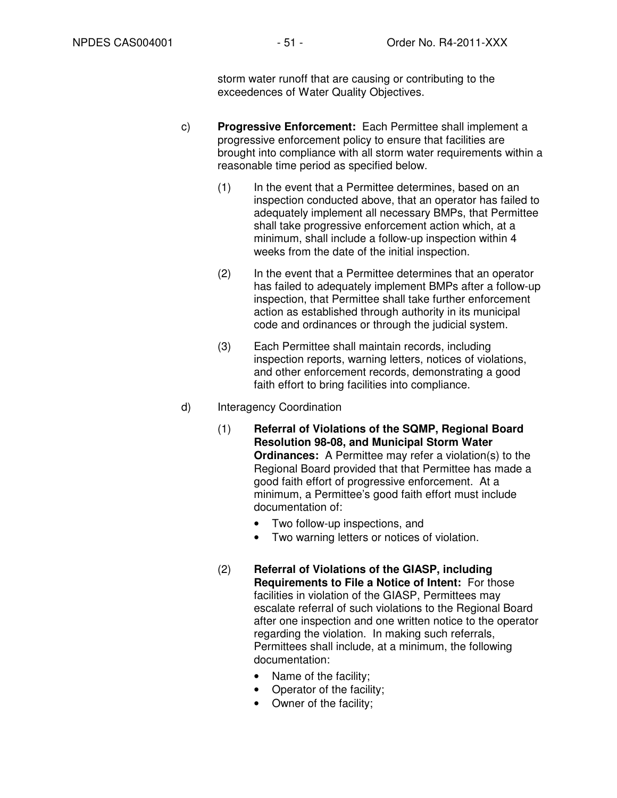storm water runoff that are causing or contributing to the exceedences of Water Quality Objectives.

- c) **Progressive Enforcement:** Each Permittee shall implement a progressive enforcement policy to ensure that facilities are brought into compliance with all storm water requirements within a reasonable time period as specified below.
	- (1) In the event that a Permittee determines, based on an inspection conducted above, that an operator has failed to adequately implement all necessary BMPs, that Permittee shall take progressive enforcement action which, at a minimum, shall include a follow-up inspection within 4 weeks from the date of the initial inspection.
	- (2) In the event that a Permittee determines that an operator has failed to adequately implement BMPs after a follow-up inspection, that Permittee shall take further enforcement action as established through authority in its municipal code and ordinances or through the judicial system.
	- (3) Each Permittee shall maintain records, including inspection reports, warning letters, notices of violations, and other enforcement records, demonstrating a good faith effort to bring facilities into compliance.
- d) Interagency Coordination
	- (1) **Referral of Violations of the SQMP, Regional Board Resolution 98-08, and Municipal Storm Water Ordinances:** A Permittee may refer a violation(s) to the Regional Board provided that that Permittee has made a good faith effort of progressive enforcement. At a minimum, a Permittee's good faith effort must include documentation of:
		- Two follow-up inspections, and
		- Two warning letters or notices of violation.
	- (2) **Referral of Violations of the GIASP, including Requirements to File a Notice of Intent:** For those facilities in violation of the GIASP, Permittees may escalate referral of such violations to the Regional Board after one inspection and one written notice to the operator regarding the violation. In making such referrals, Permittees shall include, at a minimum, the following documentation:
		- Name of the facility;
		- Operator of the facility;
		- Owner of the facility;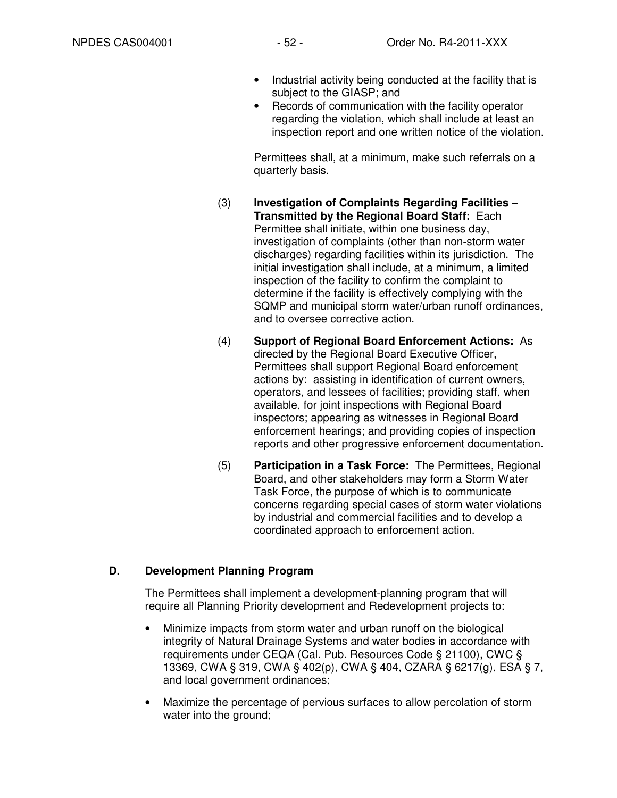- Industrial activity being conducted at the facility that is subject to the GIASP; and
- Records of communication with the facility operator regarding the violation, which shall include at least an inspection report and one written notice of the violation.

Permittees shall, at a minimum, make such referrals on a quarterly basis.

- (3) **Investigation of Complaints Regarding Facilities Transmitted by the Regional Board Staff:** Each Permittee shall initiate, within one business day, investigation of complaints (other than non-storm water discharges) regarding facilities within its jurisdiction. The initial investigation shall include, at a minimum, a limited inspection of the facility to confirm the complaint to determine if the facility is effectively complying with the SQMP and municipal storm water/urban runoff ordinances, and to oversee corrective action.
- (4) **Support of Regional Board Enforcement Actions:** As directed by the Regional Board Executive Officer, Permittees shall support Regional Board enforcement actions by: assisting in identification of current owners, operators, and lessees of facilities; providing staff, when available, for joint inspections with Regional Board inspectors; appearing as witnesses in Regional Board enforcement hearings; and providing copies of inspection reports and other progressive enforcement documentation.
- (5) **Participation in a Task Force:** The Permittees, Regional Board, and other stakeholders may form a Storm Water Task Force, the purpose of which is to communicate concerns regarding special cases of storm water violations by industrial and commercial facilities and to develop a coordinated approach to enforcement action.

# **D. Development Planning Program**

The Permittees shall implement a development-planning program that will require all Planning Priority development and Redevelopment projects to:

- Minimize impacts from storm water and urban runoff on the biological integrity of Natural Drainage Systems and water bodies in accordance with requirements under CEQA (Cal. Pub. Resources Code § 21100), CWC § 13369, CWA § 319, CWA § 402(p), CWA § 404, CZARA § 6217(g), ESA § 7, and local government ordinances;
- Maximize the percentage of pervious surfaces to allow percolation of storm water into the ground;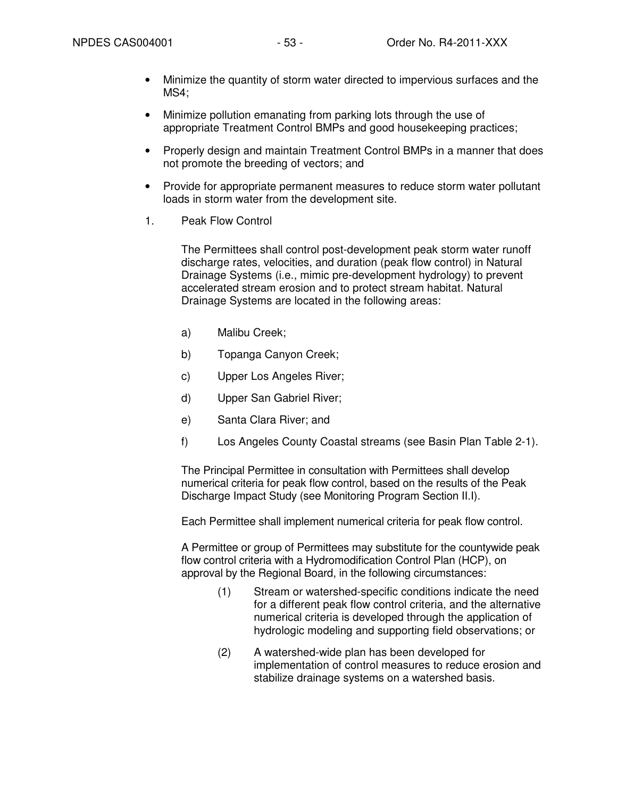- Minimize the quantity of storm water directed to impervious surfaces and the MS4;
- Minimize pollution emanating from parking lots through the use of appropriate Treatment Control BMPs and good housekeeping practices;
- Properly design and maintain Treatment Control BMPs in a manner that does not promote the breeding of vectors; and
- Provide for appropriate permanent measures to reduce storm water pollutant loads in storm water from the development site.
- 1. Peak Flow Control

The Permittees shall control post-development peak storm water runoff discharge rates, velocities, and duration (peak flow control) in Natural Drainage Systems (i.e., mimic pre-development hydrology) to prevent accelerated stream erosion and to protect stream habitat. Natural Drainage Systems are located in the following areas:

- a) Malibu Creek;
- b) Topanga Canyon Creek;
- c) Upper Los Angeles River;
- d) Upper San Gabriel River;
- e) Santa Clara River; and
- f) Los Angeles County Coastal streams (see Basin Plan Table 2-1).

The Principal Permittee in consultation with Permittees shall develop numerical criteria for peak flow control, based on the results of the Peak Discharge Impact Study (see Monitoring Program Section II.I).

Each Permittee shall implement numerical criteria for peak flow control.

A Permittee or group of Permittees may substitute for the countywide peak flow control criteria with a Hydromodification Control Plan (HCP), on approval by the Regional Board, in the following circumstances:

- (1) Stream or watershed-specific conditions indicate the need for a different peak flow control criteria, and the alternative numerical criteria is developed through the application of hydrologic modeling and supporting field observations; or
- (2) A watershed-wide plan has been developed for implementation of control measures to reduce erosion and stabilize drainage systems on a watershed basis.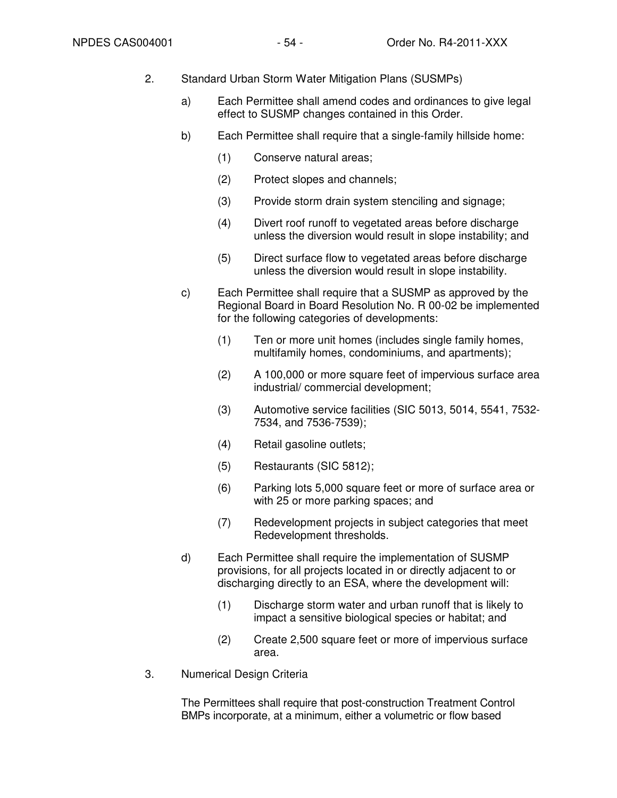- 2. Standard Urban Storm Water Mitigation Plans (SUSMPs)
	- a) Each Permittee shall amend codes and ordinances to give legal effect to SUSMP changes contained in this Order.
	- b) Each Permittee shall require that a single-family hillside home:
		- (1) Conserve natural areas;
		- (2) Protect slopes and channels;
		- (3) Provide storm drain system stenciling and signage;
		- (4) Divert roof runoff to vegetated areas before discharge unless the diversion would result in slope instability; and
		- (5) Direct surface flow to vegetated areas before discharge unless the diversion would result in slope instability.
	- c) Each Permittee shall require that a SUSMP as approved by the Regional Board in Board Resolution No. R 00-02 be implemented for the following categories of developments:
		- (1) Ten or more unit homes (includes single family homes, multifamily homes, condominiums, and apartments);
		- (2) A 100,000 or more square feet of impervious surface area industrial/ commercial development;
		- (3) Automotive service facilities (SIC 5013, 5014, 5541, 7532- 7534, and 7536-7539);
		- (4) Retail gasoline outlets;
		- (5) Restaurants (SIC 5812);
		- (6) Parking lots 5,000 square feet or more of surface area or with 25 or more parking spaces; and
		- (7) Redevelopment projects in subject categories that meet Redevelopment thresholds.
	- d) Each Permittee shall require the implementation of SUSMP provisions, for all projects located in or directly adjacent to or discharging directly to an ESA, where the development will:
		- (1) Discharge storm water and urban runoff that is likely to impact a sensitive biological species or habitat; and
		- (2) Create 2,500 square feet or more of impervious surface area.
- 3. Numerical Design Criteria

The Permittees shall require that post-construction Treatment Control BMPs incorporate, at a minimum, either a volumetric or flow based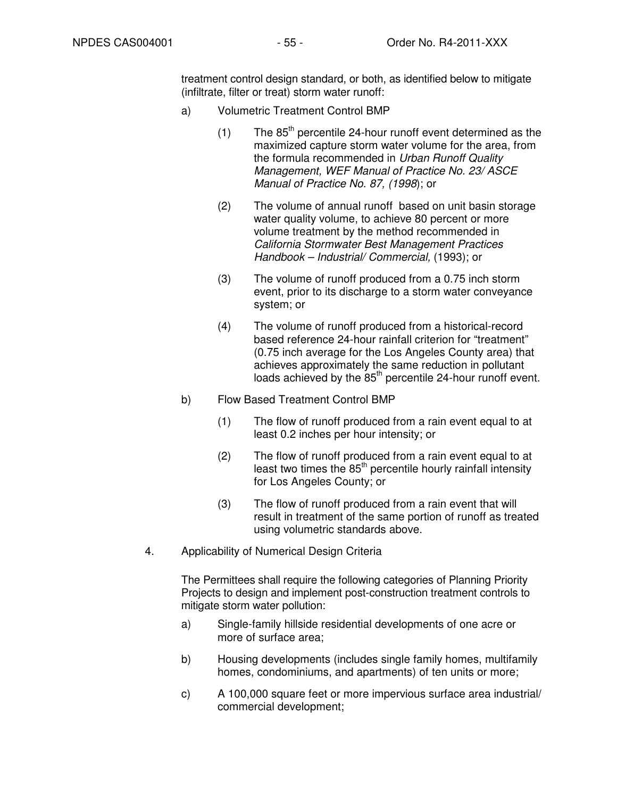treatment control design standard, or both, as identified below to mitigate (infiltrate, filter or treat) storm water runoff:

- a) Volumetric Treatment Control BMP
	- (1) The  $85<sup>th</sup>$  percentile 24-hour runoff event determined as the maximized capture storm water volume for the area, from the formula recommended in Urban Runoff Quality Management, WEF Manual of Practice No. 23/ ASCE Manual of Practice No. 87, (1998); or
	- (2) The volume of annual runoff based on unit basin storage water quality volume, to achieve 80 percent or more volume treatment by the method recommended in California Stormwater Best Management Practices Handbook – Industrial/ Commercial, (1993); or
	- (3) The volume of runoff produced from a 0.75 inch storm event, prior to its discharge to a storm water conveyance system; or
	- (4) The volume of runoff produced from a historical-record based reference 24-hour rainfall criterion for "treatment" (0.75 inch average for the Los Angeles County area) that achieves approximately the same reduction in pollutant loads achieved by the 85<sup>th</sup> percentile 24-hour runoff event.
- b) Flow Based Treatment Control BMP
	- (1) The flow of runoff produced from a rain event equal to at least 0.2 inches per hour intensity; or
	- (2) The flow of runoff produced from a rain event equal to at least two times the  $85<sup>th</sup>$  percentile hourly rainfall intensity for Los Angeles County; or
	- (3) The flow of runoff produced from a rain event that will result in treatment of the same portion of runoff as treated using volumetric standards above.
- 4. Applicability of Numerical Design Criteria

The Permittees shall require the following categories of Planning Priority Projects to design and implement post-construction treatment controls to mitigate storm water pollution:

- a) Single-family hillside residential developments of one acre or more of surface area;
- b) Housing developments (includes single family homes, multifamily homes, condominiums, and apartments) of ten units or more;
- c) A 100,000 square feet or more impervious surface area industrial/ commercial development;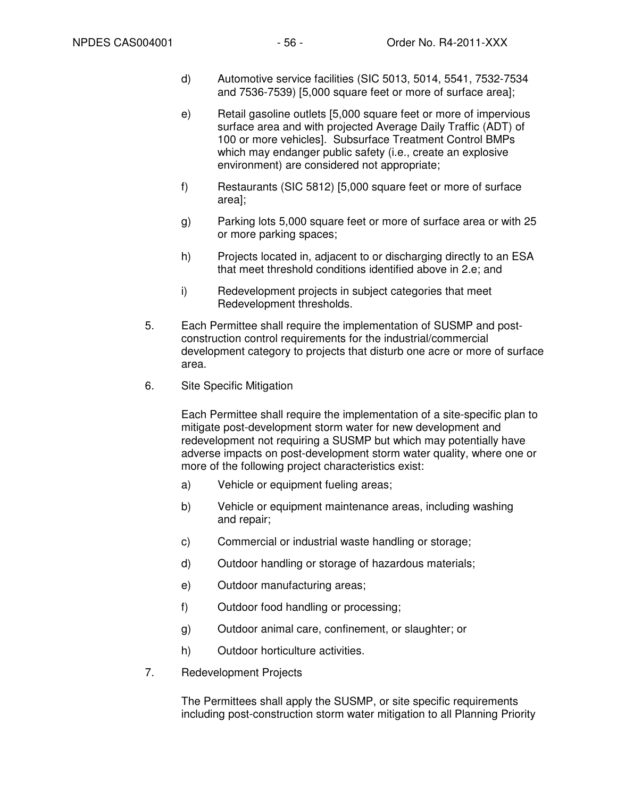- d) Automotive service facilities (SIC 5013, 5014, 5541, 7532-7534 and 7536-7539) [5,000 square feet or more of surface area];
- e) Retail gasoline outlets [5,000 square feet or more of impervious surface area and with projected Average Daily Traffic (ADT) of 100 or more vehicles]. Subsurface Treatment Control BMPs which may endanger public safety (i.e., create an explosive environment) are considered not appropriate;
- f) Restaurants (SIC 5812) [5,000 square feet or more of surface area];
- g) Parking lots 5,000 square feet or more of surface area or with 25 or more parking spaces;
- h) Projects located in, adjacent to or discharging directly to an ESA that meet threshold conditions identified above in 2.e; and
- i) Redevelopment projects in subject categories that meet Redevelopment thresholds.
- 5. Each Permittee shall require the implementation of SUSMP and postconstruction control requirements for the industrial/commercial development category to projects that disturb one acre or more of surface area.
- 6. Site Specific Mitigation

Each Permittee shall require the implementation of a site-specific plan to mitigate post-development storm water for new development and redevelopment not requiring a SUSMP but which may potentially have adverse impacts on post-development storm water quality, where one or more of the following project characteristics exist:

- a) Vehicle or equipment fueling areas;
- b) Vehicle or equipment maintenance areas, including washing and repair;
- c) Commercial or industrial waste handling or storage;
- d) Outdoor handling or storage of hazardous materials;
- e) Outdoor manufacturing areas;
- f) Outdoor food handling or processing;
- g) Outdoor animal care, confinement, or slaughter; or
- h) Outdoor horticulture activities.
- 7. Redevelopment Projects

The Permittees shall apply the SUSMP, or site specific requirements including post-construction storm water mitigation to all Planning Priority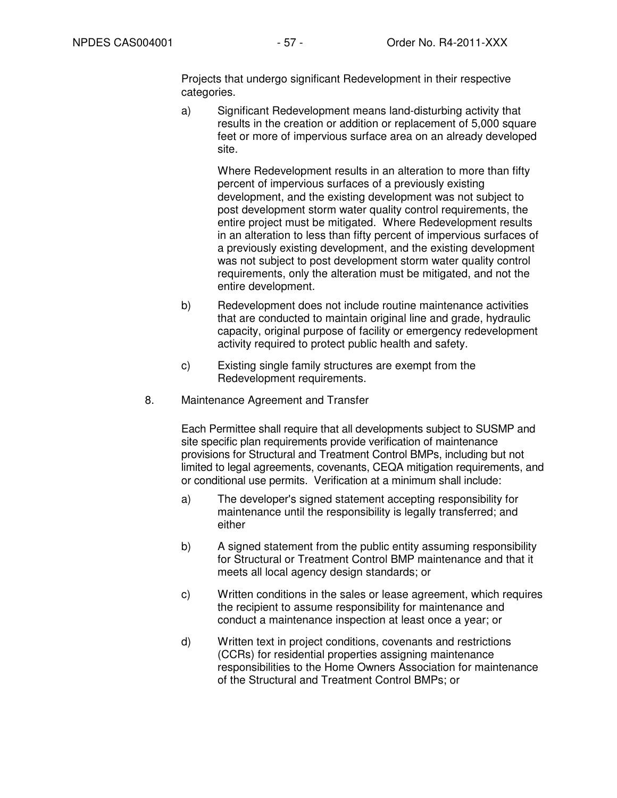Projects that undergo significant Redevelopment in their respective categories.

a) Significant Redevelopment means land-disturbing activity that results in the creation or addition or replacement of 5,000 square feet or more of impervious surface area on an already developed site.

> Where Redevelopment results in an alteration to more than fifty percent of impervious surfaces of a previously existing development, and the existing development was not subject to post development storm water quality control requirements, the entire project must be mitigated. Where Redevelopment results in an alteration to less than fifty percent of impervious surfaces of a previously existing development, and the existing development was not subject to post development storm water quality control requirements, only the alteration must be mitigated, and not the entire development.

- b) Redevelopment does not include routine maintenance activities that are conducted to maintain original line and grade, hydraulic capacity, original purpose of facility or emergency redevelopment activity required to protect public health and safety.
- c) Existing single family structures are exempt from the Redevelopment requirements.
- 8. Maintenance Agreement and Transfer

Each Permittee shall require that all developments subject to SUSMP and site specific plan requirements provide verification of maintenance provisions for Structural and Treatment Control BMPs, including but not limited to legal agreements, covenants, CEQA mitigation requirements, and or conditional use permits. Verification at a minimum shall include:

- a) The developer's signed statement accepting responsibility for maintenance until the responsibility is legally transferred; and either
- b) A signed statement from the public entity assuming responsibility for Structural or Treatment Control BMP maintenance and that it meets all local agency design standards; or
- c) Written conditions in the sales or lease agreement, which requires the recipient to assume responsibility for maintenance and conduct a maintenance inspection at least once a year; or
- d) Written text in project conditions, covenants and restrictions (CCRs) for residential properties assigning maintenance responsibilities to the Home Owners Association for maintenance of the Structural and Treatment Control BMPs; or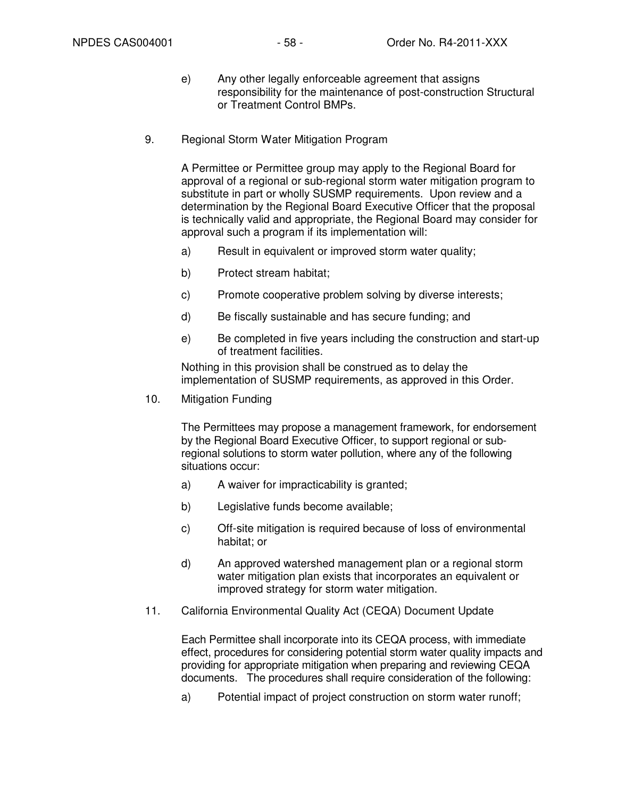- e) Any other legally enforceable agreement that assigns responsibility for the maintenance of post-construction Structural or Treatment Control BMPs.
- 9. Regional Storm Water Mitigation Program

A Permittee or Permittee group may apply to the Regional Board for approval of a regional or sub-regional storm water mitigation program to substitute in part or wholly SUSMP requirements. Upon review and a determination by the Regional Board Executive Officer that the proposal is technically valid and appropriate, the Regional Board may consider for approval such a program if its implementation will:

- a) Result in equivalent or improved storm water quality;
- b) Protect stream habitat;
- c) Promote cooperative problem solving by diverse interests;
- d) Be fiscally sustainable and has secure funding; and
- e) Be completed in five years including the construction and start-up of treatment facilities.

Nothing in this provision shall be construed as to delay the implementation of SUSMP requirements, as approved in this Order.

10. Mitigation Funding

The Permittees may propose a management framework, for endorsement by the Regional Board Executive Officer, to support regional or subregional solutions to storm water pollution, where any of the following situations occur:

- a) A waiver for impracticability is granted;
- b) Legislative funds become available;
- c) Off-site mitigation is required because of loss of environmental habitat; or
- d) An approved watershed management plan or a regional storm water mitigation plan exists that incorporates an equivalent or improved strategy for storm water mitigation.
- 11. California Environmental Quality Act (CEQA) Document Update

Each Permittee shall incorporate into its CEQA process, with immediate effect, procedures for considering potential storm water quality impacts and providing for appropriate mitigation when preparing and reviewing CEQA documents. The procedures shall require consideration of the following:

a) Potential impact of project construction on storm water runoff;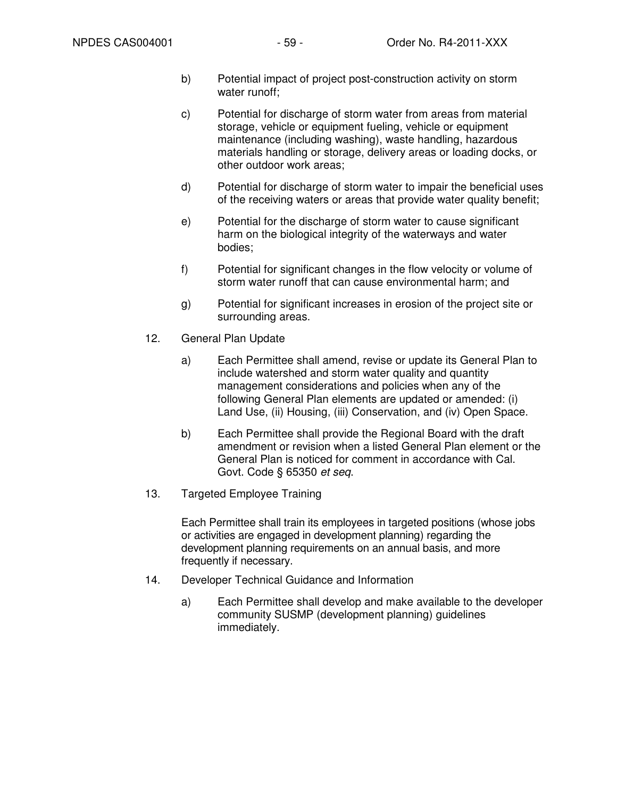- b) Potential impact of project post-construction activity on storm water runoff;
- c) Potential for discharge of storm water from areas from material storage, vehicle or equipment fueling, vehicle or equipment maintenance (including washing), waste handling, hazardous materials handling or storage, delivery areas or loading docks, or other outdoor work areas;
- d) Potential for discharge of storm water to impair the beneficial uses of the receiving waters or areas that provide water quality benefit;
- e) Potential for the discharge of storm water to cause significant harm on the biological integrity of the waterways and water bodies;
- f) Potential for significant changes in the flow velocity or volume of storm water runoff that can cause environmental harm; and
- g) Potential for significant increases in erosion of the project site or surrounding areas.
- 12. General Plan Update
	- a) Each Permittee shall amend, revise or update its General Plan to include watershed and storm water quality and quantity management considerations and policies when any of the following General Plan elements are updated or amended: (i) Land Use, (ii) Housing, (iii) Conservation, and (iv) Open Space.
	- b) Each Permittee shall provide the Regional Board with the draft amendment or revision when a listed General Plan element or the General Plan is noticed for comment in accordance with Cal. Govt. Code § 65350 et seq.
- 13. Targeted Employee Training

Each Permittee shall train its employees in targeted positions (whose jobs or activities are engaged in development planning) regarding the development planning requirements on an annual basis, and more frequently if necessary.

- 14. Developer Technical Guidance and Information
	- a) Each Permittee shall develop and make available to the developer community SUSMP (development planning) guidelines immediately.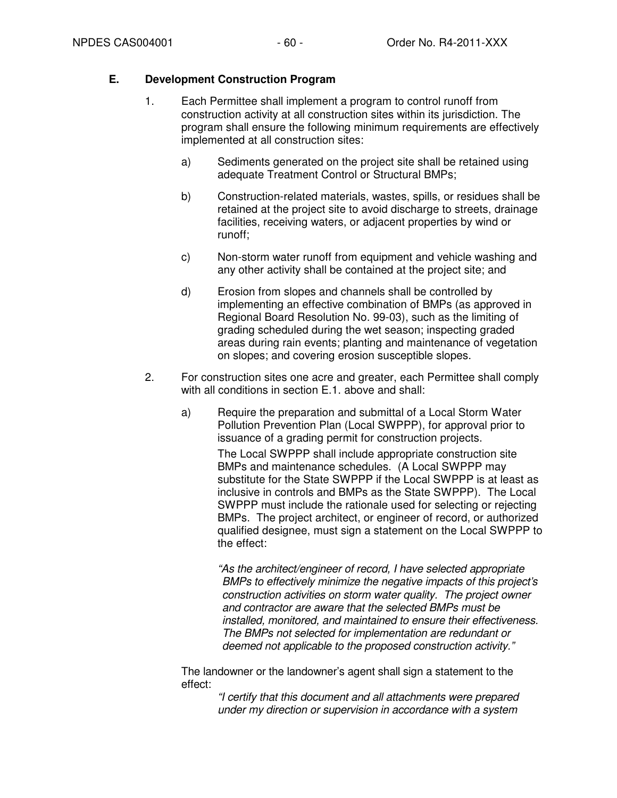### **E. Development Construction Program**

- 1. Each Permittee shall implement a program to control runoff from construction activity at all construction sites within its jurisdiction. The program shall ensure the following minimum requirements are effectively implemented at all construction sites:
	- a) Sediments generated on the project site shall be retained using adequate Treatment Control or Structural BMPs;
	- b) Construction-related materials, wastes, spills, or residues shall be retained at the project site to avoid discharge to streets, drainage facilities, receiving waters, or adjacent properties by wind or runoff;
	- c) Non-storm water runoff from equipment and vehicle washing and any other activity shall be contained at the project site; and
	- d) Erosion from slopes and channels shall be controlled by implementing an effective combination of BMPs (as approved in Regional Board Resolution No. 99-03), such as the limiting of grading scheduled during the wet season; inspecting graded areas during rain events; planting and maintenance of vegetation on slopes; and covering erosion susceptible slopes.
- 2. For construction sites one acre and greater, each Permittee shall comply with all conditions in section E.1. above and shall:
	- a) Require the preparation and submittal of a Local Storm Water Pollution Prevention Plan (Local SWPPP), for approval prior to issuance of a grading permit for construction projects. The Local SWPPP shall include appropriate construction site BMPs and maintenance schedules. (A Local SWPPP may substitute for the State SWPPP if the Local SWPPP is at least as inclusive in controls and BMPs as the State SWPPP). The Local SWPPP must include the rationale used for selecting or rejecting BMPs. The project architect, or engineer of record, or authorized qualified designee, must sign a statement on the Local SWPPP to the effect:

"As the architect/engineer of record, I have selected appropriate BMPs to effectively minimize the negative impacts of this project's construction activities on storm water quality. The project owner and contractor are aware that the selected BMPs must be installed, monitored, and maintained to ensure their effectiveness. The BMPs not selected for implementation are redundant or deemed not applicable to the proposed construction activity."

The landowner or the landowner's agent shall sign a statement to the effect:

> "I certify that this document and all attachments were prepared under my direction or supervision in accordance with a system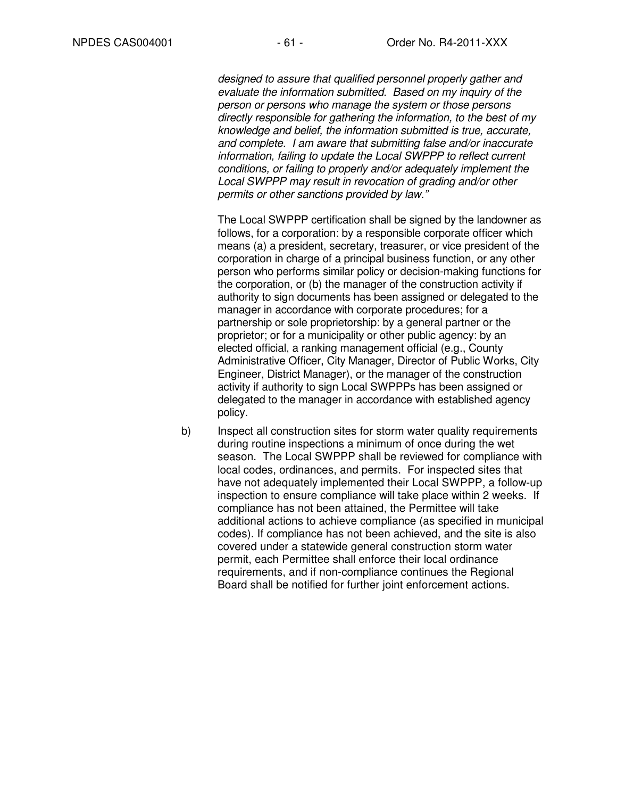designed to assure that qualified personnel properly gather and evaluate the information submitted. Based on my inquiry of the person or persons who manage the system or those persons directly responsible for gathering the information, to the best of my knowledge and belief, the information submitted is true, accurate, and complete. I am aware that submitting false and/or inaccurate information, failing to update the Local SWPPP to reflect current conditions, or failing to properly and/or adequately implement the Local SWPPP may result in revocation of grading and/or other permits or other sanctions provided by law."

The Local SWPPP certification shall be signed by the landowner as follows, for a corporation: by a responsible corporate officer which means (a) a president, secretary, treasurer, or vice president of the corporation in charge of a principal business function, or any other person who performs similar policy or decision-making functions for the corporation, or (b) the manager of the construction activity if authority to sign documents has been assigned or delegated to the manager in accordance with corporate procedures; for a partnership or sole proprietorship: by a general partner or the proprietor; or for a municipality or other public agency: by an elected official, a ranking management official (e.g., County Administrative Officer, City Manager, Director of Public Works, City Engineer, District Manager), or the manager of the construction activity if authority to sign Local SWPPPs has been assigned or delegated to the manager in accordance with established agency policy.

b) Inspect all construction sites for storm water quality requirements during routine inspections a minimum of once during the wet season. The Local SWPPP shall be reviewed for compliance with local codes, ordinances, and permits. For inspected sites that have not adequately implemented their Local SWPPP, a follow-up inspection to ensure compliance will take place within 2 weeks. If compliance has not been attained, the Permittee will take additional actions to achieve compliance (as specified in municipal codes). If compliance has not been achieved, and the site is also covered under a statewide general construction storm water permit, each Permittee shall enforce their local ordinance requirements, and if non-compliance continues the Regional Board shall be notified for further joint enforcement actions.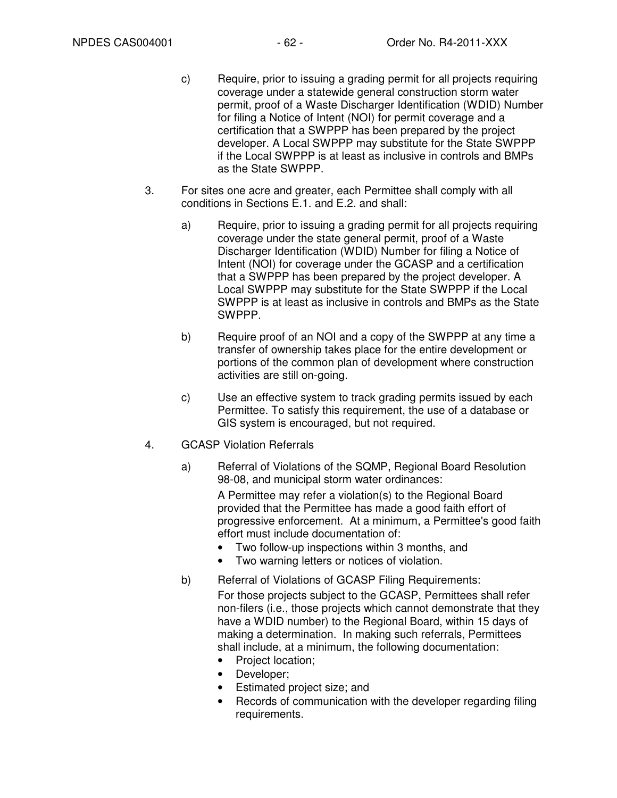- c) Require, prior to issuing a grading permit for all projects requiring coverage under a statewide general construction storm water permit, proof of a Waste Discharger Identification (WDID) Number for filing a Notice of Intent (NOI) for permit coverage and a certification that a SWPPP has been prepared by the project developer. A Local SWPPP may substitute for the State SWPPP if the Local SWPPP is at least as inclusive in controls and BMPs as the State SWPPP.
- 3. For sites one acre and greater, each Permittee shall comply with all conditions in Sections E.1. and E.2. and shall:
	- a) Require, prior to issuing a grading permit for all projects requiring coverage under the state general permit, proof of a Waste Discharger Identification (WDID) Number for filing a Notice of Intent (NOI) for coverage under the GCASP and a certification that a SWPPP has been prepared by the project developer. A Local SWPPP may substitute for the State SWPPP if the Local SWPPP is at least as inclusive in controls and BMPs as the State SWPPP.
	- b) Require proof of an NOI and a copy of the SWPPP at any time a transfer of ownership takes place for the entire development or portions of the common plan of development where construction activities are still on-going.
	- c) Use an effective system to track grading permits issued by each Permittee. To satisfy this requirement, the use of a database or GIS system is encouraged, but not required.
- 4. GCASP Violation Referrals
	- a) Referral of Violations of the SQMP, Regional Board Resolution 98-08, and municipal storm water ordinances:

A Permittee may refer a violation(s) to the Regional Board provided that the Permittee has made a good faith effort of progressive enforcement. At a minimum, a Permittee's good faith effort must include documentation of:

- Two follow-up inspections within 3 months, and
- Two warning letters or notices of violation.
- b) Referral of Violations of GCASP Filing Requirements:

For those projects subject to the GCASP, Permittees shall refer non-filers (i.e., those projects which cannot demonstrate that they have a WDID number) to the Regional Board, within 15 days of making a determination. In making such referrals, Permittees shall include, at a minimum, the following documentation:

- Project location;
- Developer;
- Estimated project size; and
- Records of communication with the developer regarding filing requirements.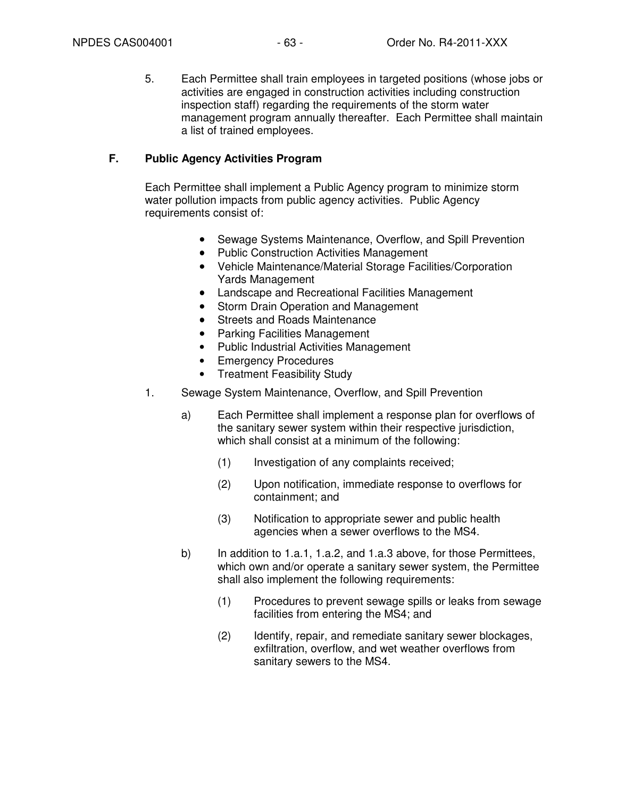5. Each Permittee shall train employees in targeted positions (whose jobs or activities are engaged in construction activities including construction inspection staff) regarding the requirements of the storm water management program annually thereafter. Each Permittee shall maintain a list of trained employees.

#### **F. Public Agency Activities Program**

Each Permittee shall implement a Public Agency program to minimize storm water pollution impacts from public agency activities. Public Agency requirements consist of:

- Sewage Systems Maintenance, Overflow, and Spill Prevention
- Public Construction Activities Management
- Vehicle Maintenance/Material Storage Facilities/Corporation Yards Management
- Landscape and Recreational Facilities Management
- Storm Drain Operation and Management
- Streets and Roads Maintenance
- Parking Facilities Management
- Public Industrial Activities Management
- Emergency Procedures
- Treatment Feasibility Study
- 1. Sewage System Maintenance, Overflow, and Spill Prevention
	- a) Each Permittee shall implement a response plan for overflows of the sanitary sewer system within their respective jurisdiction, which shall consist at a minimum of the following:
		- (1) Investigation of any complaints received;
		- (2) Upon notification, immediate response to overflows for containment; and
		- (3) Notification to appropriate sewer and public health agencies when a sewer overflows to the MS4.
	- b) In addition to 1.a.1, 1.a.2, and 1.a.3 above, for those Permittees, which own and/or operate a sanitary sewer system, the Permittee shall also implement the following requirements:
		- (1) Procedures to prevent sewage spills or leaks from sewage facilities from entering the MS4; and
		- (2) Identify, repair, and remediate sanitary sewer blockages, exfiltration, overflow, and wet weather overflows from sanitary sewers to the MS4.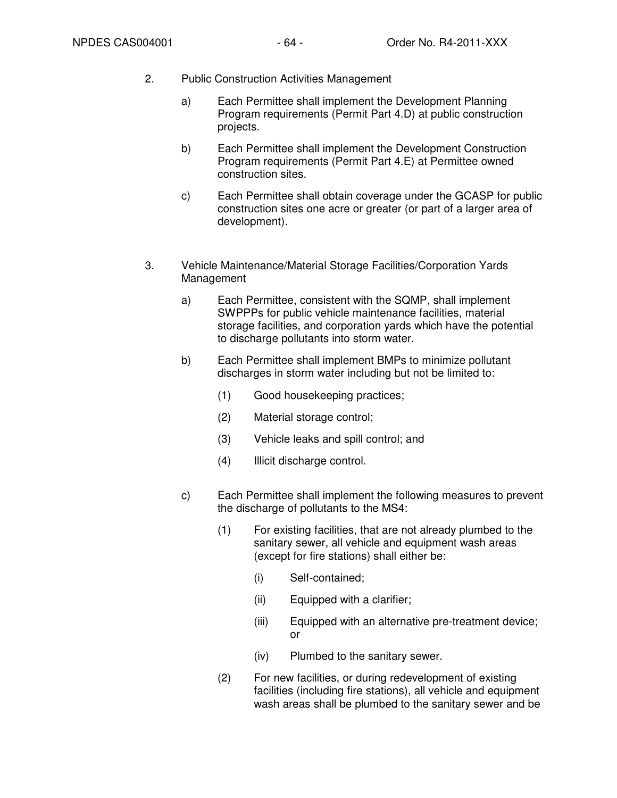- 2. Public Construction Activities Management
	- a) Each Permittee shall implement the Development Planning Program requirements (Permit Part 4.D) at public construction projects.
	- b) Each Permittee shall implement the Development Construction Program requirements (Permit Part 4.E) at Permittee owned construction sites.
	- c) Each Permittee shall obtain coverage under the GCASP for public construction sites one acre or greater (or part of a larger area of development).
- 3. Vehicle Maintenance/Material Storage Facilities/Corporation Yards Management
	- a) Each Permittee, consistent with the SQMP, shall implement SWPPPs for public vehicle maintenance facilities, material storage facilities, and corporation yards which have the potential to discharge pollutants into storm water.
	- b) Each Permittee shall implement BMPs to minimize pollutant discharges in storm water including but not be limited to:
		- (1) Good housekeeping practices;
		- (2) Material storage control;
		- (3) Vehicle leaks and spill control; and
		- (4) Illicit discharge control.
	- c) Each Permittee shall implement the following measures to prevent the discharge of pollutants to the MS4:
		- (1) For existing facilities, that are not already plumbed to the sanitary sewer, all vehicle and equipment wash areas (except for fire stations) shall either be:
			- (i) Self-contained;
			- (ii) Equipped with a clarifier;
			- (iii) Equipped with an alternative pre-treatment device; or
			- (iv) Plumbed to the sanitary sewer.
		- (2) For new facilities, or during redevelopment of existing facilities (including fire stations), all vehicle and equipment wash areas shall be plumbed to the sanitary sewer and be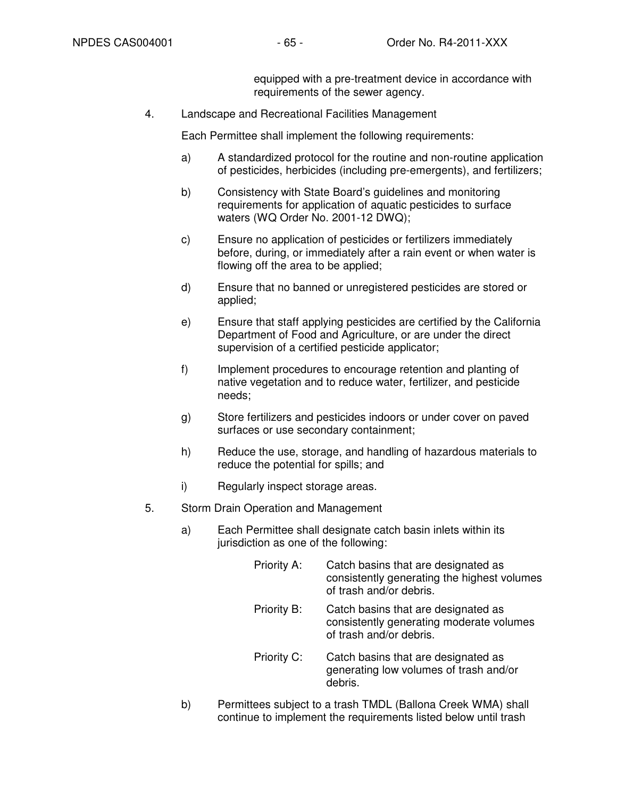equipped with a pre-treatment device in accordance with requirements of the sewer agency.

4. Landscape and Recreational Facilities Management

Each Permittee shall implement the following requirements:

- a) A standardized protocol for the routine and non-routine application of pesticides, herbicides (including pre-emergents), and fertilizers;
- b) Consistency with State Board's guidelines and monitoring requirements for application of aquatic pesticides to surface waters (WQ Order No. 2001-12 DWQ);
- c) Ensure no application of pesticides or fertilizers immediately before, during, or immediately after a rain event or when water is flowing off the area to be applied;
- d) Ensure that no banned or unregistered pesticides are stored or applied;
- e) Ensure that staff applying pesticides are certified by the California Department of Food and Agriculture, or are under the direct supervision of a certified pesticide applicator;
- f) Implement procedures to encourage retention and planting of native vegetation and to reduce water, fertilizer, and pesticide needs;
- g) Store fertilizers and pesticides indoors or under cover on paved surfaces or use secondary containment;
- h) Reduce the use, storage, and handling of hazardous materials to reduce the potential for spills; and
- i) Regularly inspect storage areas.
- 5. Storm Drain Operation and Management
	- a) Each Permittee shall designate catch basin inlets within its jurisdiction as one of the following:
		- Priority A: Catch basins that are designated as consistently generating the highest volumes of trash and/or debris. Priority B: Catch basins that are designated as consistently generating moderate volumes of trash and/or debris. Priority C: Catch basins that are designated as generating low volumes of trash and/or
	- b) Permittees subject to a trash TMDL (Ballona Creek WMA) shall continue to implement the requirements listed below until trash

debris.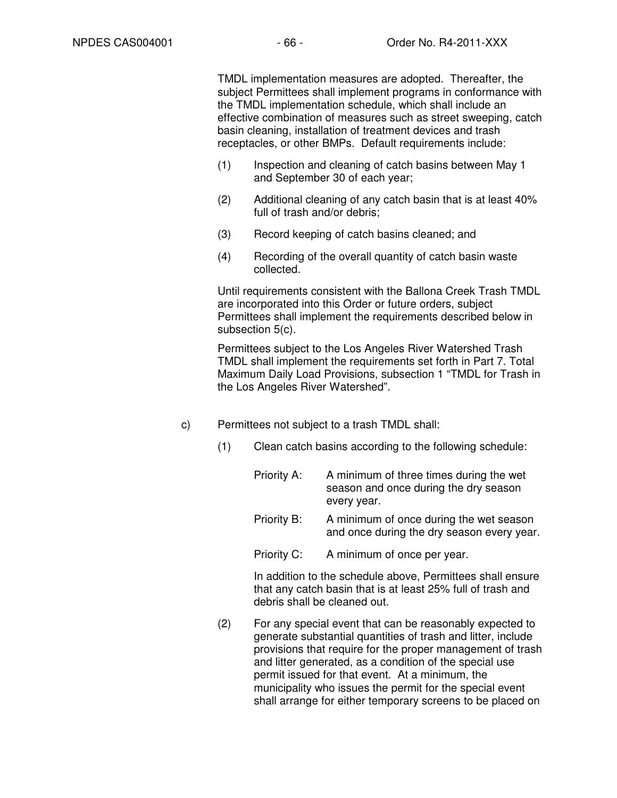TMDL implementation measures are adopted. Thereafter, the subject Permittees shall implement programs in conformance with the TMDL implementation schedule, which shall include an effective combination of measures such as street sweeping, catch basin cleaning, installation of treatment devices and trash receptacles, or other BMPs. Default requirements include:

- (1) Inspection and cleaning of catch basins between May 1 and September 30 of each year;
- (2) Additional cleaning of any catch basin that is at least 40% full of trash and/or debris:
- (3) Record keeping of catch basins cleaned; and
- (4) Recording of the overall quantity of catch basin waste collected.

Until requirements consistent with the Ballona Creek Trash TMDL are incorporated into this Order or future orders, subject Permittees shall implement the requirements described below in subsection 5(c).

Permittees subject to the Los Angeles River Watershed Trash TMDL shall implement the requirements set forth in Part 7. Total Maximum Daily Load Provisions, subsection 1 "TMDL for Trash in the Los Angeles River Watershed".

- c) Permittees not subject to a trash TMDL shall:
	- (1) Clean catch basins according to the following schedule:

Priority A: A minimum of three times during the wet season and once during the dry season every year.

Priority B: A minimum of once during the wet season and once during the dry season every year.

Priority C: A minimum of once per year.

In addition to the schedule above, Permittees shall ensure that any catch basin that is at least 25% full of trash and debris shall be cleaned out.

(2) For any special event that can be reasonably expected to generate substantial quantities of trash and litter, include provisions that require for the proper management of trash and litter generated, as a condition of the special use permit issued for that event. At a minimum, the municipality who issues the permit for the special event shall arrange for either temporary screens to be placed on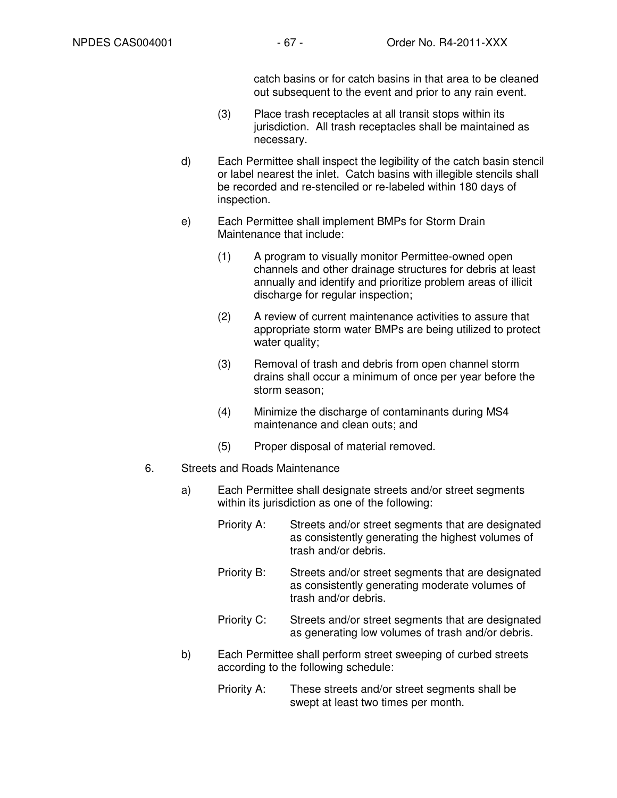catch basins or for catch basins in that area to be cleaned out subsequent to the event and prior to any rain event.

- (3) Place trash receptacles at all transit stops within its jurisdiction. All trash receptacles shall be maintained as necessary.
- d) Each Permittee shall inspect the legibility of the catch basin stencil or label nearest the inlet. Catch basins with illegible stencils shall be recorded and re-stenciled or re-labeled within 180 days of inspection.
- e) Each Permittee shall implement BMPs for Storm Drain Maintenance that include:
	- (1) A program to visually monitor Permittee-owned open channels and other drainage structures for debris at least annually and identify and prioritize problem areas of illicit discharge for regular inspection;
	- (2) A review of current maintenance activities to assure that appropriate storm water BMPs are being utilized to protect water quality;
	- (3) Removal of trash and debris from open channel storm drains shall occur a minimum of once per year before the storm season;
	- (4) Minimize the discharge of contaminants during MS4 maintenance and clean outs; and
	- (5) Proper disposal of material removed.
- 6. Streets and Roads Maintenance
	- a) Each Permittee shall designate streets and/or street segments within its jurisdiction as one of the following:
		- Priority A: Streets and/or street segments that are designated as consistently generating the highest volumes of trash and/or debris.
		- Priority B: Streets and/or street segments that are designated as consistently generating moderate volumes of trash and/or debris.
		- Priority C: Streets and/or street segments that are designated as generating low volumes of trash and/or debris.
	- b) Each Permittee shall perform street sweeping of curbed streets according to the following schedule:
		- Priority A: These streets and/or street segments shall be swept at least two times per month.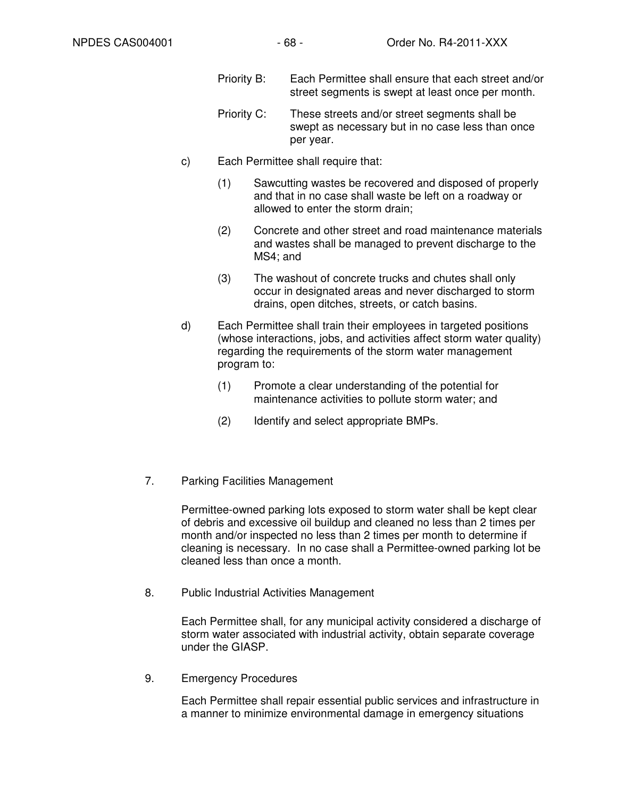- Priority B: Each Permittee shall ensure that each street and/or street segments is swept at least once per month.
- Priority C: These streets and/or street segments shall be swept as necessary but in no case less than once per year.
- c) Each Permittee shall require that:
	- (1) Sawcutting wastes be recovered and disposed of properly and that in no case shall waste be left on a roadway or allowed to enter the storm drain;
	- (2) Concrete and other street and road maintenance materials and wastes shall be managed to prevent discharge to the MS4; and
	- (3) The washout of concrete trucks and chutes shall only occur in designated areas and never discharged to storm drains, open ditches, streets, or catch basins.
- d) Each Permittee shall train their employees in targeted positions (whose interactions, jobs, and activities affect storm water quality) regarding the requirements of the storm water management program to:
	- (1) Promote a clear understanding of the potential for maintenance activities to pollute storm water; and
	- (2) Identify and select appropriate BMPs.
- 7. Parking Facilities Management

Permittee-owned parking lots exposed to storm water shall be kept clear of debris and excessive oil buildup and cleaned no less than 2 times per month and/or inspected no less than 2 times per month to determine if cleaning is necessary. In no case shall a Permittee-owned parking lot be cleaned less than once a month.

8. Public Industrial Activities Management

Each Permittee shall, for any municipal activity considered a discharge of storm water associated with industrial activity, obtain separate coverage under the GIASP.

9. Emergency Procedures

Each Permittee shall repair essential public services and infrastructure in a manner to minimize environmental damage in emergency situations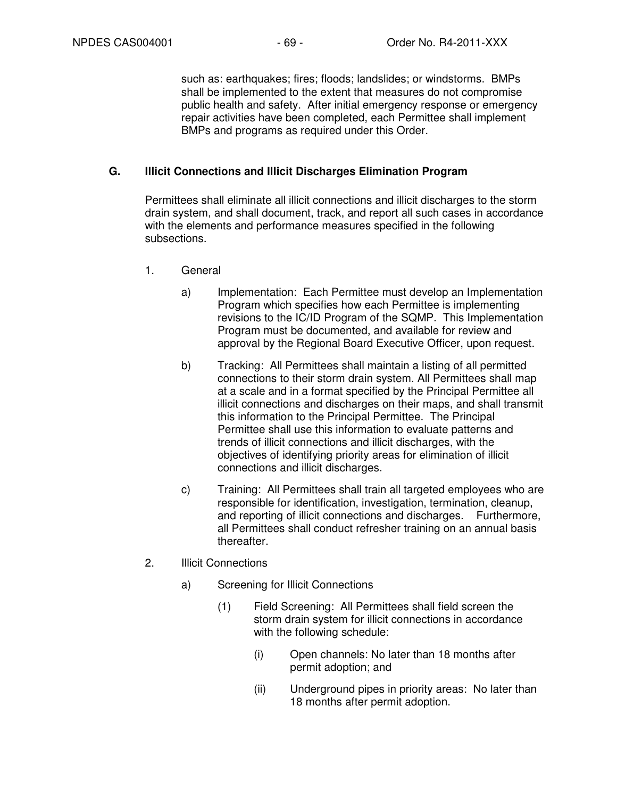such as: earthquakes; fires; floods; landslides; or windstorms. BMPs shall be implemented to the extent that measures do not compromise public health and safety. After initial emergency response or emergency repair activities have been completed, each Permittee shall implement BMPs and programs as required under this Order.

### **G. Illicit Connections and Illicit Discharges Elimination Program**

Permittees shall eliminate all illicit connections and illicit discharges to the storm drain system, and shall document, track, and report all such cases in accordance with the elements and performance measures specified in the following subsections.

- 1. General
	- a) Implementation: Each Permittee must develop an Implementation Program which specifies how each Permittee is implementing revisions to the IC/ID Program of the SQMP. This Implementation Program must be documented, and available for review and approval by the Regional Board Executive Officer, upon request.
	- b) Tracking: All Permittees shall maintain a listing of all permitted connections to their storm drain system. All Permittees shall map at a scale and in a format specified by the Principal Permittee all illicit connections and discharges on their maps, and shall transmit this information to the Principal Permittee. The Principal Permittee shall use this information to evaluate patterns and trends of illicit connections and illicit discharges, with the objectives of identifying priority areas for elimination of illicit connections and illicit discharges.
	- c) Training: All Permittees shall train all targeted employees who are responsible for identification, investigation, termination, cleanup, and reporting of illicit connections and discharges. Furthermore, all Permittees shall conduct refresher training on an annual basis thereafter.
- 2. Illicit Connections
	- a) Screening for Illicit Connections
		- (1) Field Screening: All Permittees shall field screen the storm drain system for illicit connections in accordance with the following schedule:
			- (i) Open channels: No later than 18 months after permit adoption; and
			- (ii) Underground pipes in priority areas: No later than 18 months after permit adoption.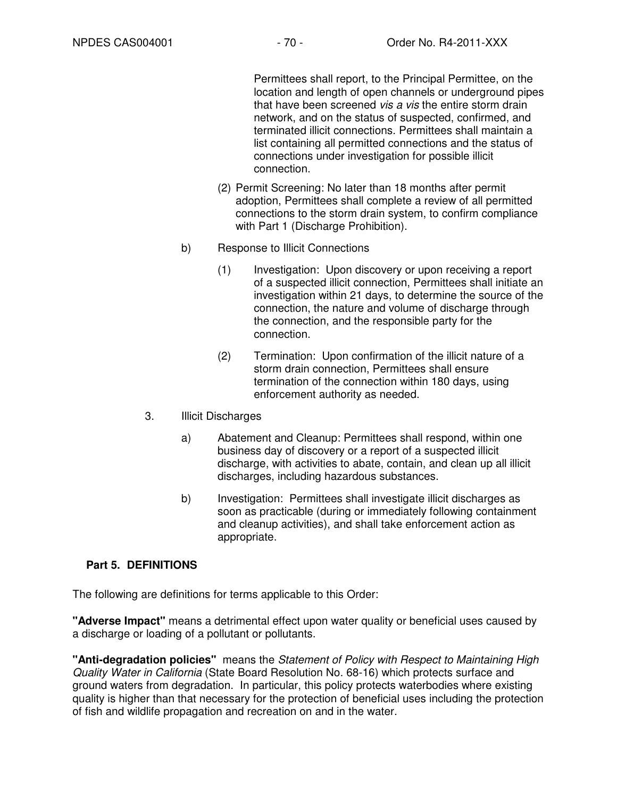Permittees shall report, to the Principal Permittee, on the location and length of open channels or underground pipes that have been screened vis a vis the entire storm drain network, and on the status of suspected, confirmed, and terminated illicit connections. Permittees shall maintain a list containing all permitted connections and the status of connections under investigation for possible illicit connection.

- (2) Permit Screening: No later than 18 months after permit adoption, Permittees shall complete a review of all permitted connections to the storm drain system, to confirm compliance with Part 1 (Discharge Prohibition).
- b) Response to Illicit Connections
	- (1) Investigation: Upon discovery or upon receiving a report of a suspected illicit connection, Permittees shall initiate an investigation within 21 days, to determine the source of the connection, the nature and volume of discharge through the connection, and the responsible party for the connection.
	- (2) Termination: Upon confirmation of the illicit nature of a storm drain connection, Permittees shall ensure termination of the connection within 180 days, using enforcement authority as needed.
- 3. Illicit Discharges
	- a) Abatement and Cleanup: Permittees shall respond, within one business day of discovery or a report of a suspected illicit discharge, with activities to abate, contain, and clean up all illicit discharges, including hazardous substances.
	- b) Investigation: Permittees shall investigate illicit discharges as soon as practicable (during or immediately following containment and cleanup activities), and shall take enforcement action as appropriate.

# **Part 5. DEFINITIONS**

The following are definitions for terms applicable to this Order:

**"Adverse Impact"** means a detrimental effect upon water quality or beneficial uses caused by a discharge or loading of a pollutant or pollutants.

**"Anti-degradation policies"** means the Statement of Policy with Respect to Maintaining High Quality Water in California (State Board Resolution No. 68-16) which protects surface and ground waters from degradation. In particular, this policy protects waterbodies where existing quality is higher than that necessary for the protection of beneficial uses including the protection of fish and wildlife propagation and recreation on and in the water.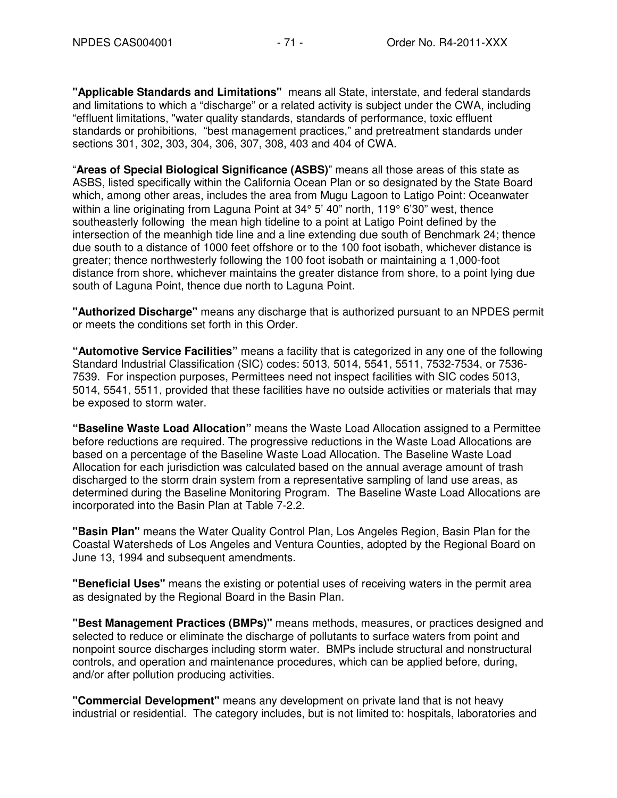**"Applicable Standards and Limitations"** means all State, interstate, and federal standards and limitations to which a "discharge" or a related activity is subject under the CWA, including "effluent limitations, "water quality standards, standards of performance, toxic effluent standards or prohibitions, "best management practices," and pretreatment standards under sections 301, 302, 303, 304, 306, 307, 308, 403 and 404 of CWA.

"**Areas of Special Biological Significance (ASBS)**" means all those areas of this state as ASBS, listed specifically within the California Ocean Plan or so designated by the State Board which, among other areas, includes the area from Mugu Lagoon to Latigo Point: Oceanwater within a line originating from Laguna Point at 34° 5' 40" north, 119° 6'30" west, thence southeasterly following the mean high tideline to a point at Latigo Point defined by the intersection of the meanhigh tide line and a line extending due south of Benchmark 24; thence due south to a distance of 1000 feet offshore or to the 100 foot isobath, whichever distance is greater; thence northwesterly following the 100 foot isobath or maintaining a 1,000-foot distance from shore, whichever maintains the greater distance from shore, to a point lying due south of Laguna Point, thence due north to Laguna Point.

**"Authorized Discharge"** means any discharge that is authorized pursuant to an NPDES permit or meets the conditions set forth in this Order.

**"Automotive Service Facilities"** means a facility that is categorized in any one of the following Standard Industrial Classification (SIC) codes: 5013, 5014, 5541, 5511, 7532-7534, or 7536- 7539. For inspection purposes, Permittees need not inspect facilities with SIC codes 5013, 5014, 5541, 5511, provided that these facilities have no outside activities or materials that may be exposed to storm water.

**"Baseline Waste Load Allocation"** means the Waste Load Allocation assigned to a Permittee before reductions are required. The progressive reductions in the Waste Load Allocations are based on a percentage of the Baseline Waste Load Allocation. The Baseline Waste Load Allocation for each jurisdiction was calculated based on the annual average amount of trash discharged to the storm drain system from a representative sampling of land use areas, as determined during the Baseline Monitoring Program. The Baseline Waste Load Allocations are incorporated into the Basin Plan at Table 7-2.2.

**"Basin Plan"** means the Water Quality Control Plan, Los Angeles Region, Basin Plan for the Coastal Watersheds of Los Angeles and Ventura Counties, adopted by the Regional Board on June 13, 1994 and subsequent amendments.

**"Beneficial Uses"** means the existing or potential uses of receiving waters in the permit area as designated by the Regional Board in the Basin Plan.

**"Best Management Practices (BMPs)"** means methods, measures, or practices designed and selected to reduce or eliminate the discharge of pollutants to surface waters from point and nonpoint source discharges including storm water. BMPs include structural and nonstructural controls, and operation and maintenance procedures, which can be applied before, during, and/or after pollution producing activities.

**"Commercial Development"** means any development on private land that is not heavy industrial or residential. The category includes, but is not limited to: hospitals, laboratories and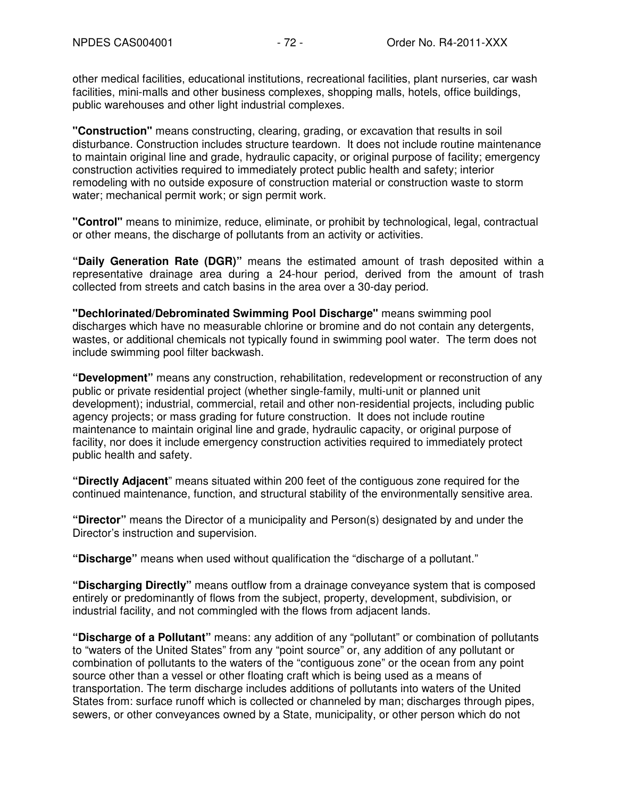other medical facilities, educational institutions, recreational facilities, plant nurseries, car wash facilities, mini-malls and other business complexes, shopping malls, hotels, office buildings, public warehouses and other light industrial complexes.

**"Construction"** means constructing, clearing, grading, or excavation that results in soil disturbance. Construction includes structure teardown. It does not include routine maintenance to maintain original line and grade, hydraulic capacity, or original purpose of facility; emergency construction activities required to immediately protect public health and safety; interior remodeling with no outside exposure of construction material or construction waste to storm water; mechanical permit work; or sign permit work.

**"Control"** means to minimize, reduce, eliminate, or prohibit by technological, legal, contractual or other means, the discharge of pollutants from an activity or activities.

**"Daily Generation Rate (DGR)"** means the estimated amount of trash deposited within a representative drainage area during a 24-hour period, derived from the amount of trash collected from streets and catch basins in the area over a 30-day period.

**"Dechlorinated/Debrominated Swimming Pool Discharge"** means swimming pool discharges which have no measurable chlorine or bromine and do not contain any detergents, wastes, or additional chemicals not typically found in swimming pool water. The term does not include swimming pool filter backwash.

**"Development"** means any construction, rehabilitation, redevelopment or reconstruction of any public or private residential project (whether single-family, multi-unit or planned unit development); industrial, commercial, retail and other non-residential projects, including public agency projects; or mass grading for future construction. It does not include routine maintenance to maintain original line and grade, hydraulic capacity, or original purpose of facility, nor does it include emergency construction activities required to immediately protect public health and safety.

**"Directly Adjacent**" means situated within 200 feet of the contiguous zone required for the continued maintenance, function, and structural stability of the environmentally sensitive area.

**"Director"** means the Director of a municipality and Person(s) designated by and under the Director's instruction and supervision.

**"Discharge"** means when used without qualification the "discharge of a pollutant."

**"Discharging Directly"** means outflow from a drainage conveyance system that is composed entirely or predominantly of flows from the subject, property, development, subdivision, or industrial facility, and not commingled with the flows from adjacent lands.

**"Discharge of a Pollutant"** means: any addition of any "pollutant" or combination of pollutants to "waters of the United States" from any "point source" or, any addition of any pollutant or combination of pollutants to the waters of the "contiguous zone" or the ocean from any point source other than a vessel or other floating craft which is being used as a means of transportation. The term discharge includes additions of pollutants into waters of the United States from: surface runoff which is collected or channeled by man; discharges through pipes, sewers, or other conveyances owned by a State, municipality, or other person which do not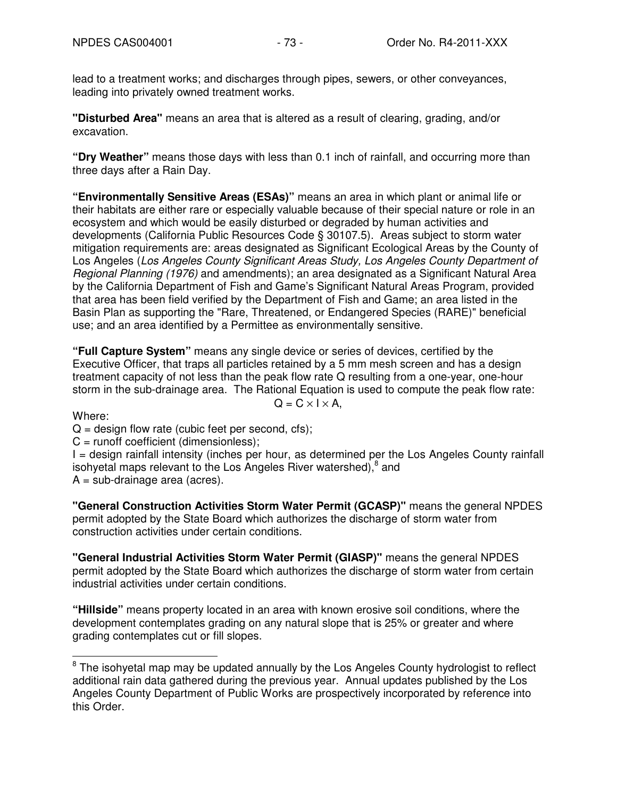lead to a treatment works; and discharges through pipes, sewers, or other conveyances, leading into privately owned treatment works.

**"Disturbed Area"** means an area that is altered as a result of clearing, grading, and/or excavation.

**"Dry Weather"** means those days with less than 0.1 inch of rainfall, and occurring more than three days after a Rain Day.

**"Environmentally Sensitive Areas (ESAs)"** means an area in which plant or animal life or their habitats are either rare or especially valuable because of their special nature or role in an ecosystem and which would be easily disturbed or degraded by human activities and developments (California Public Resources Code § 30107.5). Areas subject to storm water mitigation requirements are: areas designated as Significant Ecological Areas by the County of Los Angeles (Los Angeles County Significant Areas Study, Los Angeles County Department of Regional Planning (1976) and amendments); an area designated as a Significant Natural Area by the California Department of Fish and Game's Significant Natural Areas Program, provided that area has been field verified by the Department of Fish and Game; an area listed in the Basin Plan as supporting the "Rare, Threatened, or Endangered Species (RARE)" beneficial use; and an area identified by a Permittee as environmentally sensitive.

**"Full Capture System"** means any single device or series of devices, certified by the Executive Officer, that traps all particles retained by a 5 mm mesh screen and has a design treatment capacity of not less than the peak flow rate Q resulting from a one-year, one-hour storm in the sub-drainage area. The Rational Equation is used to compute the peak flow rate:

Where:

 $Q = C \times I \times A$ ,

 $Q =$  design flow rate (cubic feet per second, cfs);

 $C =$  runoff coefficient (dimensionless);

I = design rainfall intensity (inches per hour, as determined per the Los Angeles County rainfall isohyetal maps relevant to the Los Angeles River watershed),  $8$  and

 $A = sub-drainace area (acres).$ 

**"General Construction Activities Storm Water Permit (GCASP)"** means the general NPDES permit adopted by the State Board which authorizes the discharge of storm water from construction activities under certain conditions.

**"General Industrial Activities Storm Water Permit (GIASP)"** means the general NPDES permit adopted by the State Board which authorizes the discharge of storm water from certain industrial activities under certain conditions.

**"Hillside"** means property located in an area with known erosive soil conditions, where the development contemplates grading on any natural slope that is 25% or greater and where grading contemplates cut or fill slopes.

 $\overline{\phantom{a}}$  $8$  The isohyetal map may be updated annually by the Los Angeles County hydrologist to reflect additional rain data gathered during the previous year. Annual updates published by the Los Angeles County Department of Public Works are prospectively incorporated by reference into this Order.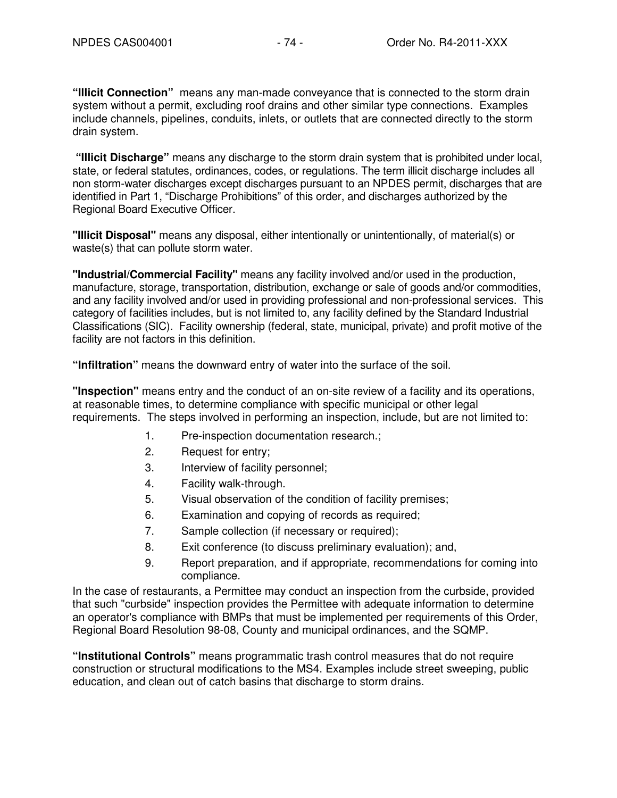**"Illicit Connection"** means any man-made conveyance that is connected to the storm drain system without a permit, excluding roof drains and other similar type connections. Examples include channels, pipelines, conduits, inlets, or outlets that are connected directly to the storm drain system.

 **"Illicit Discharge"** means any discharge to the storm drain system that is prohibited under local, state, or federal statutes, ordinances, codes, or regulations. The term illicit discharge includes all non storm-water discharges except discharges pursuant to an NPDES permit, discharges that are identified in Part 1, "Discharge Prohibitions" of this order, and discharges authorized by the Regional Board Executive Officer.

**"Illicit Disposal"** means any disposal, either intentionally or unintentionally, of material(s) or waste(s) that can pollute storm water.

**"Industrial/Commercial Facility"** means any facility involved and/or used in the production, manufacture, storage, transportation, distribution, exchange or sale of goods and/or commodities, and any facility involved and/or used in providing professional and non-professional services. This category of facilities includes, but is not limited to, any facility defined by the Standard Industrial Classifications (SIC). Facility ownership (federal, state, municipal, private) and profit motive of the facility are not factors in this definition.

**"Infiltration"** means the downward entry of water into the surface of the soil.

**"Inspection"** means entry and the conduct of an on-site review of a facility and its operations, at reasonable times, to determine compliance with specific municipal or other legal requirements. The steps involved in performing an inspection, include, but are not limited to:

- 1. Pre-inspection documentation research.;
- 2. Request for entry;
- 3. Interview of facility personnel;
- 4. Facility walk-through.
- 5. Visual observation of the condition of facility premises;
- 6. Examination and copying of records as required;
- 7. Sample collection (if necessary or required);
- 8. Exit conference (to discuss preliminary evaluation); and,
- 9. Report preparation, and if appropriate, recommendations for coming into compliance.

In the case of restaurants, a Permittee may conduct an inspection from the curbside, provided that such "curbside" inspection provides the Permittee with adequate information to determine an operator's compliance with BMPs that must be implemented per requirements of this Order, Regional Board Resolution 98-08, County and municipal ordinances, and the SQMP.

**"Institutional Controls"** means programmatic trash control measures that do not require construction or structural modifications to the MS4. Examples include street sweeping, public education, and clean out of catch basins that discharge to storm drains.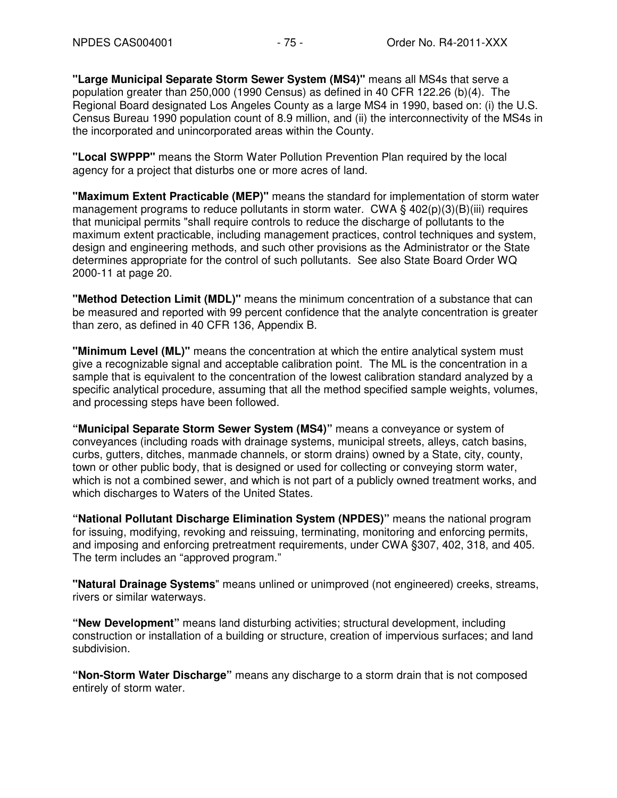**"Large Municipal Separate Storm Sewer System (MS4)"** means all MS4s that serve a population greater than 250,000 (1990 Census) as defined in 40 CFR 122.26 (b)(4). The Regional Board designated Los Angeles County as a large MS4 in 1990, based on: (i) the U.S. Census Bureau 1990 population count of 8.9 million, and (ii) the interconnectivity of the MS4s in the incorporated and unincorporated areas within the County.

**"Local SWPPP"** means the Storm Water Pollution Prevention Plan required by the local agency for a project that disturbs one or more acres of land.

**"Maximum Extent Practicable (MEP)"** means the standard for implementation of storm water management programs to reduce pollutants in storm water. CWA  $\S$  402(p)(3)(B)(iii) requires that municipal permits "shall require controls to reduce the discharge of pollutants to the maximum extent practicable, including management practices, control techniques and system, design and engineering methods, and such other provisions as the Administrator or the State determines appropriate for the control of such pollutants. See also State Board Order WQ 2000-11 at page 20.

**"Method Detection Limit (MDL)"** means the minimum concentration of a substance that can be measured and reported with 99 percent confidence that the analyte concentration is greater than zero, as defined in 40 CFR 136, Appendix B.

**"Minimum Level (ML)"** means the concentration at which the entire analytical system must give a recognizable signal and acceptable calibration point. The ML is the concentration in a sample that is equivalent to the concentration of the lowest calibration standard analyzed by a specific analytical procedure, assuming that all the method specified sample weights, volumes, and processing steps have been followed.

**"Municipal Separate Storm Sewer System (MS4)"** means a conveyance or system of conveyances (including roads with drainage systems, municipal streets, alleys, catch basins, curbs, gutters, ditches, manmade channels, or storm drains) owned by a State, city, county, town or other public body, that is designed or used for collecting or conveying storm water, which is not a combined sewer, and which is not part of a publicly owned treatment works, and which discharges to Waters of the United States.

**"National Pollutant Discharge Elimination System (NPDES)"** means the national program for issuing, modifying, revoking and reissuing, terminating, monitoring and enforcing permits, and imposing and enforcing pretreatment requirements, under CWA §307, 402, 318, and 405. The term includes an "approved program."

**"Natural Drainage Systems**" means unlined or unimproved (not engineered) creeks, streams, rivers or similar waterways.

**"New Development"** means land disturbing activities; structural development, including construction or installation of a building or structure, creation of impervious surfaces; and land subdivision.

**"Non-Storm Water Discharge"** means any discharge to a storm drain that is not composed entirely of storm water.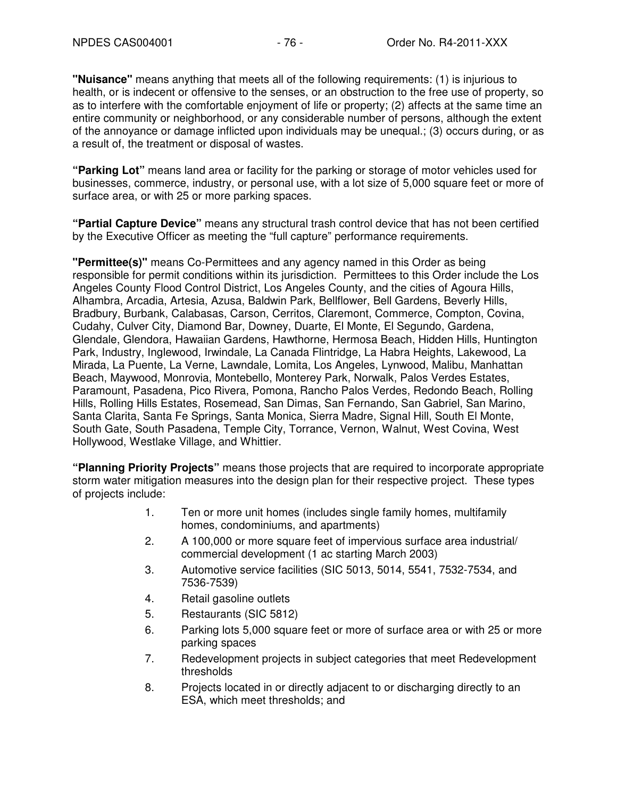**"Nuisance"** means anything that meets all of the following requirements: (1) is injurious to health, or is indecent or offensive to the senses, or an obstruction to the free use of property, so as to interfere with the comfortable enjoyment of life or property; (2) affects at the same time an entire community or neighborhood, or any considerable number of persons, although the extent of the annoyance or damage inflicted upon individuals may be unequal.; (3) occurs during, or as a result of, the treatment or disposal of wastes.

**"Parking Lot"** means land area or facility for the parking or storage of motor vehicles used for businesses, commerce, industry, or personal use, with a lot size of 5,000 square feet or more of surface area, or with 25 or more parking spaces.

**"Partial Capture Device"** means any structural trash control device that has not been certified by the Executive Officer as meeting the "full capture" performance requirements.

**"Permittee(s)"** means Co-Permittees and any agency named in this Order as being responsible for permit conditions within its jurisdiction. Permittees to this Order include the Los Angeles County Flood Control District, Los Angeles County, and the cities of Agoura Hills, Alhambra, Arcadia, Artesia, Azusa, Baldwin Park, Bellflower, Bell Gardens, Beverly Hills, Bradbury, Burbank, Calabasas, Carson, Cerritos, Claremont, Commerce, Compton, Covina, Cudahy, Culver City, Diamond Bar, Downey, Duarte, El Monte, El Segundo, Gardena, Glendale, Glendora, Hawaiian Gardens, Hawthorne, Hermosa Beach, Hidden Hills, Huntington Park, Industry, Inglewood, Irwindale, La Canada Flintridge, La Habra Heights, Lakewood, La Mirada, La Puente, La Verne, Lawndale, Lomita, Los Angeles, Lynwood, Malibu, Manhattan Beach, Maywood, Monrovia, Montebello, Monterey Park, Norwalk, Palos Verdes Estates, Paramount, Pasadena, Pico Rivera, Pomona, Rancho Palos Verdes, Redondo Beach, Rolling Hills, Rolling Hills Estates, Rosemead, San Dimas, San Fernando, San Gabriel, San Marino, Santa Clarita, Santa Fe Springs, Santa Monica, Sierra Madre, Signal Hill, South El Monte, South Gate, South Pasadena, Temple City, Torrance, Vernon, Walnut, West Covina, West Hollywood, Westlake Village, and Whittier.

**"Planning Priority Projects"** means those projects that are required to incorporate appropriate storm water mitigation measures into the design plan for their respective project. These types of projects include:

- 1. Ten or more unit homes (includes single family homes, multifamily homes, condominiums, and apartments)
- 2. A 100,000 or more square feet of impervious surface area industrial/ commercial development (1 ac starting March 2003)
- 3. Automotive service facilities (SIC 5013, 5014, 5541, 7532-7534, and 7536-7539)
- 4. Retail gasoline outlets
- 5. Restaurants (SIC 5812)
- 6. Parking lots 5,000 square feet or more of surface area or with 25 or more parking spaces
- 7. Redevelopment projects in subject categories that meet Redevelopment thresholds
- 8. Projects located in or directly adjacent to or discharging directly to an ESA, which meet thresholds; and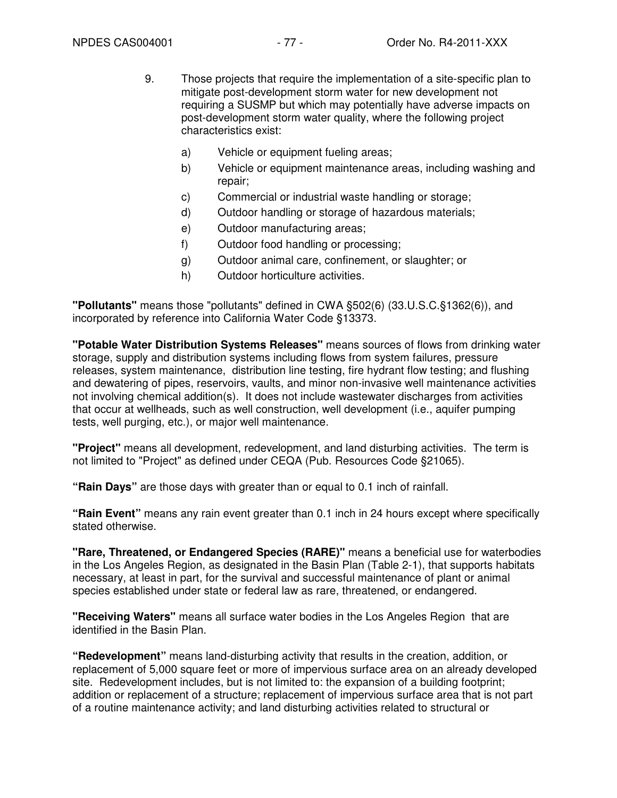- 9. Those projects that require the implementation of a site-specific plan to mitigate post-development storm water for new development not requiring a SUSMP but which may potentially have adverse impacts on post-development storm water quality, where the following project characteristics exist:
	- a) Vehicle or equipment fueling areas;
	- b) Vehicle or equipment maintenance areas, including washing and repair;
	- c) Commercial or industrial waste handling or storage;
	- d) Outdoor handling or storage of hazardous materials;
	- e) Outdoor manufacturing areas;
	- f) Outdoor food handling or processing;
	- g) Outdoor animal care, confinement, or slaughter; or
	- h) Outdoor horticulture activities.

**"Pollutants"** means those "pollutants" defined in CWA §502(6) (33.U.S.C.§1362(6)), and incorporated by reference into California Water Code §13373.

**"Potable Water Distribution Systems Releases"** means sources of flows from drinking water storage, supply and distribution systems including flows from system failures, pressure releases, system maintenance, distribution line testing, fire hydrant flow testing; and flushing and dewatering of pipes, reservoirs, vaults, and minor non-invasive well maintenance activities not involving chemical addition(s). It does not include wastewater discharges from activities that occur at wellheads, such as well construction, well development (i.e., aquifer pumping tests, well purging, etc.), or major well maintenance.

**"Project"** means all development, redevelopment, and land disturbing activities. The term is not limited to "Project" as defined under CEQA (Pub. Resources Code §21065).

**"Rain Days"** are those days with greater than or equal to 0.1 inch of rainfall.

**"Rain Event"** means any rain event greater than 0.1 inch in 24 hours except where specifically stated otherwise.

**"Rare, Threatened, or Endangered Species (RARE)"** means a beneficial use for waterbodies in the Los Angeles Region, as designated in the Basin Plan (Table 2-1), that supports habitats necessary, at least in part, for the survival and successful maintenance of plant or animal species established under state or federal law as rare, threatened, or endangered.

**"Receiving Waters"** means all surface water bodies in the Los Angeles Region that are identified in the Basin Plan.

**"Redevelopment"** means land-disturbing activity that results in the creation, addition, or replacement of 5,000 square feet or more of impervious surface area on an already developed site. Redevelopment includes, but is not limited to: the expansion of a building footprint; addition or replacement of a structure; replacement of impervious surface area that is not part of a routine maintenance activity; and land disturbing activities related to structural or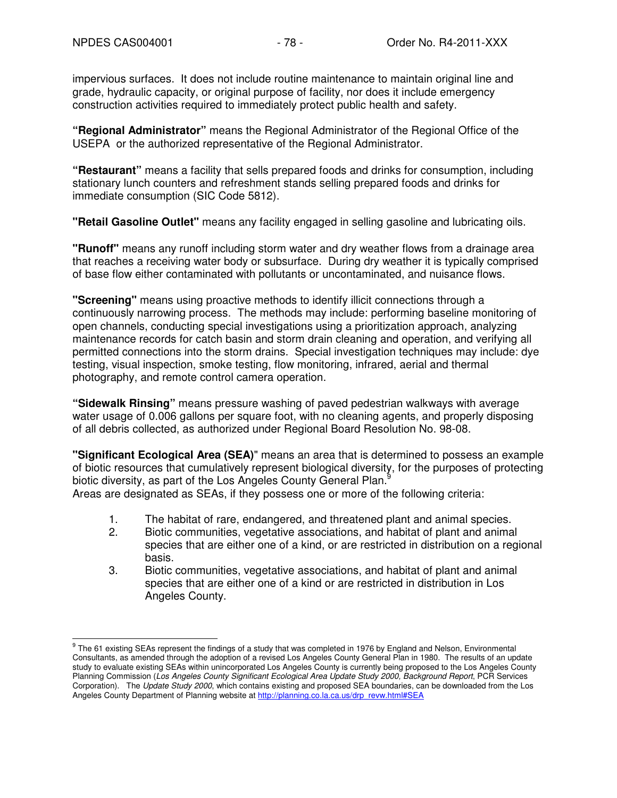impervious surfaces. It does not include routine maintenance to maintain original line and grade, hydraulic capacity, or original purpose of facility, nor does it include emergency construction activities required to immediately protect public health and safety.

**"Regional Administrator"** means the Regional Administrator of the Regional Office of the USEPA or the authorized representative of the Regional Administrator.

**"Restaurant"** means a facility that sells prepared foods and drinks for consumption, including stationary lunch counters and refreshment stands selling prepared foods and drinks for immediate consumption (SIC Code 5812).

**"Retail Gasoline Outlet"** means any facility engaged in selling gasoline and lubricating oils.

**"Runoff"** means any runoff including storm water and dry weather flows from a drainage area that reaches a receiving water body or subsurface. During dry weather it is typically comprised of base flow either contaminated with pollutants or uncontaminated, and nuisance flows.

**"Screening"** means using proactive methods to identify illicit connections through a continuously narrowing process. The methods may include: performing baseline monitoring of open channels, conducting special investigations using a prioritization approach, analyzing maintenance records for catch basin and storm drain cleaning and operation, and verifying all permitted connections into the storm drains. Special investigation techniques may include: dye testing, visual inspection, smoke testing, flow monitoring, infrared, aerial and thermal photography, and remote control camera operation.

**"Sidewalk Rinsing"** means pressure washing of paved pedestrian walkways with average water usage of 0.006 gallons per square foot, with no cleaning agents, and properly disposing of all debris collected, as authorized under Regional Board Resolution No. 98-08.

**"Significant Ecological Area (SEA)**" means an area that is determined to possess an example of biotic resources that cumulatively represent biological diversity, for the purposes of protecting biotic diversity, as part of the Los Angeles County General Plan.<sup>9</sup> Areas are designated as SEAs, if they possess one or more of the following criteria:

- 1. The habitat of rare, endangered, and threatened plant and animal species.
- 2. Biotic communities, vegetative associations, and habitat of plant and animal species that are either one of a kind, or are restricted in distribution on a regional basis.
- 3. Biotic communities, vegetative associations, and habitat of plant and animal species that are either one of a kind or are restricted in distribution in Los Angeles County.

 9 The 61 existing SEAs represent the findings of a study that was completed in 1976 by England and Nelson, Environmental Consultants, as amended through the adoption of a revised Los Angeles County General Plan in 1980. The results of an update study to evaluate existing SEAs within unincorporated Los Angeles County is currently being proposed to the Los Angeles County Planning Commission (Los Angeles County Significant Ecological Area Update Study 2000, Background Report, PCR Services Corporation). The Update Study 2000, which contains existing and proposed SEA boundaries, can be downloaded from the Los Angeles County Department of Planning website at http://planning.co.la.ca.us/drp\_revw.html#SEA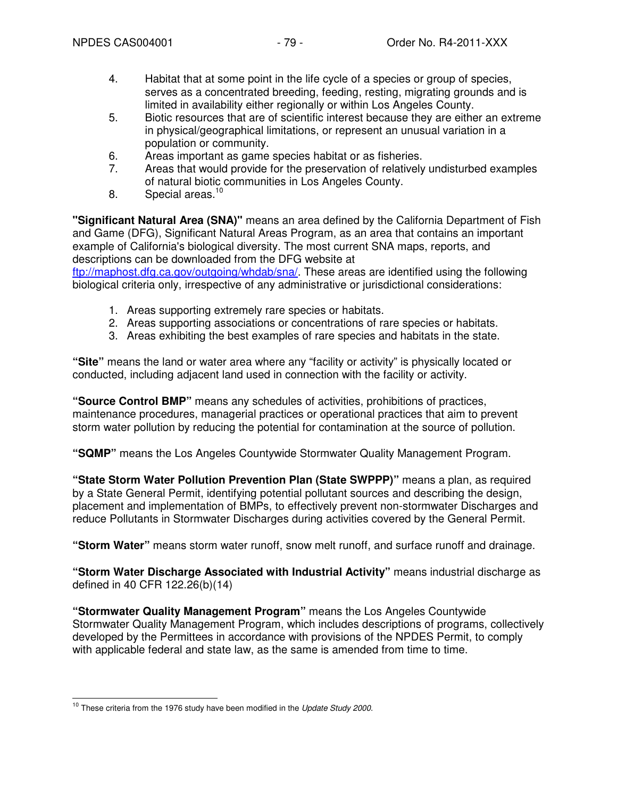- 4. Habitat that at some point in the life cycle of a species or group of species, serves as a concentrated breeding, feeding, resting, migrating grounds and is limited in availability either regionally or within Los Angeles County.
- 5. Biotic resources that are of scientific interest because they are either an extreme in physical/geographical limitations, or represent an unusual variation in a population or community.
- 6. Areas important as game species habitat or as fisheries.
- 7. Areas that would provide for the preservation of relatively undisturbed examples of natural biotic communities in Los Angeles County.
- 8. Special areas.<sup>10</sup>

**"Significant Natural Area (SNA)"** means an area defined by the California Department of Fish and Game (DFG), Significant Natural Areas Program, as an area that contains an important example of California's biological diversity. The most current SNA maps, reports, and descriptions can be downloaded from the DFG website at ftp://maphost.dfg.ca.gov/outgoing/whdab/sna/. These areas are identified using the following

biological criteria only, irrespective of any administrative or jurisdictional considerations:

- 1. Areas supporting extremely rare species or habitats.
- 2. Areas supporting associations or concentrations of rare species or habitats.
- 3. Areas exhibiting the best examples of rare species and habitats in the state.

**"Site"** means the land or water area where any "facility or activity" is physically located or conducted, including adjacent land used in connection with the facility or activity.

**"Source Control BMP"** means any schedules of activities, prohibitions of practices, maintenance procedures, managerial practices or operational practices that aim to prevent storm water pollution by reducing the potential for contamination at the source of pollution.

**"SQMP"** means the Los Angeles Countywide Stormwater Quality Management Program.

**"State Storm Water Pollution Prevention Plan (State SWPPP)"** means a plan, as required by a State General Permit, identifying potential pollutant sources and describing the design, placement and implementation of BMPs, to effectively prevent non-stormwater Discharges and reduce Pollutants in Stormwater Discharges during activities covered by the General Permit.

**"Storm Water"** means storm water runoff, snow melt runoff, and surface runoff and drainage.

**"Storm Water Discharge Associated with Industrial Activity"** means industrial discharge as defined in 40 CFR 122.26(b)(14)

**"Stormwater Quality Management Program"** means the Los Angeles Countywide Stormwater Quality Management Program, which includes descriptions of programs, collectively developed by the Permittees in accordance with provisions of the NPDES Permit, to comply with applicable federal and state law, as the same is amended from time to time.

 $\overline{1}$  $10$  These criteria from the 1976 study have been modified in the Update Study 2000.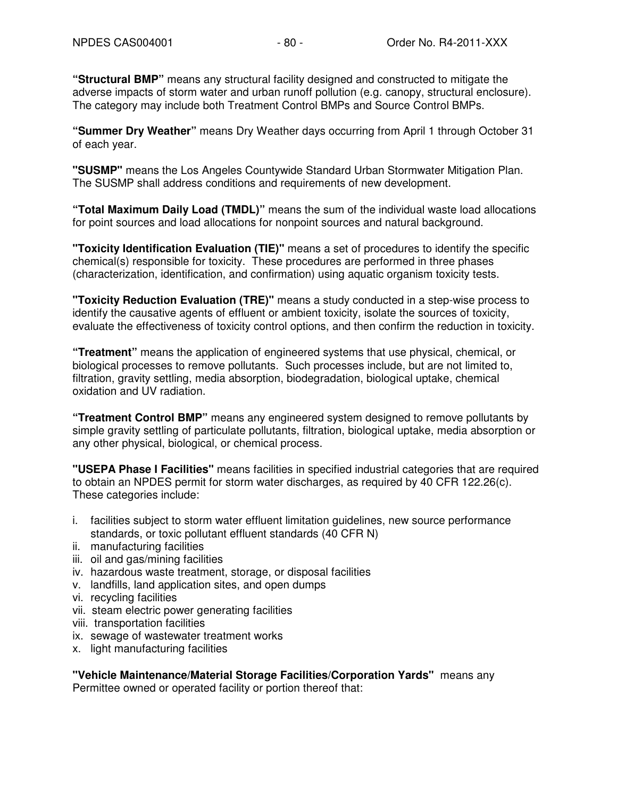**"Structural BMP"** means any structural facility designed and constructed to mitigate the adverse impacts of storm water and urban runoff pollution (e.g. canopy, structural enclosure). The category may include both Treatment Control BMPs and Source Control BMPs.

**"Summer Dry Weather"** means Dry Weather days occurring from April 1 through October 31 of each year.

**"SUSMP"** means the Los Angeles Countywide Standard Urban Stormwater Mitigation Plan. The SUSMP shall address conditions and requirements of new development.

**"Total Maximum Daily Load (TMDL)"** means the sum of the individual waste load allocations for point sources and load allocations for nonpoint sources and natural background.

**"Toxicity Identification Evaluation (TIE)"** means a set of procedures to identify the specific chemical(s) responsible for toxicity. These procedures are performed in three phases (characterization, identification, and confirmation) using aquatic organism toxicity tests.

**"Toxicity Reduction Evaluation (TRE)"** means a study conducted in a step-wise process to identify the causative agents of effluent or ambient toxicity, isolate the sources of toxicity, evaluate the effectiveness of toxicity control options, and then confirm the reduction in toxicity.

**"Treatment"** means the application of engineered systems that use physical, chemical, or biological processes to remove pollutants. Such processes include, but are not limited to, filtration, gravity settling, media absorption, biodegradation, biological uptake, chemical oxidation and UV radiation.

**"Treatment Control BMP"** means any engineered system designed to remove pollutants by simple gravity settling of particulate pollutants, filtration, biological uptake, media absorption or any other physical, biological, or chemical process.

**"USEPA Phase I Facilities"** means facilities in specified industrial categories that are required to obtain an NPDES permit for storm water discharges, as required by 40 CFR 122.26(c). These categories include:

- i. facilities subject to storm water effluent limitation guidelines, new source performance standards, or toxic pollutant effluent standards (40 CFR N)
- ii. manufacturing facilities
- iii. oil and gas/mining facilities
- iv. hazardous waste treatment, storage, or disposal facilities
- v. landfills, land application sites, and open dumps
- vi. recycling facilities
- vii. steam electric power generating facilities
- viii. transportation facilities
- ix. sewage of wastewater treatment works
- x. light manufacturing facilities

**"Vehicle Maintenance/Material Storage Facilities/Corporation Yards"** means any Permittee owned or operated facility or portion thereof that: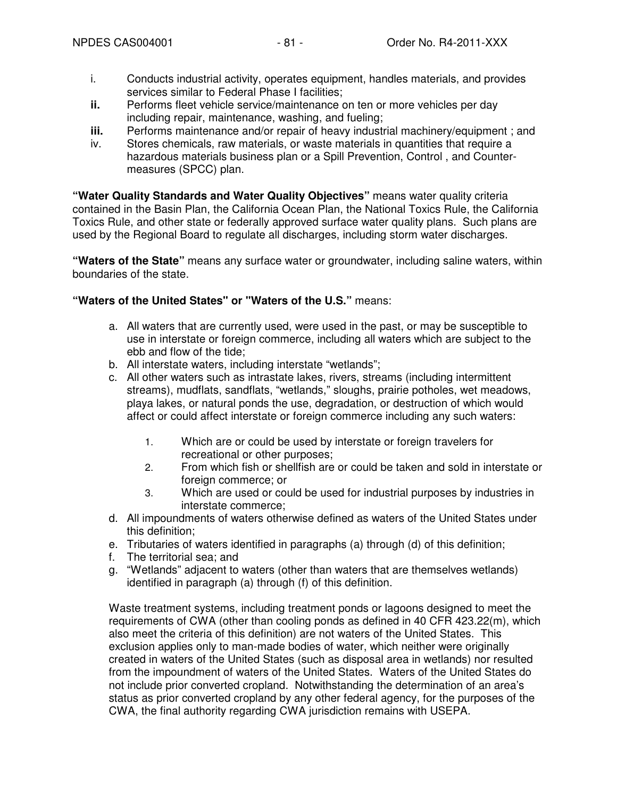- i. Conducts industrial activity, operates equipment, handles materials, and provides services similar to Federal Phase I facilities;
- **ii.** Performs fleet vehicle service/maintenance on ten or more vehicles per day including repair, maintenance, washing, and fueling;
- **iii.** Performs maintenance and/or repair of heavy industrial machinery/equipment ; and
- iv. Stores chemicals, raw materials, or waste materials in quantities that require a hazardous materials business plan or a Spill Prevention, Control , and Countermeasures (SPCC) plan.

**"Water Quality Standards and Water Quality Objectives"** means water quality criteria contained in the Basin Plan, the California Ocean Plan, the National Toxics Rule, the California Toxics Rule, and other state or federally approved surface water quality plans. Such plans are used by the Regional Board to regulate all discharges, including storm water discharges.

**"Waters of the State"** means any surface water or groundwater, including saline waters, within boundaries of the state.

#### **"Waters of the United States" or "Waters of the U.S."** means:

- a. All waters that are currently used, were used in the past, or may be susceptible to use in interstate or foreign commerce, including all waters which are subject to the ebb and flow of the tide;
- b. All interstate waters, including interstate "wetlands";
- c. All other waters such as intrastate lakes, rivers, streams (including intermittent streams), mudflats, sandflats, "wetlands," sloughs, prairie potholes, wet meadows, playa lakes, or natural ponds the use, degradation, or destruction of which would affect or could affect interstate or foreign commerce including any such waters:
	- 1. Which are or could be used by interstate or foreign travelers for recreational or other purposes;
	- 2. From which fish or shellfish are or could be taken and sold in interstate or foreign commerce; or
	- 3. Which are used or could be used for industrial purposes by industries in interstate commerce;
- d. All impoundments of waters otherwise defined as waters of the United States under this definition;
- e. Tributaries of waters identified in paragraphs (a) through (d) of this definition;
- f. The territorial sea; and
- g. "Wetlands" adjacent to waters (other than waters that are themselves wetlands) identified in paragraph (a) through (f) of this definition.

Waste treatment systems, including treatment ponds or lagoons designed to meet the requirements of CWA (other than cooling ponds as defined in 40 CFR 423.22(m), which also meet the criteria of this definition) are not waters of the United States. This exclusion applies only to man-made bodies of water, which neither were originally created in waters of the United States (such as disposal area in wetlands) nor resulted from the impoundment of waters of the United States. Waters of the United States do not include prior converted cropland. Notwithstanding the determination of an area's status as prior converted cropland by any other federal agency, for the purposes of the CWA, the final authority regarding CWA jurisdiction remains with USEPA.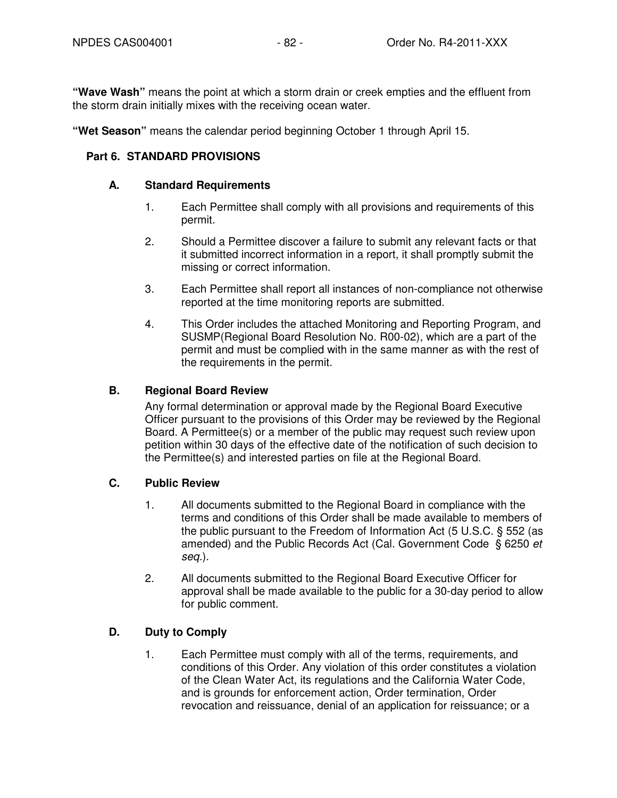**"Wave Wash"** means the point at which a storm drain or creek empties and the effluent from the storm drain initially mixes with the receiving ocean water.

**"Wet Season"** means the calendar period beginning October 1 through April 15.

#### **Part 6. STANDARD PROVISIONS**

#### **A. Standard Requirements**

- 1. Each Permittee shall comply with all provisions and requirements of this permit.
- 2. Should a Permittee discover a failure to submit any relevant facts or that it submitted incorrect information in a report, it shall promptly submit the missing or correct information.
- 3. Each Permittee shall report all instances of non-compliance not otherwise reported at the time monitoring reports are submitted.
- 4. This Order includes the attached Monitoring and Reporting Program, and SUSMP(Regional Board Resolution No. R00-02), which are a part of the permit and must be complied with in the same manner as with the rest of the requirements in the permit.

#### **B. Regional Board Review**

Any formal determination or approval made by the Regional Board Executive Officer pursuant to the provisions of this Order may be reviewed by the Regional Board. A Permittee(s) or a member of the public may request such review upon petition within 30 days of the effective date of the notification of such decision to the Permittee(s) and interested parties on file at the Regional Board.

## **C. Public Review**

- 1. All documents submitted to the Regional Board in compliance with the terms and conditions of this Order shall be made available to members of the public pursuant to the Freedom of Information Act (5 U.S.C. § 552 (as amended) and the Public Records Act (Cal. Government Code § 6250 et seq.).
- 2. All documents submitted to the Regional Board Executive Officer for approval shall be made available to the public for a 30-day period to allow for public comment.

### **D. Duty to Comply**

1. Each Permittee must comply with all of the terms, requirements, and conditions of this Order. Any violation of this order constitutes a violation of the Clean Water Act, its regulations and the California Water Code, and is grounds for enforcement action, Order termination, Order revocation and reissuance, denial of an application for reissuance; or a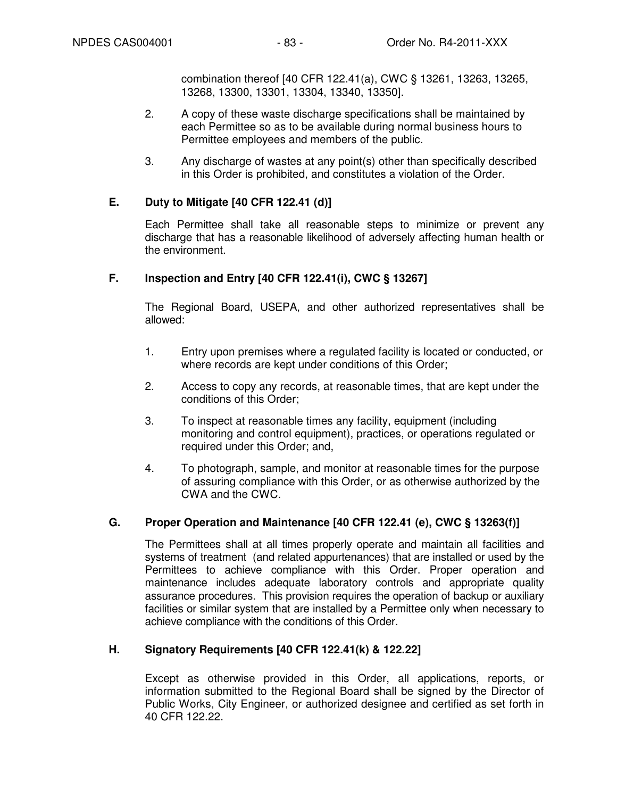combination thereof [40 CFR 122.41(a), CWC § 13261, 13263, 13265, 13268, 13300, 13301, 13304, 13340, 13350].

- 2. A copy of these waste discharge specifications shall be maintained by each Permittee so as to be available during normal business hours to Permittee employees and members of the public.
- 3. Any discharge of wastes at any point(s) other than specifically described in this Order is prohibited, and constitutes a violation of the Order.

## **E. Duty to Mitigate [40 CFR 122.41 (d)]**

Each Permittee shall take all reasonable steps to minimize or prevent any discharge that has a reasonable likelihood of adversely affecting human health or the environment.

## **F. Inspection and Entry [40 CFR 122.41(i), CWC § 13267]**

The Regional Board, USEPA, and other authorized representatives shall be allowed:

- 1. Entry upon premises where a regulated facility is located or conducted, or where records are kept under conditions of this Order;
- 2. Access to copy any records, at reasonable times, that are kept under the conditions of this Order;
- 3. To inspect at reasonable times any facility, equipment (including monitoring and control equipment), practices, or operations regulated or required under this Order; and,
- 4. To photograph, sample, and monitor at reasonable times for the purpose of assuring compliance with this Order, or as otherwise authorized by the CWA and the CWC.

### **G. Proper Operation and Maintenance [40 CFR 122.41 (e), CWC § 13263(f)]**

The Permittees shall at all times properly operate and maintain all facilities and systems of treatment (and related appurtenances) that are installed or used by the Permittees to achieve compliance with this Order. Proper operation and maintenance includes adequate laboratory controls and appropriate quality assurance procedures. This provision requires the operation of backup or auxiliary facilities or similar system that are installed by a Permittee only when necessary to achieve compliance with the conditions of this Order.

### **H. Signatory Requirements [40 CFR 122.41(k) & 122.22]**

Except as otherwise provided in this Order, all applications, reports, or information submitted to the Regional Board shall be signed by the Director of Public Works, City Engineer, or authorized designee and certified as set forth in 40 CFR 122.22.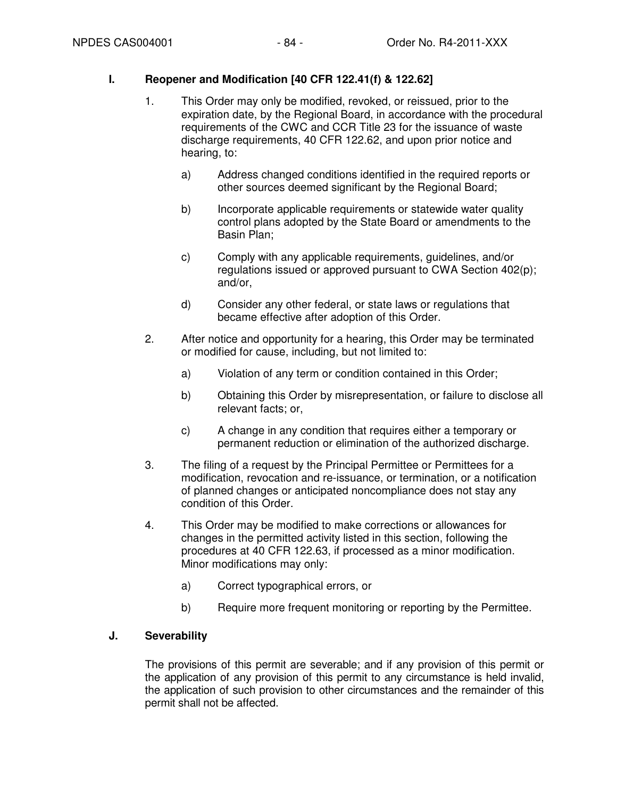## **I. Reopener and Modification [40 CFR 122.41(f) & 122.62]**

- 1. This Order may only be modified, revoked, or reissued, prior to the expiration date, by the Regional Board, in accordance with the procedural requirements of the CWC and CCR Title 23 for the issuance of waste discharge requirements, 40 CFR 122.62, and upon prior notice and hearing, to:
	- a) Address changed conditions identified in the required reports or other sources deemed significant by the Regional Board;
	- b) Incorporate applicable requirements or statewide water quality control plans adopted by the State Board or amendments to the Basin Plan;
	- c) Comply with any applicable requirements, guidelines, and/or regulations issued or approved pursuant to CWA Section 402(p); and/or,
	- d) Consider any other federal, or state laws or regulations that became effective after adoption of this Order.
- 2. After notice and opportunity for a hearing, this Order may be terminated or modified for cause, including, but not limited to:
	- a) Violation of any term or condition contained in this Order;
	- b) Obtaining this Order by misrepresentation, or failure to disclose all relevant facts; or,
	- c) A change in any condition that requires either a temporary or permanent reduction or elimination of the authorized discharge.
- 3. The filing of a request by the Principal Permittee or Permittees for a modification, revocation and re-issuance, or termination, or a notification of planned changes or anticipated noncompliance does not stay any condition of this Order.
- 4. This Order may be modified to make corrections or allowances for changes in the permitted activity listed in this section, following the procedures at 40 CFR 122.63, if processed as a minor modification. Minor modifications may only:
	- a) Correct typographical errors, or
	- b) Require more frequent monitoring or reporting by the Permittee.

## **J. Severability**

The provisions of this permit are severable; and if any provision of this permit or the application of any provision of this permit to any circumstance is held invalid, the application of such provision to other circumstances and the remainder of this permit shall not be affected.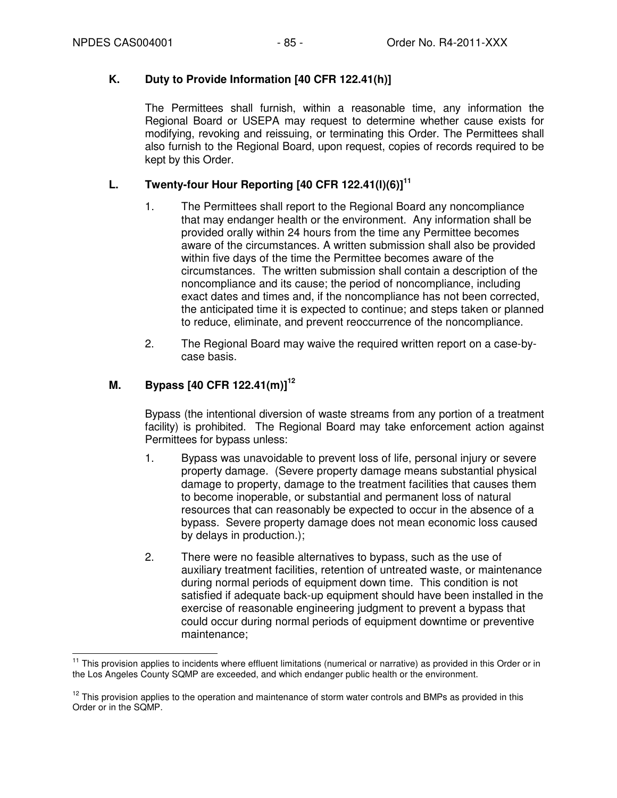## **K. Duty to Provide Information [40 CFR 122.41(h)]**

The Permittees shall furnish, within a reasonable time, any information the Regional Board or USEPA may request to determine whether cause exists for modifying, revoking and reissuing, or terminating this Order. The Permittees shall also furnish to the Regional Board, upon request, copies of records required to be kept by this Order.

# **L. Twenty-four Hour Reporting [40 CFR 122.41(l)(6)]<sup>11</sup>**

- 1. The Permittees shall report to the Regional Board any noncompliance that may endanger health or the environment. Any information shall be provided orally within 24 hours from the time any Permittee becomes aware of the circumstances. A written submission shall also be provided within five days of the time the Permittee becomes aware of the circumstances. The written submission shall contain a description of the noncompliance and its cause; the period of noncompliance, including exact dates and times and, if the noncompliance has not been corrected, the anticipated time it is expected to continue; and steps taken or planned to reduce, eliminate, and prevent reoccurrence of the noncompliance.
- 2. The Regional Board may waive the required written report on a case-bycase basis.

# **M. Bypass [40 CFR 122.41(m)]<sup>12</sup>**

Bypass (the intentional diversion of waste streams from any portion of a treatment facility) is prohibited. The Regional Board may take enforcement action against Permittees for bypass unless:

- 1. Bypass was unavoidable to prevent loss of life, personal injury or severe property damage. (Severe property damage means substantial physical damage to property, damage to the treatment facilities that causes them to become inoperable, or substantial and permanent loss of natural resources that can reasonably be expected to occur in the absence of a bypass. Severe property damage does not mean economic loss caused by delays in production.);
- 2. There were no feasible alternatives to bypass, such as the use of auxiliary treatment facilities, retention of untreated waste, or maintenance during normal periods of equipment down time. This condition is not satisfied if adequate back-up equipment should have been installed in the exercise of reasonable engineering judgment to prevent a bypass that could occur during normal periods of equipment downtime or preventive maintenance;

 $\overline{\phantom{a}}$ <sup>11</sup> This provision applies to incidents where effluent limitations (numerical or narrative) as provided in this Order or in the Los Angeles County SQMP are exceeded, and which endanger public health or the environment.

 $12$  This provision applies to the operation and maintenance of storm water controls and BMPs as provided in this Order or in the SQMP.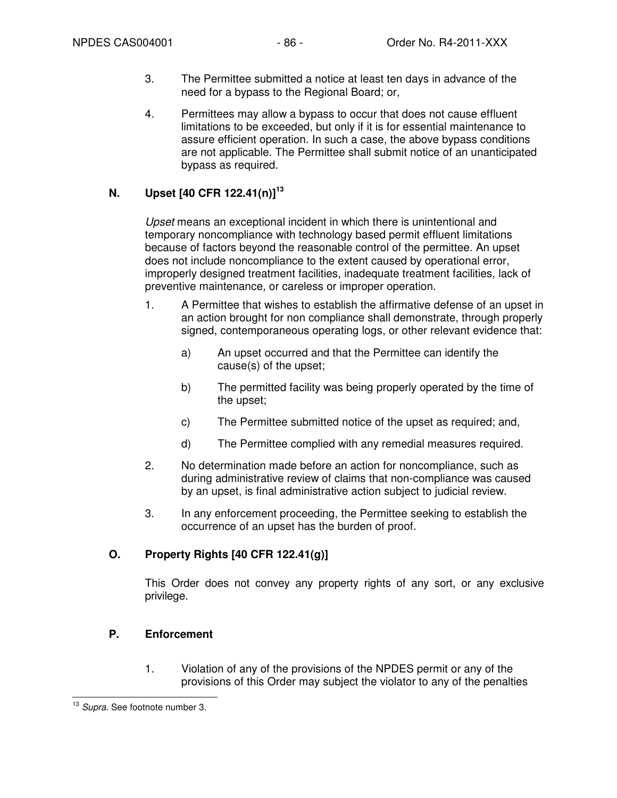- 3. The Permittee submitted a notice at least ten days in advance of the need for a bypass to the Regional Board; or,
- 4. Permittees may allow a bypass to occur that does not cause effluent limitations to be exceeded, but only if it is for essential maintenance to assure efficient operation. In such a case, the above bypass conditions are not applicable. The Permittee shall submit notice of an unanticipated bypass as required.

# **N. Upset [40 CFR 122.41(n)]<sup>13</sup>**

Upset means an exceptional incident in which there is unintentional and temporary noncompliance with technology based permit effluent limitations because of factors beyond the reasonable control of the permittee. An upset does not include noncompliance to the extent caused by operational error, improperly designed treatment facilities, inadequate treatment facilities, lack of preventive maintenance, or careless or improper operation.

- 1. A Permittee that wishes to establish the affirmative defense of an upset in an action brought for non compliance shall demonstrate, through properly signed, contemporaneous operating logs, or other relevant evidence that:
	- a) An upset occurred and that the Permittee can identify the cause(s) of the upset;
	- b) The permitted facility was being properly operated by the time of the upset;
	- c) The Permittee submitted notice of the upset as required; and,
	- d) The Permittee complied with any remedial measures required.
- 2. No determination made before an action for noncompliance, such as during administrative review of claims that non-compliance was caused by an upset, is final administrative action subject to judicial review.
- 3. In any enforcement proceeding, the Permittee seeking to establish the occurrence of an upset has the burden of proof.

## **O. Property Rights [40 CFR 122.41(g)]**

This Order does not convey any property rights of any sort, or any exclusive privilege.

### **P. Enforcement**

1. Violation of any of the provisions of the NPDES permit or any of the provisions of this Order may subject the violator to any of the penalties

 $\overline{\phantom{a}}$ <sup>13</sup> Supra. See footnote number 3.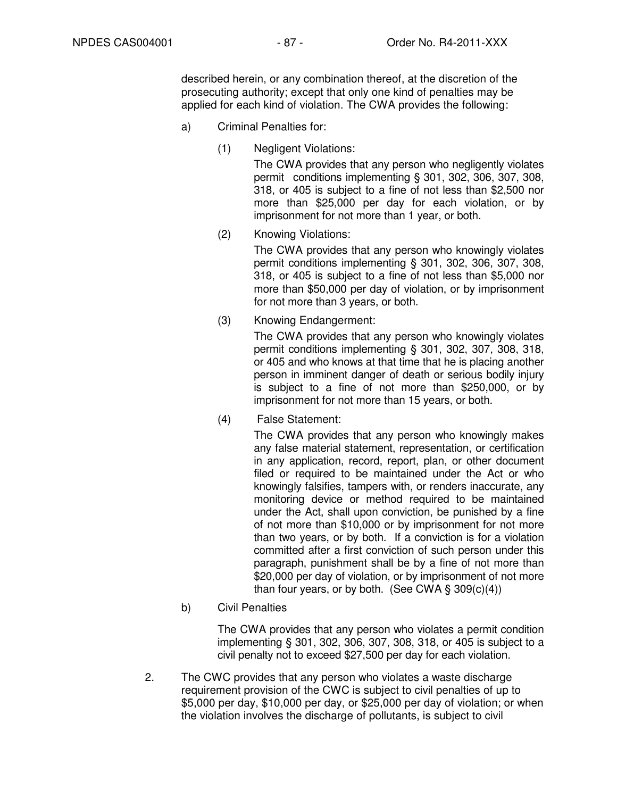described herein, or any combination thereof, at the discretion of the prosecuting authority; except that only one kind of penalties may be applied for each kind of violation. The CWA provides the following:

- a) Criminal Penalties for:
	- (1) Negligent Violations:

The CWA provides that any person who negligently violates permit conditions implementing § 301, 302, 306, 307, 308, 318, or 405 is subject to a fine of not less than \$2,500 nor more than \$25,000 per day for each violation, or by imprisonment for not more than 1 year, or both.

(2) Knowing Violations:

The CWA provides that any person who knowingly violates permit conditions implementing § 301, 302, 306, 307, 308, 318, or 405 is subject to a fine of not less than \$5,000 nor more than \$50,000 per day of violation, or by imprisonment for not more than 3 years, or both.

(3) Knowing Endangerment:

The CWA provides that any person who knowingly violates permit conditions implementing § 301, 302, 307, 308, 318, or 405 and who knows at that time that he is placing another person in imminent danger of death or serious bodily injury is subject to a fine of not more than \$250,000, or by imprisonment for not more than 15 years, or both.

(4) False Statement:

The CWA provides that any person who knowingly makes any false material statement, representation, or certification in any application, record, report, plan, or other document filed or required to be maintained under the Act or who knowingly falsifies, tampers with, or renders inaccurate, any monitoring device or method required to be maintained under the Act, shall upon conviction, be punished by a fine of not more than \$10,000 or by imprisonment for not more than two years, or by both. If a conviction is for a violation committed after a first conviction of such person under this paragraph, punishment shall be by a fine of not more than \$20,000 per day of violation, or by imprisonment of not more than four years, or by both. (See CWA  $\S$  309(c)(4))

b) Civil Penalties

The CWA provides that any person who violates a permit condition implementing § 301, 302, 306, 307, 308, 318, or 405 is subject to a civil penalty not to exceed \$27,500 per day for each violation.

2. The CWC provides that any person who violates a waste discharge requirement provision of the CWC is subject to civil penalties of up to \$5,000 per day, \$10,000 per day, or \$25,000 per day of violation; or when the violation involves the discharge of pollutants, is subject to civil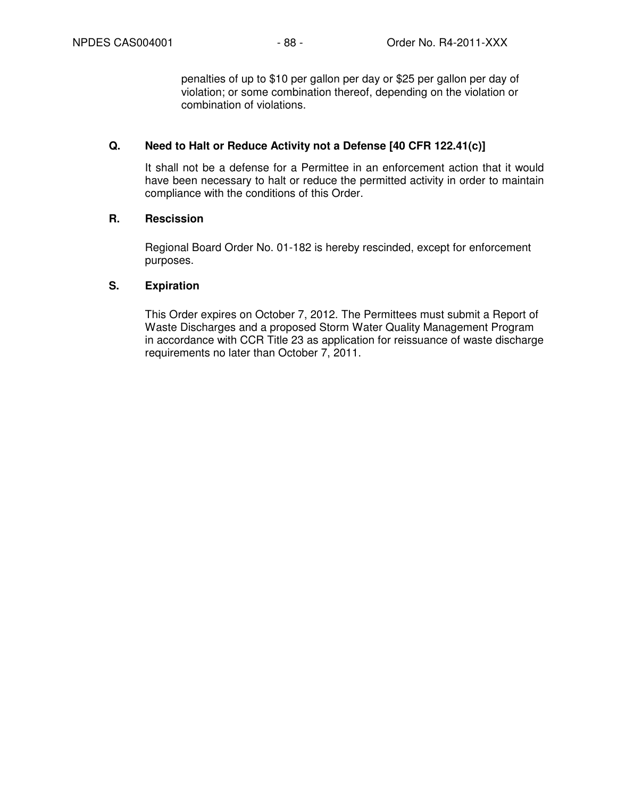penalties of up to \$10 per gallon per day or \$25 per gallon per day of violation; or some combination thereof, depending on the violation or combination of violations.

### **Q. Need to Halt or Reduce Activity not a Defense [40 CFR 122.41(c)]**

It shall not be a defense for a Permittee in an enforcement action that it would have been necessary to halt or reduce the permitted activity in order to maintain compliance with the conditions of this Order.

### **R. Rescission**

Regional Board Order No. 01-182 is hereby rescinded, except for enforcement purposes.

### **S. Expiration**

This Order expires on October 7, 2012. The Permittees must submit a Report of Waste Discharges and a proposed Storm Water Quality Management Program in accordance with CCR Title 23 as application for reissuance of waste discharge requirements no later than October 7, 2011.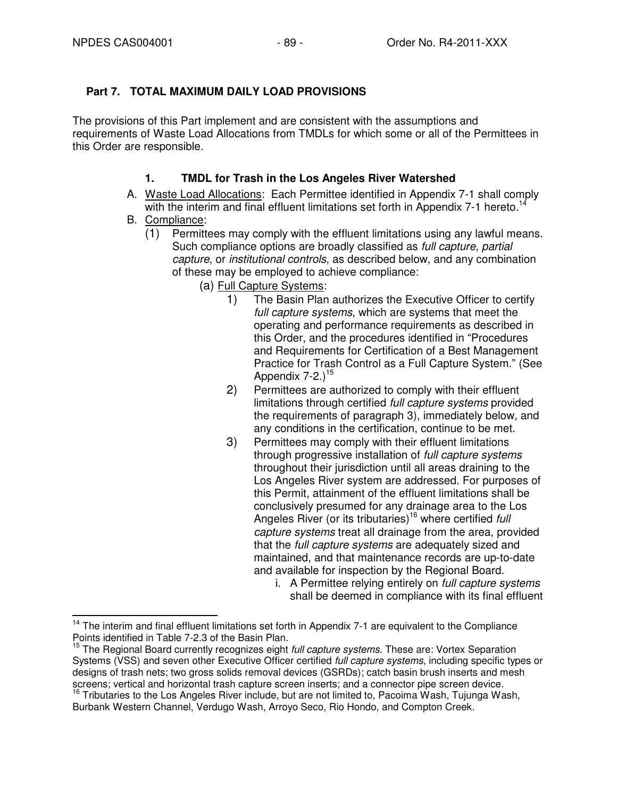# **Part 7. TOTAL MAXIMUM DAILY LOAD PROVISIONS**

The provisions of this Part implement and are consistent with the assumptions and requirements of Waste Load Allocations from TMDLs for which some or all of the Permittees in this Order are responsible.

# **1. TMDL for Trash in the Los Angeles River Watershed**

- A. Waste Load Allocations: Each Permittee identified in Appendix 7-1 shall comply with the interim and final effluent limitations set forth in Appendix  $7-1$  hereto.<sup>14</sup>
- B. Compliance:
	- (1) Permittees may comply with the effluent limitations using any lawful means. Such compliance options are broadly classified as *full capture*, partial capture, or institutional controls, as described below, and any combination of these may be employed to achieve compliance:
		- (a) Full Capture Systems:
			- 1) The Basin Plan authorizes the Executive Officer to certify full capture systems, which are systems that meet the operating and performance requirements as described in this Order, and the procedures identified in "Procedures and Requirements for Certification of a Best Management Practice for Trash Control as a Full Capture System." (See Appendix  $7-2.1$ <sup>15</sup>
			- 2) Permittees are authorized to comply with their effluent limitations through certified full capture systems provided the requirements of paragraph 3), immediately below, and any conditions in the certification, continue to be met.
			- 3) Permittees may comply with their effluent limitations through progressive installation of full capture systems throughout their jurisdiction until all areas draining to the Los Angeles River system are addressed. For purposes of this Permit, attainment of the effluent limitations shall be conclusively presumed for any drainage area to the Los Angeles River (or its tributaries)<sup>16</sup> where certified full capture systems treat all drainage from the area, provided that the *full capture systems* are adequately sized and maintained, and that maintenance records are up-to-date and available for inspection by the Regional Board.
				- i. A Permittee relying entirely on *full capture systems* shall be deemed in compliance with its final effluent

 $\overline{\phantom{a}}$ <sup>14</sup> The interim and final effluent limitations set forth in Appendix 7-1 are equivalent to the Compliance Points identified in Table 7-2.3 of the Basin Plan.

<sup>&</sup>lt;sup>15</sup> The Regional Board currently recognizes eight *full capture systems*. These are: Vortex Separation Systems (VSS) and seven other Executive Officer certified *full capture systems*, including specific types or designs of trash nets; two gross solids removal devices (GSRDs); catch basin brush inserts and mesh screens; vertical and horizontal trash capture screen inserts; and a connector pipe screen device.

<sup>16</sup> Tributaries to the Los Angeles River include, but are not limited to, Pacoima Wash, Tujunga Wash, Burbank Western Channel, Verdugo Wash, Arroyo Seco, Rio Hondo, and Compton Creek.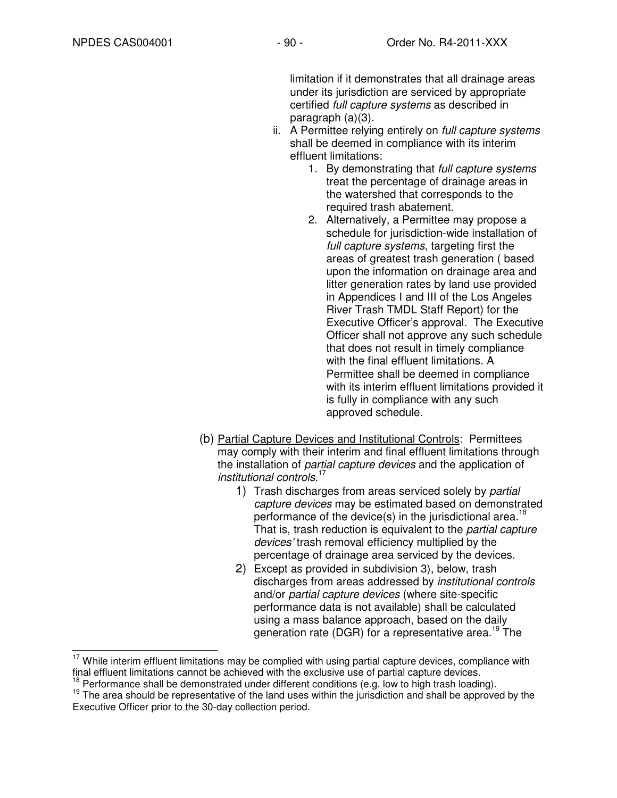limitation if it demonstrates that all drainage areas under its jurisdiction are serviced by appropriate certified full capture systems as described in paragraph (a)(3).

- ii. A Permittee relying entirely on *full capture systems* shall be deemed in compliance with its interim effluent limitations:
	- 1. By demonstrating that full capture systems treat the percentage of drainage areas in the watershed that corresponds to the required trash abatement.
	- 2. Alternatively, a Permittee may propose a schedule for jurisdiction-wide installation of full capture systems, targeting first the areas of greatest trash generation ( based upon the information on drainage area and litter generation rates by land use provided in Appendices I and III of the Los Angeles River Trash TMDL Staff Report) for the Executive Officer's approval. The Executive Officer shall not approve any such schedule that does not result in timely compliance with the final effluent limitations. A Permittee shall be deemed in compliance with its interim effluent limitations provided it is fully in compliance with any such approved schedule.
- (b) Partial Capture Devices and Institutional Controls: Permittees may comply with their interim and final effluent limitations through the installation of partial capture devices and the application of institutional controls. 17
	- 1) Trash discharges from areas serviced solely by partial capture devices may be estimated based on demonstrated performance of the device(s) in the jurisdictional area.<sup>18</sup> That is, trash reduction is equivalent to the *partial capture* devices' trash removal efficiency multiplied by the percentage of drainage area serviced by the devices.
	- 2) Except as provided in subdivision 3), below, trash discharges from areas addressed by institutional controls and/or partial capture devices (where site-specific performance data is not available) shall be calculated using a mass balance approach, based on the daily generation rate (DGR) for a representative area.<sup>19</sup> The

 $\overline{a}$  $17$  While interim effluent limitations may be complied with using partial capture devices, compliance with final effluent limitations cannot be achieved with the exclusive use of partial capture devices.

 $18$  Performance shall be demonstrated under different conditions (e.g. low to high trash loading).

<sup>&</sup>lt;sup>19</sup> The area should be representative of the land uses within the jurisdiction and shall be approved by the Executive Officer prior to the 30-day collection period.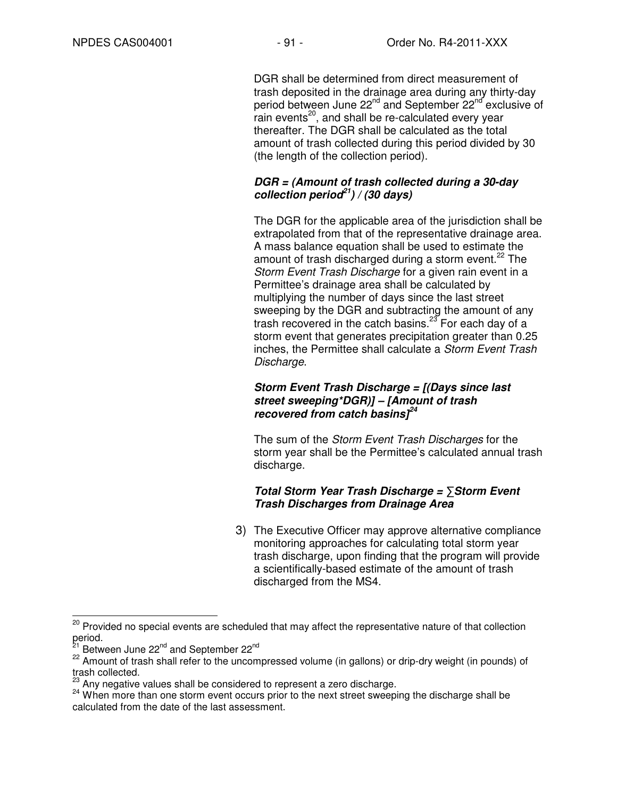DGR shall be determined from direct measurement of trash deposited in the drainage area during any thirty-day period between June 22<sup>nd</sup> and September 22<sup>nd</sup> exclusive of rain events<sup>20</sup>, and shall be re-calculated every year thereafter. The DGR shall be calculated as the total amount of trash collected during this period divided by 30 (the length of the collection period).

### **DGR = (Amount of trash collected during a 30-day collection period<sup>21</sup>) / (30 days)**

The DGR for the applicable area of the jurisdiction shall be extrapolated from that of the representative drainage area. A mass balance equation shall be used to estimate the amount of trash discharged during a storm event.<sup>22</sup> The Storm Event Trash Discharge for a given rain event in a Permittee's drainage area shall be calculated by multiplying the number of days since the last street sweeping by the DGR and subtracting the amount of any trash recovered in the catch basins.<sup>23</sup> For each day of a storm event that generates precipitation greater than 0.25 inches, the Permittee shall calculate a Storm Event Trash Discharge.

### **Storm Event Trash Discharge = [(Days since last street sweeping\*DGR)] – [Amount of trash recovered from catch basins]<sup>24</sup>**

The sum of the Storm Event Trash Discharges for the storm year shall be the Permittee's calculated annual trash discharge.

## **Total Storm Year Trash Discharge =** ∑**Storm Event Trash Discharges from Drainage Area**

3) The Executive Officer may approve alternative compliance monitoring approaches for calculating total storm year trash discharge, upon finding that the program will provide a scientifically-based estimate of the amount of trash discharged from the MS4.

 $\overline{a}$ <sup>20</sup> Provided no special events are scheduled that may affect the representative nature of that collection period.

Between June 22<sup>nd</sup> and September 22<sup>nd</sup>

<sup>&</sup>lt;sup>22</sup> Amount of trash shall refer to the uncompressed volume (in gallons) or drip-dry weight (in pounds) of trash collected.

Any negative values shall be considered to represent a zero discharge.

<sup>&</sup>lt;sup>24</sup> When more than one storm event occurs prior to the next street sweeping the discharge shall be calculated from the date of the last assessment.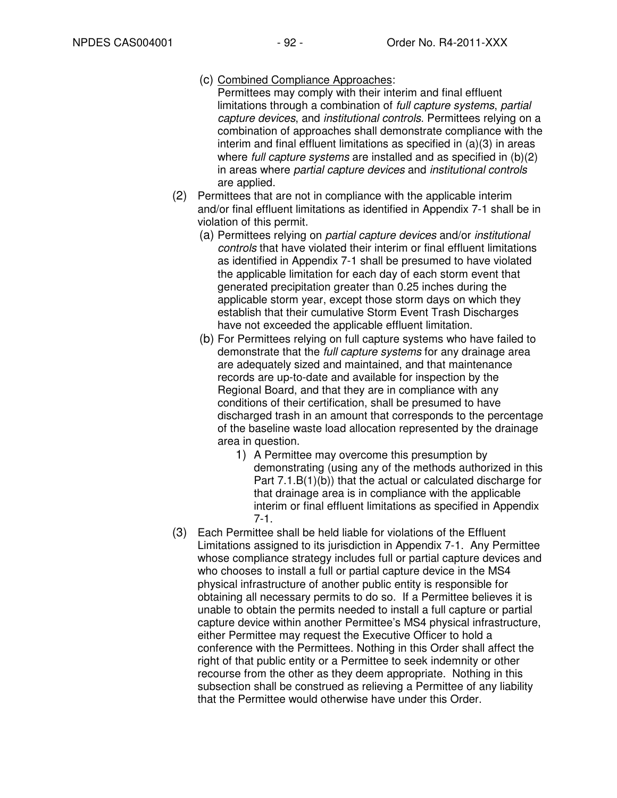- (c) Combined Compliance Approaches:
- Permittees may comply with their interim and final effluent limitations through a combination of full capture systems, partial capture devices, and institutional controls. Permittees relying on a combination of approaches shall demonstrate compliance with the interim and final effluent limitations as specified in (a)(3) in areas where *full capture systems* are installed and as specified in (b)(2) in areas where partial capture devices and institutional controls are applied.
- (2) Permittees that are not in compliance with the applicable interim and/or final effluent limitations as identified in Appendix 7-1 shall be in violation of this permit.
	- (a) Permittees relying on partial capture devices and/or institutional controls that have violated their interim or final effluent limitations as identified in Appendix 7-1 shall be presumed to have violated the applicable limitation for each day of each storm event that generated precipitation greater than 0.25 inches during the applicable storm year, except those storm days on which they establish that their cumulative Storm Event Trash Discharges have not exceeded the applicable effluent limitation.
	- (b) For Permittees relying on full capture systems who have failed to demonstrate that the *full capture systems* for any drainage area are adequately sized and maintained, and that maintenance records are up-to-date and available for inspection by the Regional Board, and that they are in compliance with any conditions of their certification, shall be presumed to have discharged trash in an amount that corresponds to the percentage of the baseline waste load allocation represented by the drainage area in question.
		- 1) A Permittee may overcome this presumption by demonstrating (using any of the methods authorized in this Part 7.1.B(1)(b)) that the actual or calculated discharge for that drainage area is in compliance with the applicable interim or final effluent limitations as specified in Appendix 7-1.
- (3) Each Permittee shall be held liable for violations of the Effluent Limitations assigned to its jurisdiction in Appendix 7-1. Any Permittee whose compliance strategy includes full or partial capture devices and who chooses to install a full or partial capture device in the MS4 physical infrastructure of another public entity is responsible for obtaining all necessary permits to do so. If a Permittee believes it is unable to obtain the permits needed to install a full capture or partial capture device within another Permittee's MS4 physical infrastructure, either Permittee may request the Executive Officer to hold a conference with the Permittees. Nothing in this Order shall affect the right of that public entity or a Permittee to seek indemnity or other recourse from the other as they deem appropriate. Nothing in this subsection shall be construed as relieving a Permittee of any liability that the Permittee would otherwise have under this Order.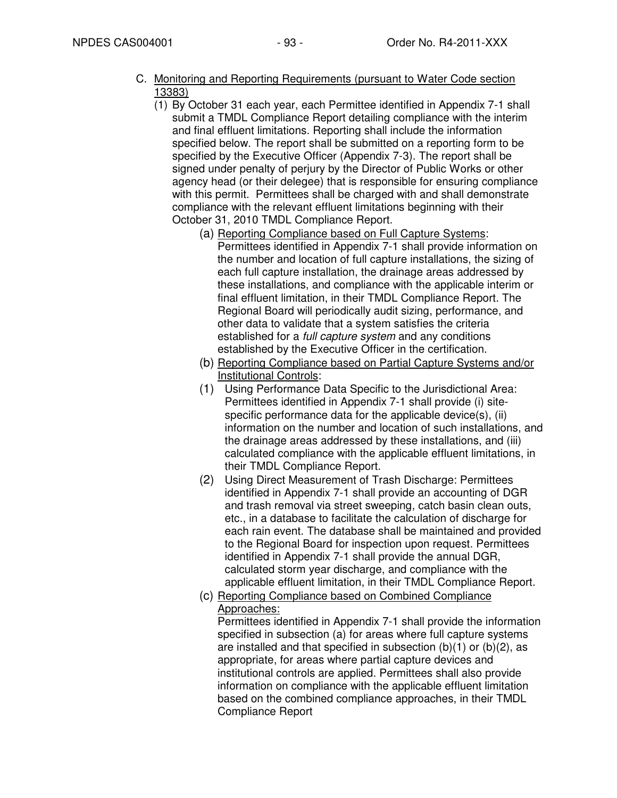- C. Monitoring and Reporting Requirements (pursuant to Water Code section 13383)
	- (1) By October 31 each year, each Permittee identified in Appendix 7-1 shall submit a TMDL Compliance Report detailing compliance with the interim and final effluent limitations. Reporting shall include the information specified below. The report shall be submitted on a reporting form to be specified by the Executive Officer (Appendix 7-3). The report shall be signed under penalty of perjury by the Director of Public Works or other agency head (or their delegee) that is responsible for ensuring compliance with this permit. Permittees shall be charged with and shall demonstrate compliance with the relevant effluent limitations beginning with their October 31, 2010 TMDL Compliance Report.
		- (a) Reporting Compliance based on Full Capture Systems: Permittees identified in Appendix 7-1 shall provide information on the number and location of full capture installations, the sizing of each full capture installation, the drainage areas addressed by these installations, and compliance with the applicable interim or final effluent limitation, in their TMDL Compliance Report. The Regional Board will periodically audit sizing, performance, and other data to validate that a system satisfies the criteria established for a full capture system and any conditions established by the Executive Officer in the certification.
		- (b) Reporting Compliance based on Partial Capture Systems and/or Institutional Controls:
		- (1) Using Performance Data Specific to the Jurisdictional Area: Permittees identified in Appendix 7-1 shall provide (i) sitespecific performance data for the applicable device(s), (ii) information on the number and location of such installations, and the drainage areas addressed by these installations, and (iii) calculated compliance with the applicable effluent limitations, in their TMDL Compliance Report.
		- (2) Using Direct Measurement of Trash Discharge: Permittees identified in Appendix 7-1 shall provide an accounting of DGR and trash removal via street sweeping, catch basin clean outs, etc., in a database to facilitate the calculation of discharge for each rain event. The database shall be maintained and provided to the Regional Board for inspection upon request. Permittees identified in Appendix 7-1 shall provide the annual DGR, calculated storm year discharge, and compliance with the applicable effluent limitation, in their TMDL Compliance Report.
		- (c) Reporting Compliance based on Combined Compliance Approaches:

Permittees identified in Appendix 7-1 shall provide the information specified in subsection (a) for areas where full capture systems are installed and that specified in subsection  $(b)(1)$  or  $(b)(2)$ , as appropriate, for areas where partial capture devices and institutional controls are applied. Permittees shall also provide information on compliance with the applicable effluent limitation based on the combined compliance approaches, in their TMDL Compliance Report